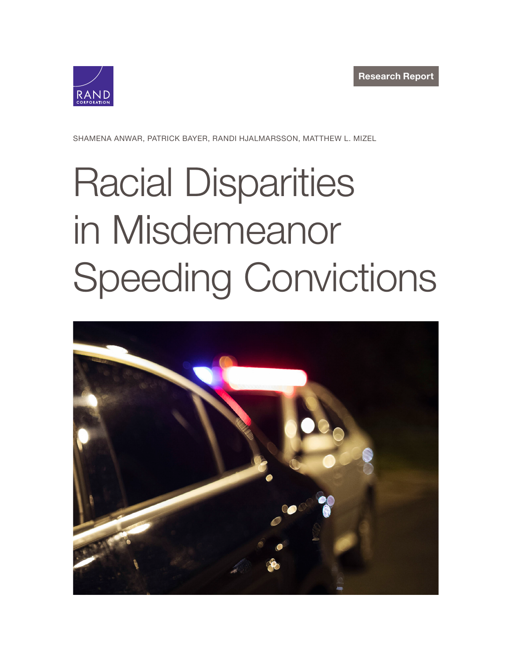

SHAMENA ANWAR, PATRICK BAYER, RANDI HJALMARSSON, MATTHEW L. MIZEL

# Racial Disparities in Misdemeanor [Speeding Convictions](https://www.rand.org/pubs/research_reports/RRA1317-1.html)

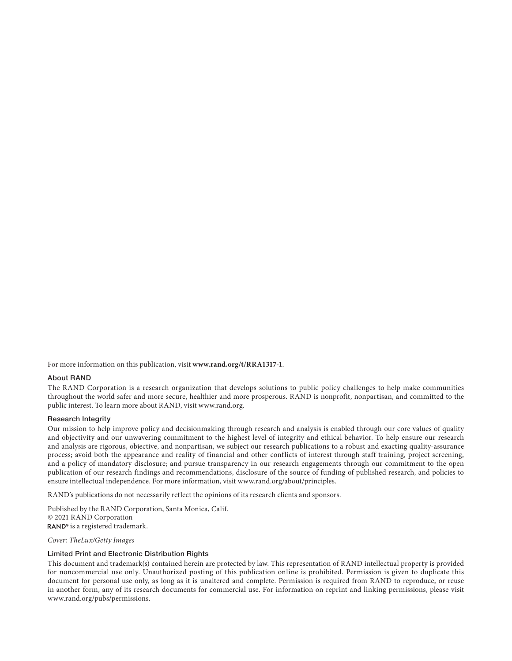For more information on this publication, visit **[www.rand.org/t/RRA1317-1](http://www.rand.org/t/RRA1317-1)**.

#### About RAND

The RAND Corporation is a research organization that develops solutions to public policy challenges to help make communities throughout the world safer and more secure, healthier and more prosperous. RAND is nonprofit, nonpartisan, and committed to the public interest. To learn more about RAND, visit [www.rand.org](http://www.rand.org).

#### Research Integrity

Our mission to help improve policy and decisionmaking through research and analysis is enabled through our core values of quality and objectivity and our unwavering commitment to the highest level of integrity and ethical behavior. To help ensure our research and analysis are rigorous, objective, and nonpartisan, we subject our research publications to a robust and exacting quality-assurance process; avoid both the appearance and reality of financial and other conflicts of interest through staff training, project screening, and a policy of mandatory disclosure; and pursue transparency in our research engagements through our commitment to the open publication of our research findings and recommendations, disclosure of the source of funding of published research, and policies to ensure intellectual independence. For more information, visit [www.rand.org/about/principles.](http://www.rand.org/about/principles)

RAND's publications do not necessarily reflect the opinions of its research clients and sponsors.

Published by the RAND Corporation, Santa Monica, Calif. © 2021 RAND Corporation RAND<sup>®</sup> is a registered trademark.

*Cover: TheLux/Getty Images*

#### Limited Print and Electronic Distribution Rights

This document and trademark(s) contained herein are protected by law. This representation of RAND intellectual property is provided for noncommercial use only. Unauthorized posting of this publication online is prohibited. Permission is given to duplicate this document for personal use only, as long as it is unaltered and complete. Permission is required from RAND to reproduce, or reuse in another form, any of its research documents for commercial use. For information on reprint and linking permissions, please visit [www.rand.org/pubs/permissions.](http://www.rand.org/pubs/permissions)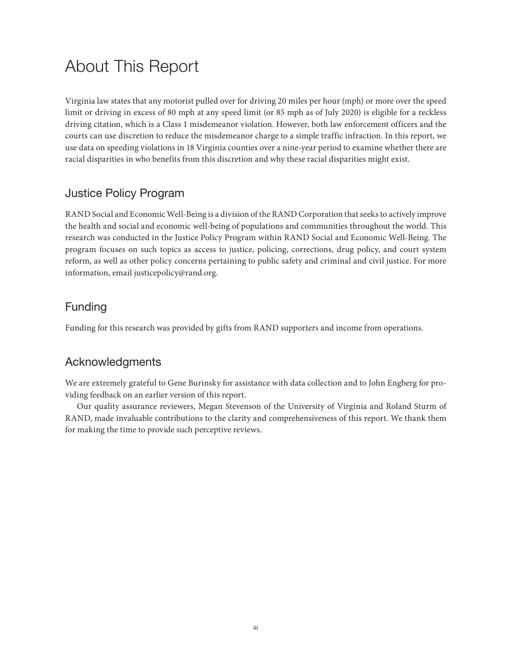# About This Report

Virginia law states that any motorist pulled over for driving 20 miles per hour (mph) or more over the speed limit or driving in excess of 80 mph at any speed limit (or 85 mph as of July 2020) is eligible for a reckless driving citation, which is a Class 1 misdemeanor violation. However, both law enforcement officers and the courts can use discretion to reduce the misdemeanor charge to a simple traffic infraction. In this report, we use data on speeding violations in 18 Virginia counties over a nine-year period to examine whether there are racial disparities in who benefits from this discretion and why these racial disparities might exist.

#### Justice Policy Program

RAND Social and Economic Well-Being is a division of the RAND Corporation that seeks to actively improve the health and social and economic well-being of populations and communities throughout the world. This research was conducted in the Justice Policy Program within RAND Social and Economic Well-Being. The program focuses on such topics as access to justice, policing, corrections, drug policy, and court system reform, as well as other policy concerns pertaining to public safety and criminal and civil justice. For more information, email [justicepolicy@rand.org.](mailto:justicepolicy@rand.org)

#### Funding

Funding for this research was provided by gifts from RAND supporters and income from operations.

#### Acknowledgments

We are extremely grateful to Gene Burinsky for assistance with data collection and to John Engberg for providing feedback on an earlier version of this report.

Our quality assurance reviewers, Megan Stevenson of the University of Virginia and Roland Sturm of RAND, made invaluable contributions to the clarity and comprehensiveness of this report. We thank them for making the time to provide such perceptive reviews.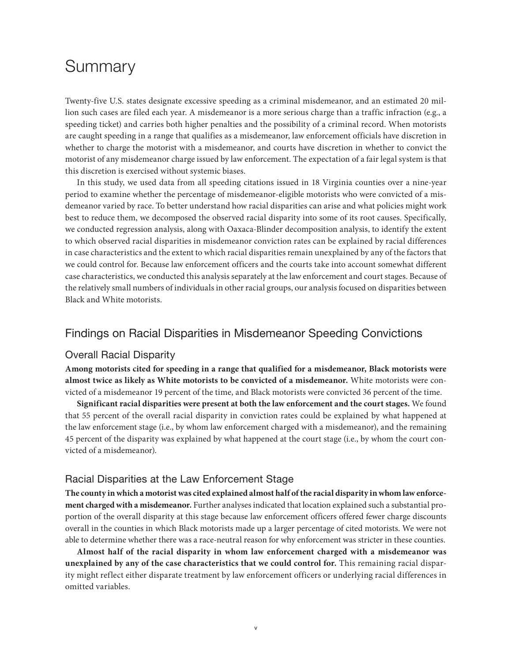## **Summary**

Twenty-five U.S. states designate excessive speeding as a criminal misdemeanor, and an estimated 20 million such cases are filed each year. A misdemeanor is a more serious charge than a traffic infraction (e.g., a speeding ticket) and carries both higher penalties and the possibility of a criminal record. When motorists are caught speeding in a range that qualifies as a misdemeanor, law enforcement officials have discretion in whether to charge the motorist with a misdemeanor, and courts have discretion in whether to convict the motorist of any misdemeanor charge issued by law enforcement. The expectation of a fair legal system is that this discretion is exercised without systemic biases.

In this study, we used data from all speeding citations issued in 18 Virginia counties over a nine-year period to examine whether the percentage of misdemeanor-eligible motorists who were convicted of a misdemeanor varied by race. To better understand how racial disparities can arise and what policies might work best to reduce them, we decomposed the observed racial disparity into some of its root causes. Specifically, we conducted regression analysis, along with Oaxaca-Blinder decomposition analysis, to identify the extent to which observed racial disparities in misdemeanor conviction rates can be explained by racial differences in case characteristics and the extent to which racial disparities remain unexplained by any of the factors that we could control for. Because law enforcement officers and the courts take into account somewhat different case characteristics, we conducted this analysis separately at the law enforcement and court stages. Because of the relatively small numbers of individuals in other racial groups, our analysis focused on disparities between Black and White motorists.

#### Findings on Racial Disparities in Misdemeanor Speeding Convictions

#### Overall Racial Disparity

**Among motorists cited for speeding in a range that qualified for a misdemeanor, Black motorists were almost twice as likely as White motorists to be convicted of a misdemeanor.** White motorists were convicted of a misdemeanor 19 percent of the time, and Black motorists were convicted 36 percent of the time.

**Significant racial disparities were present at both the law enforcement and the court stages.** We found that 55 percent of the overall racial disparity in conviction rates could be explained by what happened at the law enforcement stage (i.e., by whom law enforcement charged with a misdemeanor), and the remaining 45 percent of the disparity was explained by what happened at the court stage (i.e., by whom the court convicted of a misdemeanor).

#### Racial Disparities at the Law Enforcement Stage

**The county in which a motorist was cited explained almost half of the racial disparity in whom law enforcement charged with a misdemeanor.** Further analyses indicated that location explained such a substantial proportion of the overall disparity at this stage because law enforcement officers offered fewer charge discounts overall in the counties in which Black motorists made up a larger percentage of cited motorists. We were not able to determine whether there was a race-neutral reason for why enforcement was stricter in these counties.

**Almost half of the racial disparity in whom law enforcement charged with a misdemeanor was unexplained by any of the case characteristics that we could control for.** This remaining racial disparity might reflect either disparate treatment by law enforcement officers or underlying racial differences in omitted variables.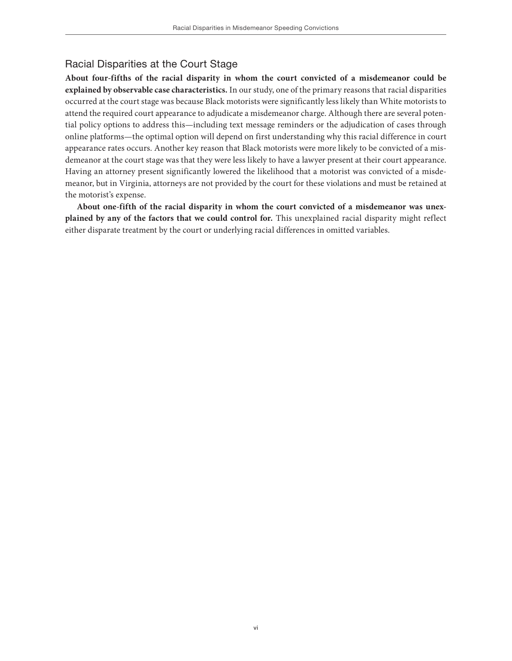#### Racial Disparities at the Court Stage

**About four-fifths of the racial disparity in whom the court convicted of a misdemeanor could be explained by observable case characteristics.** In our study, one of the primary reasons that racial disparities occurred at the court stage was because Black motorists were significantly less likely than White motorists to attend the required court appearance to adjudicate a misdemeanor charge. Although there are several potential policy options to address this—including text message reminders or the adjudication of cases through online platforms—the optimal option will depend on first understanding why this racial difference in court appearance rates occurs. Another key reason that Black motorists were more likely to be convicted of a misdemeanor at the court stage was that they were less likely to have a lawyer present at their court appearance. Having an attorney present significantly lowered the likelihood that a motorist was convicted of a misdemeanor, but in Virginia, attorneys are not provided by the court for these violations and must be retained at the motorist's expense.

**About one-fifth of the racial disparity in whom the court convicted of a misdemeanor was unexplained by any of the factors that we could control for.** This unexplained racial disparity might reflect either disparate treatment by the court or underlying racial differences in omitted variables.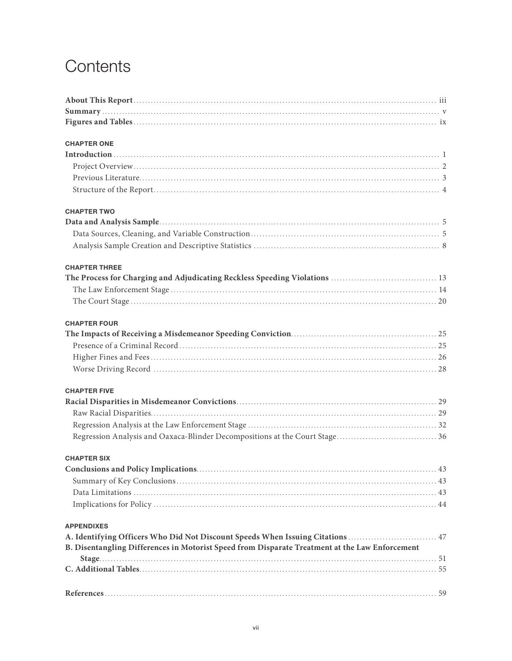# Contents

| <b>CHAPTER ONE</b>                                                                                                                                                               |  |
|----------------------------------------------------------------------------------------------------------------------------------------------------------------------------------|--|
|                                                                                                                                                                                  |  |
|                                                                                                                                                                                  |  |
|                                                                                                                                                                                  |  |
|                                                                                                                                                                                  |  |
| <b>CHAPTER TWO</b>                                                                                                                                                               |  |
|                                                                                                                                                                                  |  |
|                                                                                                                                                                                  |  |
|                                                                                                                                                                                  |  |
| <b>CHAPTER THREE</b>                                                                                                                                                             |  |
|                                                                                                                                                                                  |  |
|                                                                                                                                                                                  |  |
|                                                                                                                                                                                  |  |
| <b>CHAPTER FOUR</b>                                                                                                                                                              |  |
|                                                                                                                                                                                  |  |
|                                                                                                                                                                                  |  |
|                                                                                                                                                                                  |  |
|                                                                                                                                                                                  |  |
| <b>CHAPTER FIVE</b>                                                                                                                                                              |  |
|                                                                                                                                                                                  |  |
|                                                                                                                                                                                  |  |
|                                                                                                                                                                                  |  |
|                                                                                                                                                                                  |  |
| <b>CHAPTER SIX</b>                                                                                                                                                               |  |
|                                                                                                                                                                                  |  |
|                                                                                                                                                                                  |  |
|                                                                                                                                                                                  |  |
|                                                                                                                                                                                  |  |
|                                                                                                                                                                                  |  |
| <b>APPENDIXES</b>                                                                                                                                                                |  |
| A. Identifying Officers Who Did Not Discount Speeds When Issuing Citations  47<br>B. Disentangling Differences in Motorist Speed from Disparate Treatment at the Law Enforcement |  |
|                                                                                                                                                                                  |  |
|                                                                                                                                                                                  |  |
|                                                                                                                                                                                  |  |
|                                                                                                                                                                                  |  |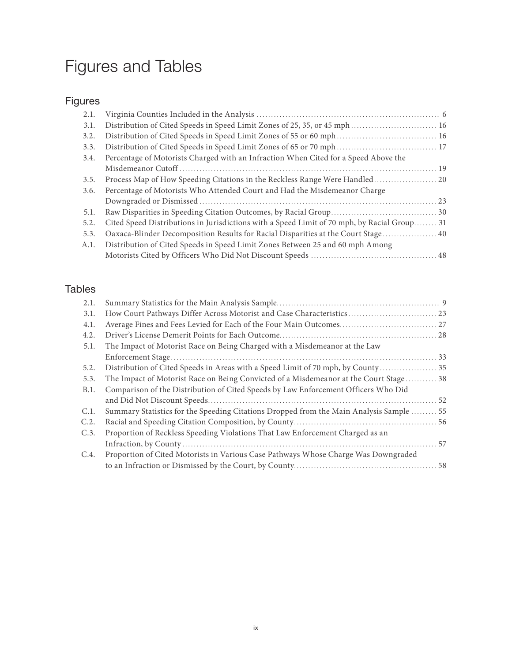# Figures and Tables

### Figures

| Percentage of Motorists Charged with an Infraction When Cited for a Speed Above the |                                                                                                                                                                                                                                                                 |
|-------------------------------------------------------------------------------------|-----------------------------------------------------------------------------------------------------------------------------------------------------------------------------------------------------------------------------------------------------------------|
|                                                                                     |                                                                                                                                                                                                                                                                 |
|                                                                                     |                                                                                                                                                                                                                                                                 |
| Percentage of Motorists Who Attended Court and Had the Misdemeanor Charge           |                                                                                                                                                                                                                                                                 |
|                                                                                     |                                                                                                                                                                                                                                                                 |
|                                                                                     |                                                                                                                                                                                                                                                                 |
|                                                                                     |                                                                                                                                                                                                                                                                 |
|                                                                                     |                                                                                                                                                                                                                                                                 |
| Distribution of Cited Speeds in Speed Limit Zones Between 25 and 60 mph Among       |                                                                                                                                                                                                                                                                 |
|                                                                                     |                                                                                                                                                                                                                                                                 |
|                                                                                     | Process Map of How Speeding Citations in the Reckless Range Were Handled 20<br>Cited Speed Distributions in Jurisdictions with a Speed Limit of 70 mph, by Racial Group 31<br>Oaxaca-Blinder Decomposition Results for Racial Disparities at the Court Stage 40 |

#### Tables

| 2.1. |                                                                                         |  |
|------|-----------------------------------------------------------------------------------------|--|
| 3.1. |                                                                                         |  |
| 4.1. |                                                                                         |  |
| 4.2. |                                                                                         |  |
| 5.1. | The Impact of Motorist Race on Being Charged with a Misdemeanor at the Law              |  |
|      |                                                                                         |  |
| 5.2. | Distribution of Cited Speeds in Areas with a Speed Limit of 70 mph, by County 35        |  |
| 5.3. | The Impact of Motorist Race on Being Convicted of a Misdemeanor at the Court Stage 38   |  |
| B.1. | Comparison of the Distribution of Cited Speeds by Law Enforcement Officers Who Did      |  |
|      |                                                                                         |  |
| C.1. | Summary Statistics for the Speeding Citations Dropped from the Main Analysis Sample  55 |  |
| C.2. |                                                                                         |  |
| C.3. | Proportion of Reckless Speeding Violations That Law Enforcement Charged as an           |  |
|      |                                                                                         |  |
| C.4. | Proportion of Cited Motorists in Various Case Pathways Whose Charge Was Downgraded      |  |
|      |                                                                                         |  |
|      |                                                                                         |  |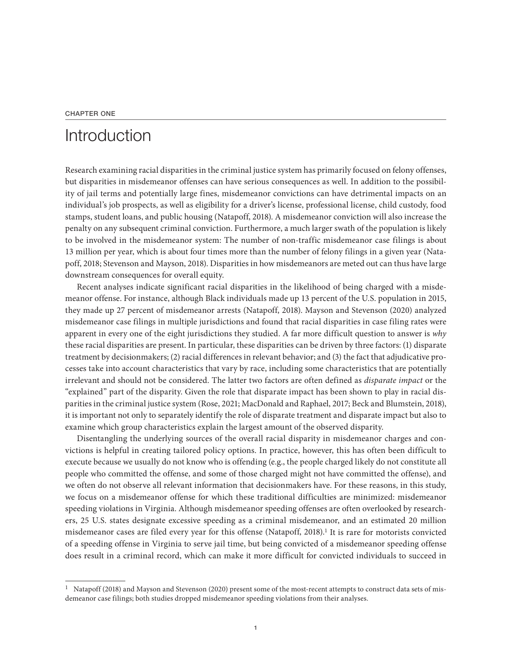## Introduction

Research examining racial disparities in the criminal justice system has primarily focused on felony offenses, but disparities in misdemeanor offenses can have serious consequences as well. In addition to the possibility of jail terms and potentially large fines, misdemeanor convictions can have detrimental impacts on an individual's job prospects, as well as eligibility for a driver's license, professional license, child custody, food stamps, student loans, and public housing (Natapoff, 2018). A misdemeanor conviction will also increase the penalty on any subsequent criminal conviction. Furthermore, a much larger swath of the population is likely to be involved in the misdemeanor system: The number of non-traffic misdemeanor case filings is about 13 million per year, which is about four times more than the number of felony filings in a given year (Natapoff, 2018; Stevenson and Mayson, 2018). Disparities in how misdemeanors are meted out can thus have large downstream consequences for overall equity.

Recent analyses indicate significant racial disparities in the likelihood of being charged with a misdemeanor offense. For instance, although Black individuals made up 13 percent of the U.S. population in 2015, they made up 27 percent of misdemeanor arrests (Natapoff, 2018). Mayson and Stevenson (2020) analyzed misdemeanor case filings in multiple jurisdictions and found that racial disparities in case filing rates were apparent in every one of the eight jurisdictions they studied. A far more difficult question to answer is *why* these racial disparities are present. In particular, these disparities can be driven by three factors: (1) disparate treatment by decisionmakers; (2) racial differences in relevant behavior; and (3) the fact that adjudicative processes take into account characteristics that vary by race, including some characteristics that are potentially irrelevant and should not be considered. The latter two factors are often defined as *disparate impact* or the "explained" part of the disparity. Given the role that disparate impact has been shown to play in racial disparities in the criminal justice system (Rose, 2021; MacDonald and Raphael, 2017; Beck and Blumstein, 2018), it is important not only to separately identify the role of disparate treatment and disparate impact but also to examine which group characteristics explain the largest amount of the observed disparity.

Disentangling the underlying sources of the overall racial disparity in misdemeanor charges and convictions is helpful in creating tailored policy options. In practice, however, this has often been difficult to execute because we usually do not know who is offending (e.g., the people charged likely do not constitute all people who committed the offense, and some of those charged might not have committed the offense), and we often do not observe all relevant information that decisionmakers have. For these reasons, in this study, we focus on a misdemeanor offense for which these traditional difficulties are minimized: misdemeanor speeding violations in Virginia. Although misdemeanor speeding offenses are often overlooked by researchers, 25 U.S. states designate excessive speeding as a criminal misdemeanor, and an estimated 20 million misdemeanor cases are filed every year for this offense (Natapoff, 2018).1 It is rare for motorists convicted of a speeding offense in Virginia to serve jail time, but being convicted of a misdemeanor speeding offense does result in a criminal record, which can make it more difficult for convicted individuals to succeed in

 $1$  Natapoff (2018) and Mayson and Stevenson (2020) present some of the most-recent attempts to construct data sets of misdemeanor case filings; both studies dropped misdemeanor speeding violations from their analyses.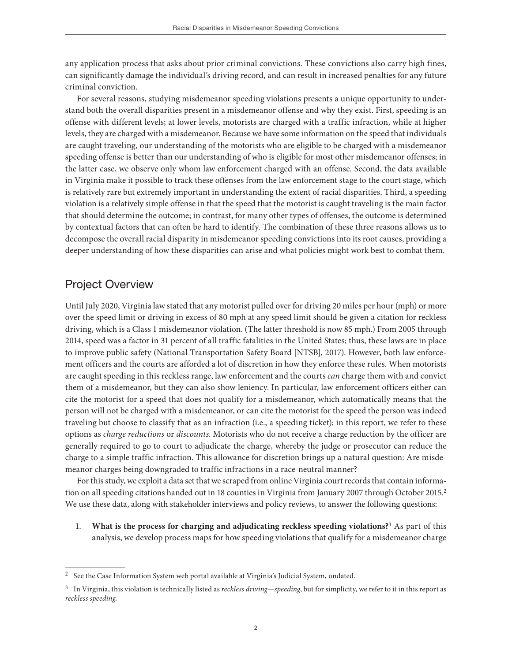any application process that asks about prior criminal convictions. These convictions also carry high fines, can significantly damage the individual's driving record, and can result in increased penalties for any future criminal conviction.

For several reasons, studying misdemeanor speeding violations presents a unique opportunity to understand both the overall disparities present in a misdemeanor offense and why they exist. First, speeding is an offense with different levels; at lower levels, motorists are charged with a traffic infraction, while at higher levels, they are charged with a misdemeanor. Because we have some information on the speed that individuals are caught traveling, our understanding of the motorists who are eligible to be charged with a misdemeanor speeding offense is better than our understanding of who is eligible for most other misdemeanor offenses; in the latter case, we observe only whom law enforcement charged with an offense. Second, the data available in Virginia make it possible to track these offenses from the law enforcement stage to the court stage, which is relatively rare but extremely important in understanding the extent of racial disparities. Third, a speeding violation is a relatively simple offense in that the speed that the motorist is caught traveling is the main factor that should determine the outcome; in contrast, for many other types of offenses, the outcome is determined by contextual factors that can often be hard to identify. The combination of these three reasons allows us to decompose the overall racial disparity in misdemeanor speeding convictions into its root causes, providing a deeper understanding of how these disparities can arise and what policies might work best to combat them.

#### Project Overview

Until July 2020, Virginia law stated that any motorist pulled over for driving 20 miles per hour (mph) or more over the speed limit or driving in excess of 80 mph at any speed limit should be given a citation for reckless driving, which is a Class 1 misdemeanor violation. (The latter threshold is now 85 mph.) From 2005 through 2014, speed was a factor in 31 percent of all traffic fatalities in the United States; thus, these laws are in place to improve public safety (National Transportation Safety Board [NTSB], 2017). However, both law enforcement officers and the courts are afforded a lot of discretion in how they enforce these rules. When motorists are caught speeding in this reckless range, law enforcement and the courts *can* charge them with and convict them of a misdemeanor, but they can also show leniency. In particular, law enforcement officers either can cite the motorist for a speed that does not qualify for a misdemeanor, which automatically means that the person will not be charged with a misdemeanor, or can cite the motorist for the speed the person was indeed traveling but choose to classify that as an infraction (i.e., a speeding ticket); in this report, we refer to these options as *charge reductions* or *discounts*. Motorists who do not receive a charge reduction by the officer are generally required to go to court to adjudicate the charge, whereby the judge or prosecutor can reduce the charge to a simple traffic infraction. This allowance for discretion brings up a natural question: Are misdemeanor charges being downgraded to traffic infractions in a race-neutral manner?

For this study, we exploit a data set that we scraped from online Virginia court records that contain information on all speeding citations handed out in 18 counties in Virginia from January 2007 through October 2015.<sup>2</sup> We use these data, along with stakeholder interviews and policy reviews, to answer the following questions:

1. **What is the process for charging and adjudicating reckless speeding violations?**3 As part of this analysis, we develop process maps for how speeding violations that qualify for a misdemeanor charge

<sup>&</sup>lt;sup>2</sup> See the Case Information System web portal available at Virginia's Judicial System, undated.

<sup>3</sup> In Virginia, this violation is technically listed as *reckless driving—speeding*, but for simplicity, we refer to it in this report as *reckless speeding*.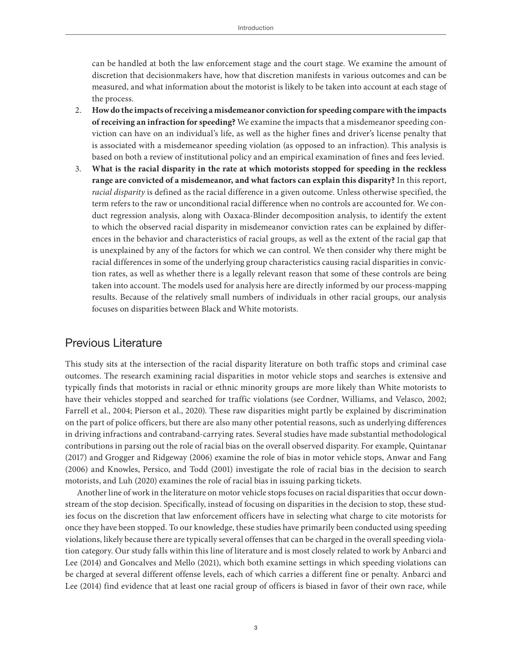can be handled at both the law enforcement stage and the court stage. We examine the amount of discretion that decisionmakers have, how that discretion manifests in various outcomes and can be measured, and what information about the motorist is likely to be taken into account at each stage of the process.

- 2. **How do the impacts of receiving a misdemeanor conviction for speeding compare with the impacts of receiving an infraction for speeding?** We examine the impacts that a misdemeanor speeding conviction can have on an individual's life, as well as the higher fines and driver's license penalty that is associated with a misdemeanor speeding violation (as opposed to an infraction). This analysis is based on both a review of institutional policy and an empirical examination of fines and fees levied.
- 3. **What is the racial disparity in the rate at which motorists stopped for speeding in the reckless range are convicted of a misdemeanor, and what factors can explain this disparity?** In this report, *racial disparity* is defined as the racial difference in a given outcome. Unless otherwise specified, the term refers to the raw or unconditional racial difference when no controls are accounted for. We conduct regression analysis, along with Oaxaca-Blinder decomposition analysis, to identify the extent to which the observed racial disparity in misdemeanor conviction rates can be explained by differences in the behavior and characteristics of racial groups, as well as the extent of the racial gap that is unexplained by any of the factors for which we can control. We then consider why there might be racial differences in some of the underlying group characteristics causing racial disparities in conviction rates, as well as whether there is a legally relevant reason that some of these controls are being taken into account. The models used for analysis here are directly informed by our process-mapping results. Because of the relatively small numbers of individuals in other racial groups, our analysis focuses on disparities between Black and White motorists.

#### Previous Literature

This study sits at the intersection of the racial disparity literature on both traffic stops and criminal case outcomes. The research examining racial disparities in motor vehicle stops and searches is extensive and typically finds that motorists in racial or ethnic minority groups are more likely than White motorists to have their vehicles stopped and searched for traffic violations (see Cordner, Williams, and Velasco, 2002; Farrell et al., 2004; Pierson et al., 2020). These raw disparities might partly be explained by discrimination on the part of police officers, but there are also many other potential reasons, such as underlying differences in driving infractions and contraband-carrying rates. Several studies have made substantial methodological contributions in parsing out the role of racial bias on the overall observed disparity. For example, Quintanar (2017) and Grogger and Ridgeway (2006) examine the role of bias in motor vehicle stops, Anwar and Fang (2006) and Knowles, Persico, and Todd (2001) investigate the role of racial bias in the decision to search motorists, and Luh (2020) examines the role of racial bias in issuing parking tickets.

Another line of work in the literature on motor vehicle stops focuses on racial disparities that occur downstream of the stop decision. Specifically, instead of focusing on disparities in the decision to stop, these studies focus on the discretion that law enforcement officers have in selecting what charge to cite motorists for once they have been stopped. To our knowledge, these studies have primarily been conducted using speeding violations, likely because there are typically several offenses that can be charged in the overall speeding violation category. Our study falls within this line of literature and is most closely related to work by Anbarci and Lee (2014) and Goncalves and Mello (2021), which both examine settings in which speeding violations can be charged at several different offense levels, each of which carries a different fine or penalty. Anbarci and Lee (2014) find evidence that at least one racial group of officers is biased in favor of their own race, while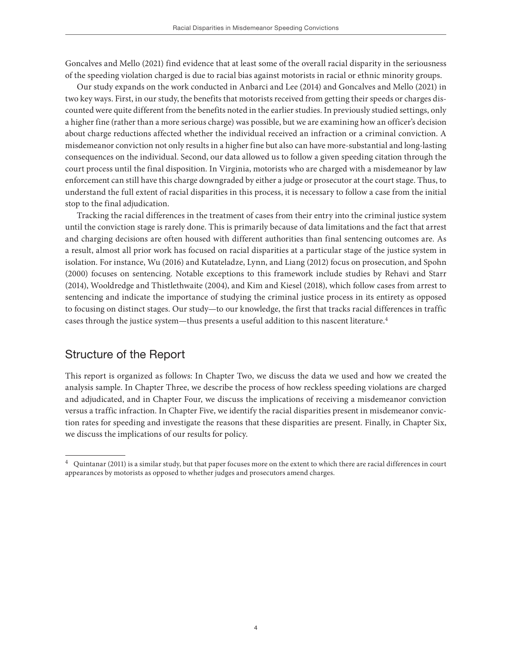Goncalves and Mello (2021) find evidence that at least some of the overall racial disparity in the seriousness of the speeding violation charged is due to racial bias against motorists in racial or ethnic minority groups.

Our study expands on the work conducted in Anbarci and Lee (2014) and Goncalves and Mello (2021) in two key ways. First, in our study, the benefits that motorists received from getting their speeds or charges discounted were quite different from the benefits noted in the earlier studies. In previously studied settings, only a higher fine (rather than a more serious charge) was possible, but we are examining how an officer's decision about charge reductions affected whether the individual received an infraction or a criminal conviction. A misdemeanor conviction not only results in a higher fine but also can have more-substantial and long-lasting consequences on the individual. Second, our data allowed us to follow a given speeding citation through the court process until the final disposition. In Virginia, motorists who are charged with a misdemeanor by law enforcement can still have this charge downgraded by either a judge or prosecutor at the court stage. Thus, to understand the full extent of racial disparities in this process, it is necessary to follow a case from the initial stop to the final adjudication.

Tracking the racial differences in the treatment of cases from their entry into the criminal justice system until the conviction stage is rarely done. This is primarily because of data limitations and the fact that arrest and charging decisions are often housed with different authorities than final sentencing outcomes are. As a result, almost all prior work has focused on racial disparities at a particular stage of the justice system in isolation. For instance, Wu (2016) and Kutateladze, Lynn, and Liang (2012) focus on prosecution, and Spohn (2000) focuses on sentencing. Notable exceptions to this framework include studies by Rehavi and Starr (2014), Wooldredge and Thistlethwaite (2004), and Kim and Kiesel (2018), which follow cases from arrest to sentencing and indicate the importance of studying the criminal justice process in its entirety as opposed to focusing on distinct stages. Our study—to our knowledge, the first that tracks racial differences in traffic cases through the justice system—thus presents a useful addition to this nascent literature.4

#### Structure of the Report

This report is organized as follows: In Chapter Two, we discuss the data we used and how we created the analysis sample. In Chapter Three, we describe the process of how reckless speeding violations are charged and adjudicated, and in Chapter Four, we discuss the implications of receiving a misdemeanor conviction versus a traffic infraction. In Chapter Five, we identify the racial disparities present in misdemeanor conviction rates for speeding and investigate the reasons that these disparities are present. Finally, in Chapter Six, we discuss the implications of our results for policy.

<sup>4</sup> Quintanar (2011) is a similar study, but that paper focuses more on the extent to which there are racial differences in court appearances by motorists as opposed to whether judges and prosecutors amend charges.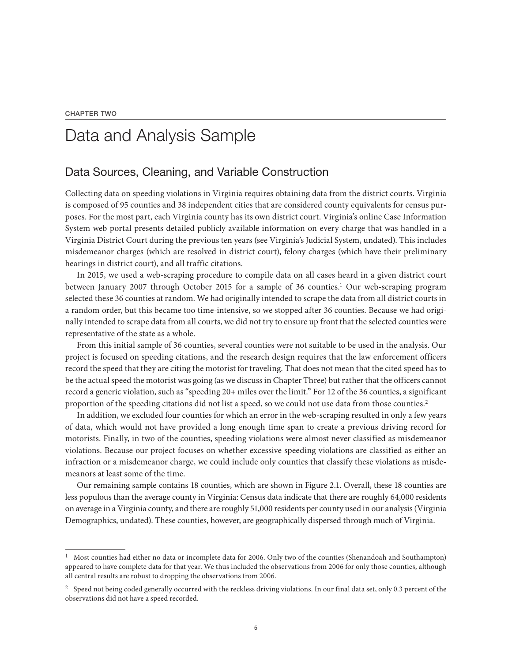## Data and Analysis Sample

#### Data Sources, Cleaning, and Variable Construction

Collecting data on speeding violations in Virginia requires obtaining data from the district courts. Virginia is composed of 95 counties and 38 independent cities that are considered county equivalents for census purposes. For the most part, each Virginia county has its own district court. Virginia's online Case Information System web portal presents detailed publicly available information on every charge that was handled in a Virginia District Court during the previous ten years (see Virginia's Judicial System, undated). This includes misdemeanor charges (which are resolved in district court), felony charges (which have their preliminary hearings in district court), and all traffic citations.

In 2015, we used a web-scraping procedure to compile data on all cases heard in a given district court between January 2007 through October 2015 for a sample of 36 counties.1 Our web-scraping program selected these 36 counties at random. We had originally intended to scrape the data from all district courts in a random order, but this became too time-intensive, so we stopped after 36 counties. Because we had originally intended to scrape data from all courts, we did not try to ensure up front that the selected counties were representative of the state as a whole.

From this initial sample of 36 counties, several counties were not suitable to be used in the analysis. Our project is focused on speeding citations, and the research design requires that the law enforcement officers record the speed that they are citing the motorist for traveling. That does not mean that the cited speed has to be the actual speed the motorist was going (as we discuss in Chapter Three) but rather that the officers cannot record a generic violation, such as "speeding 20+ miles over the limit." For 12 of the 36 counties, a significant proportion of the speeding citations did not list a speed, so we could not use data from those counties.2

In addition, we excluded four counties for which an error in the web-scraping resulted in only a few years of data, which would not have provided a long enough time span to create a previous driving record for motorists. Finally, in two of the counties, speeding violations were almost never classified as misdemeanor violations. Because our project focuses on whether excessive speeding violations are classified as either an infraction or a misdemeanor charge, we could include only counties that classify these violations as misdemeanors at least some of the time.

Our remaining sample contains 18 counties, which are shown in Figure 2.1. Overall, these 18 counties are less populous than the average county in Virginia: Census data indicate that there are roughly 64,000 residents on average in a Virginia county, and there are roughly 51,000 residents per county used in our analysis (Virginia Demographics, undated). These counties, however, are geographically dispersed through much of Virginia.

<sup>&</sup>lt;sup>1</sup> Most counties had either no data or incomplete data for 2006. Only two of the counties (Shenandoah and Southampton) appeared to have complete data for that year. We thus included the observations from 2006 for only those counties, although all central results are robust to dropping the observations from 2006.

<sup>&</sup>lt;sup>2</sup> Speed not being coded generally occurred with the reckless driving violations. In our final data set, only 0.3 percent of the observations did not have a speed recorded.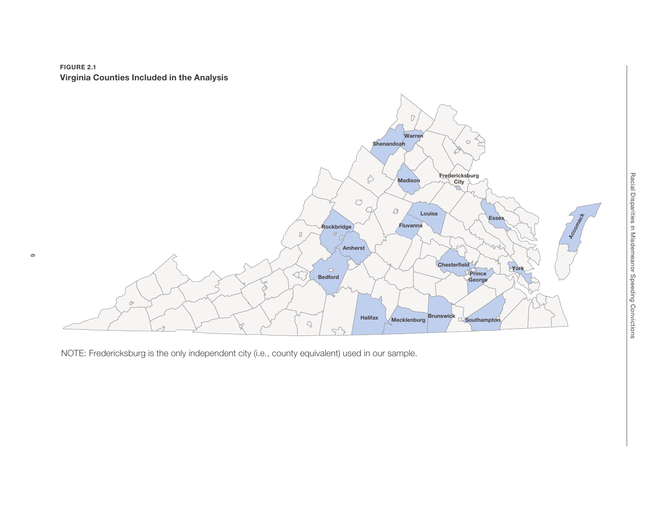FIGURE 2.1Virginia Counties Included in the Analysis



NOTE: Fredericksburg is the only independent city (i.e., county equivalent) used in our sample.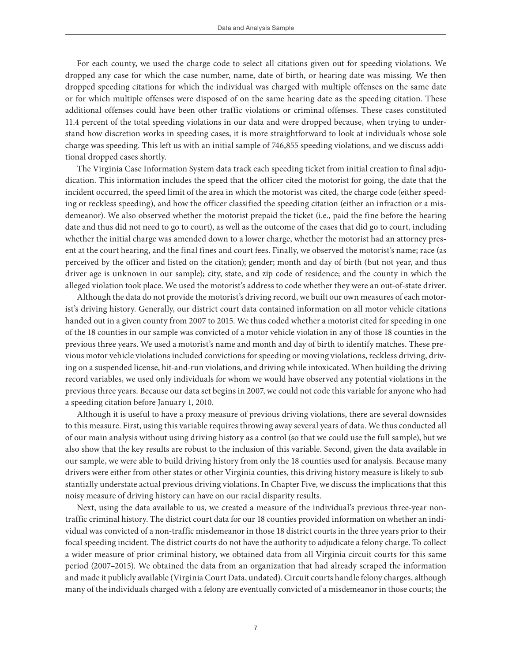For each county, we used the charge code to select all citations given out for speeding violations. We dropped any case for which the case number, name, date of birth, or hearing date was missing. We then dropped speeding citations for which the individual was charged with multiple offenses on the same date or for which multiple offenses were disposed of on the same hearing date as the speeding citation. These additional offenses could have been other traffic violations or criminal offenses. These cases constituted 11.4 percent of the total speeding violations in our data and were dropped because, when trying to understand how discretion works in speeding cases, it is more straightforward to look at individuals whose sole charge was speeding. This left us with an initial sample of 746,855 speeding violations, and we discuss additional dropped cases shortly.

The Virginia Case Information System data track each speeding ticket from initial creation to final adjudication. This information includes the speed that the officer cited the motorist for going, the date that the incident occurred, the speed limit of the area in which the motorist was cited, the charge code (either speeding or reckless speeding), and how the officer classified the speeding citation (either an infraction or a misdemeanor). We also observed whether the motorist prepaid the ticket (i.e., paid the fine before the hearing date and thus did not need to go to court), as well as the outcome of the cases that did go to court, including whether the initial charge was amended down to a lower charge, whether the motorist had an attorney present at the court hearing, and the final fines and court fees. Finally, we observed the motorist's name; race (as perceived by the officer and listed on the citation); gender; month and day of birth (but not year, and thus driver age is unknown in our sample); city, state, and zip code of residence; and the county in which the alleged violation took place. We used the motorist's address to code whether they were an out-of-state driver.

Although the data do not provide the motorist's driving record, we built our own measures of each motorist's driving history. Generally, our district court data contained information on all motor vehicle citations handed out in a given county from 2007 to 2015. We thus coded whether a motorist cited for speeding in one of the 18 counties in our sample was convicted of a motor vehicle violation in any of those 18 counties in the previous three years. We used a motorist's name and month and day of birth to identify matches. These previous motor vehicle violations included convictions for speeding or moving violations, reckless driving, driving on a suspended license, hit-and-run violations, and driving while intoxicated. When building the driving record variables, we used only individuals for whom we would have observed any potential violations in the previous three years. Because our data set begins in 2007, we could not code this variable for anyone who had a speeding citation before January 1, 2010.

Although it is useful to have a proxy measure of previous driving violations, there are several downsides to this measure. First, using this variable requires throwing away several years of data. We thus conducted all of our main analysis without using driving history as a control (so that we could use the full sample), but we also show that the key results are robust to the inclusion of this variable. Second, given the data available in our sample, we were able to build driving history from only the 18 counties used for analysis. Because many drivers were either from other states or other Virginia counties, this driving history measure is likely to substantially understate actual previous driving violations. In Chapter Five, we discuss the implications that this noisy measure of driving history can have on our racial disparity results.

Next, using the data available to us, we created a measure of the individual's previous three-year nontraffic criminal history. The district court data for our 18 counties provided information on whether an individual was convicted of a non-traffic misdemeanor in those 18 district courts in the three years prior to their focal speeding incident. The district courts do not have the authority to adjudicate a felony charge. To collect a wider measure of prior criminal history, we obtained data from all Virginia circuit courts for this same period (2007–2015). We obtained the data from an organization that had already scraped the information and made it publicly available (Virginia Court Data, undated). Circuit courts handle felony charges, although many of the individuals charged with a felony are eventually convicted of a misdemeanor in those courts; the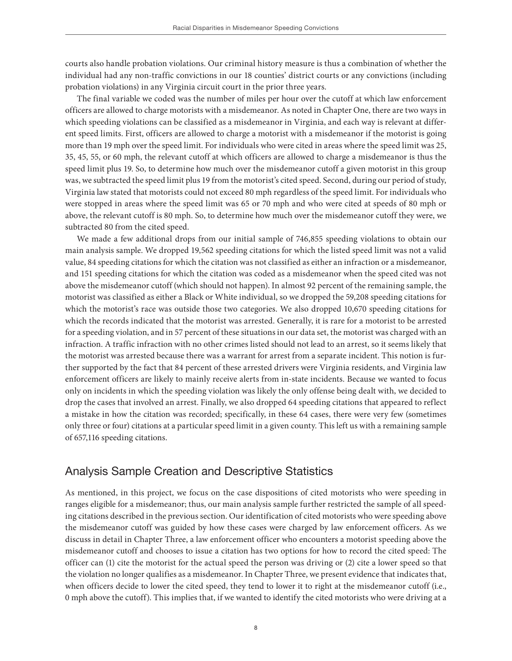courts also handle probation violations. Our criminal history measure is thus a combination of whether the individual had any non-traffic convictions in our 18 counties' district courts or any convictions (including probation violations) in any Virginia circuit court in the prior three years.

The final variable we coded was the number of miles per hour over the cutoff at which law enforcement officers are allowed to charge motorists with a misdemeanor. As noted in Chapter One, there are two ways in which speeding violations can be classified as a misdemeanor in Virginia, and each way is relevant at different speed limits. First, officers are allowed to charge a motorist with a misdemeanor if the motorist is going more than 19 mph over the speed limit. For individuals who were cited in areas where the speed limit was 25, 35, 45, 55, or 60 mph, the relevant cutoff at which officers are allowed to charge a misdemeanor is thus the speed limit plus 19. So, to determine how much over the misdemeanor cutoff a given motorist in this group was, we subtracted the speed limit plus 19 from the motorist's cited speed. Second, during our period of study, Virginia law stated that motorists could not exceed 80 mph regardless of the speed limit. For individuals who were stopped in areas where the speed limit was 65 or 70 mph and who were cited at speeds of 80 mph or above, the relevant cutoff is 80 mph. So, to determine how much over the misdemeanor cutoff they were, we subtracted 80 from the cited speed.

We made a few additional drops from our initial sample of 746,855 speeding violations to obtain our main analysis sample. We dropped 19,562 speeding citations for which the listed speed limit was not a valid value, 84 speeding citations for which the citation was not classified as either an infraction or a misdemeanor, and 151 speeding citations for which the citation was coded as a misdemeanor when the speed cited was not above the misdemeanor cutoff (which should not happen). In almost 92 percent of the remaining sample, the motorist was classified as either a Black or White individual, so we dropped the 59,208 speeding citations for which the motorist's race was outside those two categories. We also dropped 10,670 speeding citations for which the records indicated that the motorist was arrested. Generally, it is rare for a motorist to be arrested for a speeding violation, and in 57 percent of these situations in our data set, the motorist was charged with an infraction. A traffic infraction with no other crimes listed should not lead to an arrest, so it seems likely that the motorist was arrested because there was a warrant for arrest from a separate incident. This notion is further supported by the fact that 84 percent of these arrested drivers were Virginia residents, and Virginia law enforcement officers are likely to mainly receive alerts from in-state incidents. Because we wanted to focus only on incidents in which the speeding violation was likely the only offense being dealt with, we decided to drop the cases that involved an arrest. Finally, we also dropped 64 speeding citations that appeared to reflect a mistake in how the citation was recorded; specifically, in these 64 cases, there were very few (sometimes only three or four) citations at a particular speed limit in a given county. This left us with a remaining sample of 657,116 speeding citations.

#### Analysis Sample Creation and Descriptive Statistics

As mentioned, in this project, we focus on the case dispositions of cited motorists who were speeding in ranges eligible for a misdemeanor; thus, our main analysis sample further restricted the sample of all speeding citations described in the previous section. Our identification of cited motorists who were speeding above the misdemeanor cutoff was guided by how these cases were charged by law enforcement officers. As we discuss in detail in Chapter Three, a law enforcement officer who encounters a motorist speeding above the misdemeanor cutoff and chooses to issue a citation has two options for how to record the cited speed: The officer can (1) cite the motorist for the actual speed the person was driving or (2) cite a lower speed so that the violation no longer qualifies as a misdemeanor. In Chapter Three, we present evidence that indicates that, when officers decide to lower the cited speed, they tend to lower it to right at the misdemeanor cutoff (i.e., 0 mph above the cutoff). This implies that, if we wanted to identify the cited motorists who were driving at a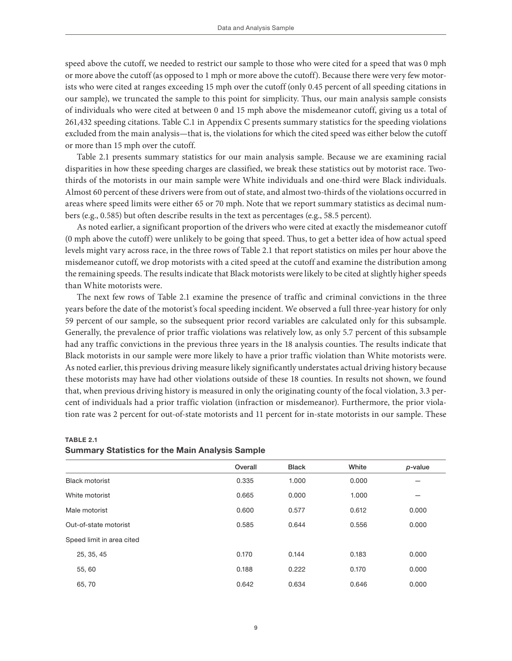speed above the cutoff, we needed to restrict our sample to those who were cited for a speed that was 0 mph or more above the cutoff (as opposed to 1 mph or more above the cutoff). Because there were very few motorists who were cited at ranges exceeding 15 mph over the cutoff (only 0.45 percent of all speeding citations in our sample), we truncated the sample to this point for simplicity. Thus, our main analysis sample consists of individuals who were cited at between 0 and 15 mph above the misdemeanor cutoff, giving us a total of 261,432 speeding citations. Table C.1 in Appendix C presents summary statistics for the speeding violations excluded from the main analysis—that is, the violations for which the cited speed was either below the cutoff or more than 15 mph over the cutoff.

Table 2.1 presents summary statistics for our main analysis sample. Because we are examining racial disparities in how these speeding charges are classified, we break these statistics out by motorist race. Twothirds of the motorists in our main sample were White individuals and one-third were Black individuals. Almost 60 percent of these drivers were from out of state, and almost two-thirds of the violations occurred in areas where speed limits were either 65 or 70 mph. Note that we report summary statistics as decimal numbers (e.g., 0.585) but often describe results in the text as percentages (e.g., 58.5 percent).

As noted earlier, a significant proportion of the drivers who were cited at exactly the misdemeanor cutoff (0 mph above the cutoff) were unlikely to be going that speed. Thus, to get a better idea of how actual speed levels might vary across race, in the three rows of Table 2.1 that report statistics on miles per hour above the misdemeanor cutoff, we drop motorists with a cited speed at the cutoff and examine the distribution among the remaining speeds. The results indicate that Black motorists were likely to be cited at slightly higher speeds than White motorists were.

The next few rows of Table 2.1 examine the presence of traffic and criminal convictions in the three years before the date of the motorist's focal speeding incident. We observed a full three-year history for only 59 percent of our sample, so the subsequent prior record variables are calculated only for this subsample. Generally, the prevalence of prior traffic violations was relatively low, as only 5.7 percent of this subsample had any traffic convictions in the previous three years in the 18 analysis counties. The results indicate that Black motorists in our sample were more likely to have a prior traffic violation than White motorists were. As noted earlier, this previous driving measure likely significantly understates actual driving history because these motorists may have had other violations outside of these 18 counties. In results not shown, we found that, when previous driving history is measured in only the originating county of the focal violation, 3.3 percent of individuals had a prior traffic violation (infraction or misdemeanor). Furthermore, the prior violation rate was 2 percent for out-of-state motorists and 11 percent for in-state motorists in our sample. These

|                           | Overall | <b>Black</b> | White | p-value |
|---------------------------|---------|--------------|-------|---------|
| <b>Black motorist</b>     | 0.335   | 1.000        | 0.000 | –       |
| White motorist            | 0.665   | 0.000        | 1.000 | –       |
| Male motorist             | 0.600   | 0.577        | 0.612 | 0.000   |
| Out-of-state motorist     | 0.585   | 0.644        | 0.556 | 0.000   |
| Speed limit in area cited |         |              |       |         |
| 25, 35, 45                | 0.170   | 0.144        | 0.183 | 0.000   |
| 55,60                     | 0.188   | 0.222        | 0.170 | 0.000   |
| 65,70                     | 0.642   | 0.634        | 0.646 | 0.000   |

#### TABLE 2.1 Summary Statistics for the Main Analysis Sample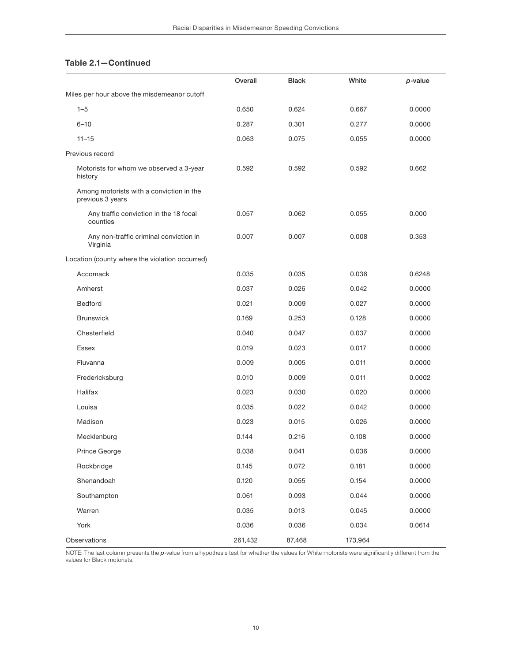#### Table 2.1—Continued

|                                                              | Overall | <b>Black</b> | White   | p-value |
|--------------------------------------------------------------|---------|--------------|---------|---------|
| Miles per hour above the misdemeanor cutoff                  |         |              |         |         |
| $1 - 5$                                                      | 0.650   | 0.624        | 0.667   | 0.0000  |
| $6 - 10$                                                     | 0.287   | 0.301        | 0.277   | 0.0000  |
| $11 - 15$                                                    | 0.063   | 0.075        | 0.055   | 0.0000  |
| Previous record                                              |         |              |         |         |
| Motorists for whom we observed a 3-year<br>history           | 0.592   | 0.592        | 0.592   | 0.662   |
| Among motorists with a conviction in the<br>previous 3 years |         |              |         |         |
| Any traffic conviction in the 18 focal<br>counties           | 0.057   | 0.062        | 0.055   | 0.000   |
| Any non-traffic criminal conviction in<br>Virginia           | 0.007   | 0.007        | 0.008   | 0.353   |
| Location (county where the violation occurred)               |         |              |         |         |
| Accomack                                                     | 0.035   | 0.035        | 0.036   | 0.6248  |
| Amherst                                                      | 0.037   | 0.026        | 0.042   | 0.0000  |
| Bedford                                                      | 0.021   | 0.009        | 0.027   | 0.0000  |
| <b>Brunswick</b>                                             | 0.169   | 0.253        | 0.128   | 0.0000  |
| Chesterfield                                                 | 0.040   | 0.047        | 0.037   | 0.0000  |
| <b>Essex</b>                                                 | 0.019   | 0.023        | 0.017   | 0.0000  |
| Fluvanna                                                     | 0.009   | 0.005        | 0.011   | 0.0000  |
| Fredericksburg                                               | 0.010   | 0.009        | 0.011   | 0.0002  |
| Halifax                                                      | 0.023   | 0.030        | 0.020   | 0.0000  |
| Louisa                                                       | 0.035   | 0.022        | 0.042   | 0.0000  |
| Madison                                                      | 0.023   | 0.015        | 0.026   | 0.0000  |
| Mecklenburg                                                  | 0.144   | 0.216        | 0.108   | 0.0000  |
| Prince George                                                | 0.038   | 0.041        | 0.036   | 0.0000  |
| Rockbridge                                                   | 0.145   | 0.072        | 0.181   | 0.0000  |
| Shenandoah                                                   | 0.120   | 0.055        | 0.154   | 0.0000  |
| Southampton                                                  | 0.061   | 0.093        | 0.044   | 0.0000  |
| Warren                                                       | 0.035   | 0.013        | 0.045   | 0.0000  |
| York                                                         | 0.036   | 0.036        | 0.034   | 0.0614  |
| Observations                                                 | 261,432 | 87,468       | 173,964 |         |

NOTE: The last column presents the *p*-value from a hypothesis test for whether the values for White motorists were significantly different from the values for Black motorists.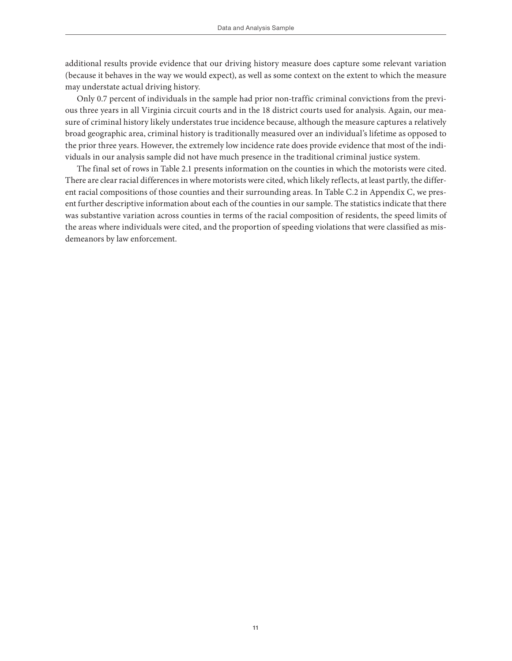additional results provide evidence that our driving history measure does capture some relevant variation (because it behaves in the way we would expect), as well as some context on the extent to which the measure may understate actual driving history.

Only 0.7 percent of individuals in the sample had prior non-traffic criminal convictions from the previous three years in all Virginia circuit courts and in the 18 district courts used for analysis. Again, our measure of criminal history likely understates true incidence because, although the measure captures a relatively broad geographic area, criminal history is traditionally measured over an individual's lifetime as opposed to the prior three years. However, the extremely low incidence rate does provide evidence that most of the individuals in our analysis sample did not have much presence in the traditional criminal justice system.

The final set of rows in Table 2.1 presents information on the counties in which the motorists were cited. There are clear racial differences in where motorists were cited, which likely reflects, at least partly, the different racial compositions of those counties and their surrounding areas. In Table C.2 in Appendix C, we present further descriptive information about each of the counties in our sample. The statistics indicate that there was substantive variation across counties in terms of the racial composition of residents, the speed limits of the areas where individuals were cited, and the proportion of speeding violations that were classified as misdemeanors by law enforcement.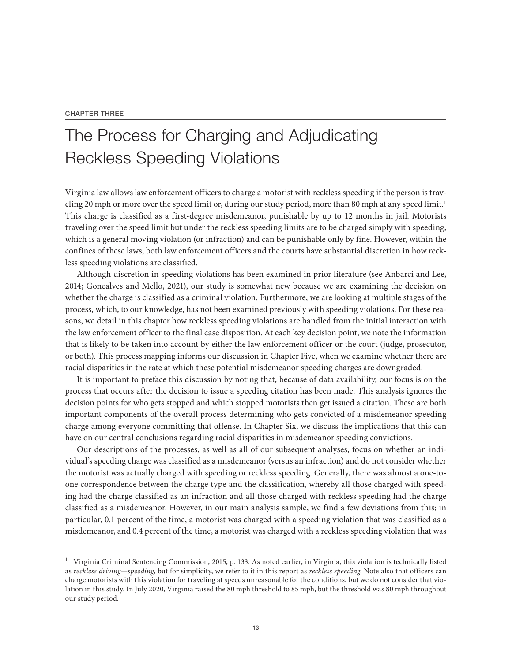# The Process for Charging and Adjudicating Reckless Speeding Violations

Virginia law allows law enforcement officers to charge a motorist with reckless speeding if the person is traveling 20 mph or more over the speed limit or, during our study period, more than 80 mph at any speed limit.<sup>1</sup> This charge is classified as a first-degree misdemeanor, punishable by up to 12 months in jail. Motorists traveling over the speed limit but under the reckless speeding limits are to be charged simply with speeding, which is a general moving violation (or infraction) and can be punishable only by fine. However, within the confines of these laws, both law enforcement officers and the courts have substantial discretion in how reckless speeding violations are classified.

Although discretion in speeding violations has been examined in prior literature (see Anbarci and Lee, 2014; Goncalves and Mello, 2021), our study is somewhat new because we are examining the decision on whether the charge is classified as a criminal violation. Furthermore, we are looking at multiple stages of the process, which, to our knowledge, has not been examined previously with speeding violations. For these reasons, we detail in this chapter how reckless speeding violations are handled from the initial interaction with the law enforcement officer to the final case disposition. At each key decision point, we note the information that is likely to be taken into account by either the law enforcement officer or the court (judge, prosecutor, or both). This process mapping informs our discussion in Chapter Five, when we examine whether there are racial disparities in the rate at which these potential misdemeanor speeding charges are downgraded.

It is important to preface this discussion by noting that, because of data availability, our focus is on the process that occurs after the decision to issue a speeding citation has been made. This analysis ignores the decision points for who gets stopped and which stopped motorists then get issued a citation. These are both important components of the overall process determining who gets convicted of a misdemeanor speeding charge among everyone committing that offense. In Chapter Six, we discuss the implications that this can have on our central conclusions regarding racial disparities in misdemeanor speeding convictions.

Our descriptions of the processes, as well as all of our subsequent analyses, focus on whether an individual's speeding charge was classified as a misdemeanor (versus an infraction) and do not consider whether the motorist was actually charged with speeding or reckless speeding. Generally, there was almost a one-toone correspondence between the charge type and the classification, whereby all those charged with speeding had the charge classified as an infraction and all those charged with reckless speeding had the charge classified as a misdemeanor. However, in our main analysis sample, we find a few deviations from this; in particular, 0.1 percent of the time, a motorist was charged with a speeding violation that was classified as a misdemeanor, and 0.4 percent of the time, a motorist was charged with a reckless speeding violation that was

<sup>&</sup>lt;sup>1</sup> Virginia Criminal Sentencing Commission, 2015, p. 133. As noted earlier, in Virginia, this violation is technically listed as *reckless driving—speeding*, but for simplicity, we refer to it in this report as *reckless speeding*. Note also that officers can charge motorists with this violation for traveling at speeds unreasonable for the conditions, but we do not consider that violation in this study. In July 2020, Virginia raised the 80 mph threshold to 85 mph, but the threshold was 80 mph throughout our study period.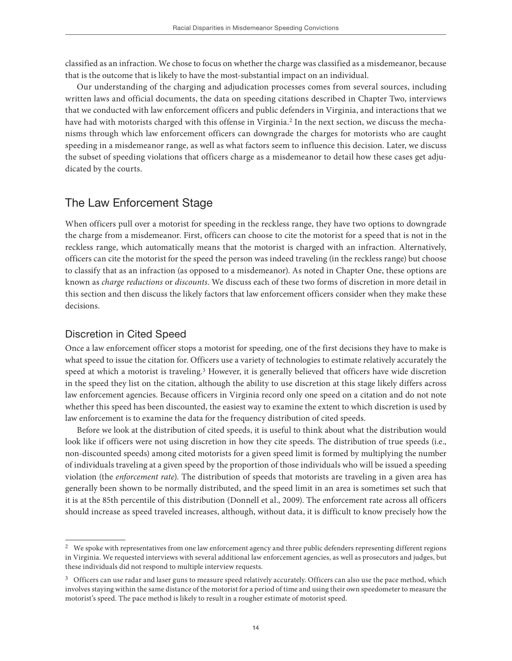classified as an infraction. We chose to focus on whether the charge was classified as a misdemeanor, because that is the outcome that is likely to have the most-substantial impact on an individual.

Our understanding of the charging and adjudication processes comes from several sources, including written laws and official documents, the data on speeding citations described in Chapter Two, interviews that we conducted with law enforcement officers and public defenders in Virginia, and interactions that we have had with motorists charged with this offense in Virginia.<sup>2</sup> In the next section, we discuss the mechanisms through which law enforcement officers can downgrade the charges for motorists who are caught speeding in a misdemeanor range, as well as what factors seem to influence this decision. Later, we discuss the subset of speeding violations that officers charge as a misdemeanor to detail how these cases get adjudicated by the courts.

#### The Law Enforcement Stage

When officers pull over a motorist for speeding in the reckless range, they have two options to downgrade the charge from a misdemeanor. First, officers can choose to cite the motorist for a speed that is not in the reckless range, which automatically means that the motorist is charged with an infraction. Alternatively, officers can cite the motorist for the speed the person was indeed traveling (in the reckless range) but choose to classify that as an infraction (as opposed to a misdemeanor). As noted in Chapter One, these options are known as *charge reductions* or *discounts*. We discuss each of these two forms of discretion in more detail in this section and then discuss the likely factors that law enforcement officers consider when they make these decisions.

#### Discretion in Cited Speed

Once a law enforcement officer stops a motorist for speeding, one of the first decisions they have to make is what speed to issue the citation for. Officers use a variety of technologies to estimate relatively accurately the speed at which a motorist is traveling.3 However, it is generally believed that officers have wide discretion in the speed they list on the citation, although the ability to use discretion at this stage likely differs across law enforcement agencies. Because officers in Virginia record only one speed on a citation and do not note whether this speed has been discounted, the easiest way to examine the extent to which discretion is used by law enforcement is to examine the data for the frequency distribution of cited speeds.

Before we look at the distribution of cited speeds, it is useful to think about what the distribution would look like if officers were not using discretion in how they cite speeds. The distribution of true speeds (i.e., non-discounted speeds) among cited motorists for a given speed limit is formed by multiplying the number of individuals traveling at a given speed by the proportion of those individuals who will be issued a speeding violation (the *enforcement rate*). The distribution of speeds that motorists are traveling in a given area has generally been shown to be normally distributed, and the speed limit in an area is sometimes set such that it is at the 85th percentile of this distribution (Donnell et al., 2009). The enforcement rate across all officers should increase as speed traveled increases, although, without data, it is difficult to know precisely how the

<sup>&</sup>lt;sup>2</sup> We spoke with representatives from one law enforcement agency and three public defenders representing different regions in Virginia. We requested interviews with several additional law enforcement agencies, as well as prosecutors and judges, but these individuals did not respond to multiple interview requests.

<sup>&</sup>lt;sup>3</sup> Officers can use radar and laser guns to measure speed relatively accurately. Officers can also use the pace method, which involves staying within the same distance of the motorist for a period of time and using their own speedometer to measure the motorist's speed. The pace method is likely to result in a rougher estimate of motorist speed.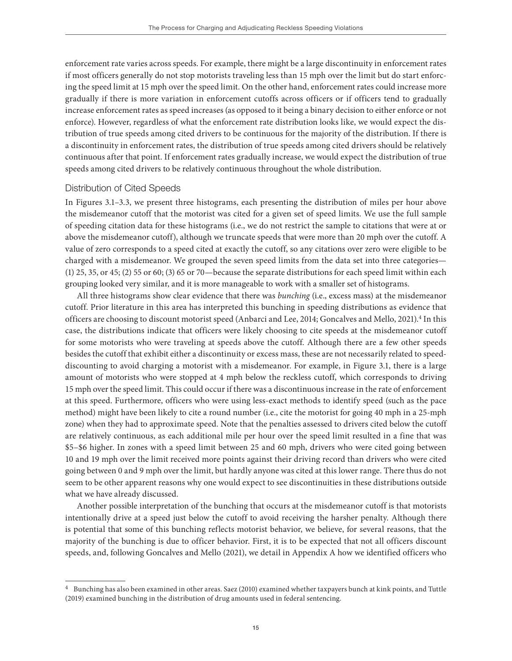enforcement rate varies across speeds. For example, there might be a large discontinuity in enforcement rates if most officers generally do not stop motorists traveling less than 15 mph over the limit but do start enforcing the speed limit at 15 mph over the speed limit. On the other hand, enforcement rates could increase more gradually if there is more variation in enforcement cutoffs across officers or if officers tend to gradually increase enforcement rates as speed increases (as opposed to it being a binary decision to either enforce or not enforce). However, regardless of what the enforcement rate distribution looks like, we would expect the distribution of true speeds among cited drivers to be continuous for the majority of the distribution. If there is a discontinuity in enforcement rates, the distribution of true speeds among cited drivers should be relatively continuous after that point. If enforcement rates gradually increase, we would expect the distribution of true speeds among cited drivers to be relatively continuous throughout the whole distribution.

#### Distribution of Cited Speeds

In Figures 3.1–3.3, we present three histograms, each presenting the distribution of miles per hour above the misdemeanor cutoff that the motorist was cited for a given set of speed limits. We use the full sample of speeding citation data for these histograms (i.e., we do not restrict the sample to citations that were at or above the misdemeanor cutoff), although we truncate speeds that were more than 20 mph over the cutoff. A value of zero corresponds to a speed cited at exactly the cutoff, so any citations over zero were eligible to be charged with a misdemeanor. We grouped the seven speed limits from the data set into three categories—  $(1)$  25, 35, or 45;  $(2)$  55 or 60;  $(3)$  65 or 70—because the separate distributions for each speed limit within each grouping looked very similar, and it is more manageable to work with a smaller set of histograms.

All three histograms show clear evidence that there was *bunching* (i.e., excess mass) at the misdemeanor cutoff. Prior literature in this area has interpreted this bunching in speeding distributions as evidence that officers are choosing to discount motorist speed (Anbarci and Lee, 2014; Goncalves and Mello, 2021).4 In this case, the distributions indicate that officers were likely choosing to cite speeds at the misdemeanor cutoff for some motorists who were traveling at speeds above the cutoff. Although there are a few other speeds besides the cutoff that exhibit either a discontinuity or excess mass, these are not necessarily related to speeddiscounting to avoid charging a motorist with a misdemeanor. For example, in Figure 3.1, there is a large amount of motorists who were stopped at 4 mph below the reckless cutoff, which corresponds to driving 15 mph over the speed limit. This could occur if there was a discontinuous increase in the rate of enforcement at this speed. Furthermore, officers who were using less-exact methods to identify speed (such as the pace method) might have been likely to cite a round number (i.e., cite the motorist for going 40 mph in a 25-mph zone) when they had to approximate speed. Note that the penalties assessed to drivers cited below the cutoff are relatively continuous, as each additional mile per hour over the speed limit resulted in a fine that was \$5–\$6 higher. In zones with a speed limit between 25 and 60 mph, drivers who were cited going between 10 and 19 mph over the limit received more points against their driving record than drivers who were cited going between 0 and 9 mph over the limit, but hardly anyone was cited at this lower range. There thus do not seem to be other apparent reasons why one would expect to see discontinuities in these distributions outside what we have already discussed.

Another possible interpretation of the bunching that occurs at the misdemeanor cutoff is that motorists intentionally drive at a speed just below the cutoff to avoid receiving the harsher penalty. Although there is potential that some of this bunching reflects motorist behavior, we believe, for several reasons, that the majority of the bunching is due to officer behavior. First, it is to be expected that not all officers discount speeds, and, following Goncalves and Mello (2021), we detail in Appendix A how we identified officers who

 $4$  Bunching has also been examined in other areas. Saez (2010) examined whether taxpayers bunch at kink points, and Tuttle (2019) examined bunching in the distribution of drug amounts used in federal sentencing.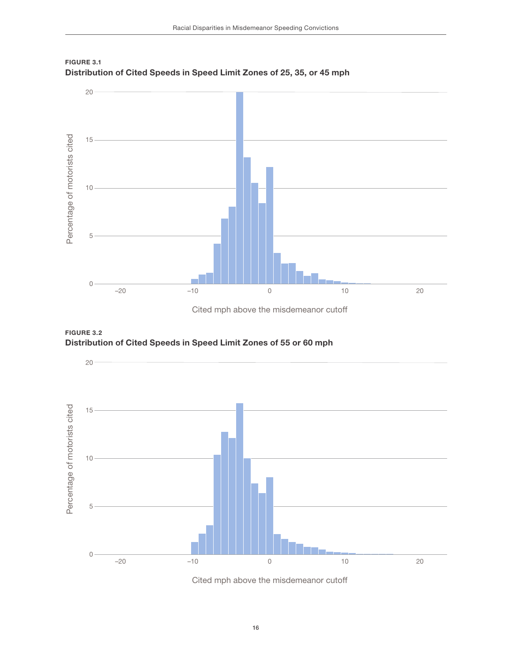

FIGURE 3.1 Distribution of Cited Speeds in Speed Limit Zones of 25, 35, or 45 mph

Cited mph above the misdemeanor cutoff

FIGURE 3.2 Distribution of Cited Speeds in Speed Limit Zones of 55 or 60 mph



Cited mph above the misdemeanor cutoff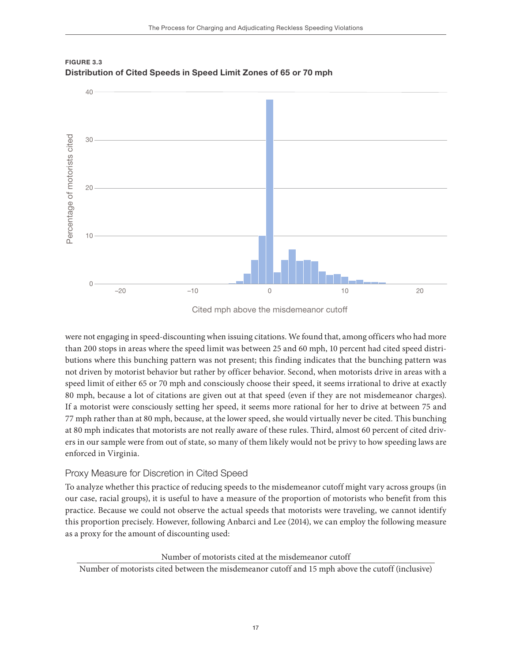

#### FIGURE 3.3 Distribution of Cited Speeds in Speed Limit Zones of 65 or 70 mph

Cited mph above the misdemeanor cutoff

were not engaging in speed-discounting when issuing citations. We found that, among officers who had more than 200 stops in areas where the speed limit was between 25 and 60 mph, 10 percent had cited speed distributions where this bunching pattern was not present; this finding indicates that the bunching pattern was not driven by motorist behavior but rather by officer behavior. Second, when motorists drive in areas with a speed limit of either 65 or 70 mph and consciously choose their speed, it seems irrational to drive at exactly 80 mph, because a lot of citations are given out at that speed (even if they are not misdemeanor charges). If a motorist were consciously setting her speed, it seems more rational for her to drive at between 75 and 77 mph rather than at 80 mph, because, at the lower speed, she would virtually never be cited. This bunching at 80 mph indicates that motorists are not really aware of these rules. Third, almost 60 percent of cited drivers in our sample were from out of state, so many of them likely would not be privy to how speeding laws are enforced in Virginia.

#### Proxy Measure for Discretion in Cited Speed

To analyze whether this practice of reducing speeds to the misdemeanor cutoff might vary across groups (in our case, racial groups), it is useful to have a measure of the proportion of motorists who benefit from this practice. Because we could not observe the actual speeds that motorists were traveling, we cannot identify this proportion precisely. However, following Anbarci and Lee (2014), we can employ the following measure as a proxy for the amount of discounting used:

Number of motorists cited at the misdemeanor cutoff

Number of motorists cited between the misdemeanor cutoff and 15 mph above the cutoff (inclusive)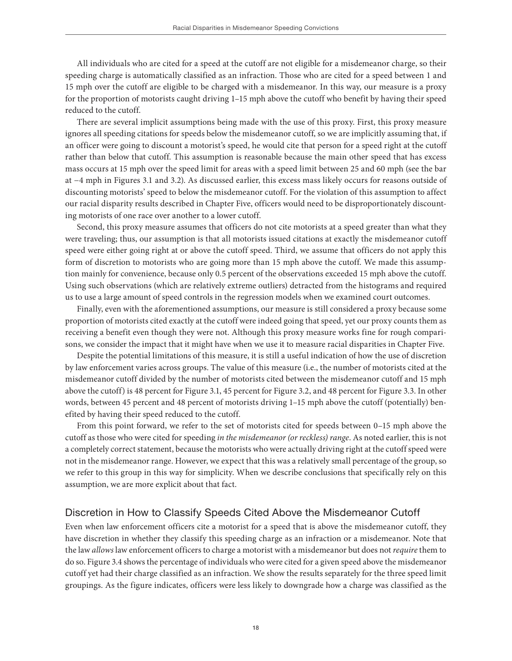All individuals who are cited for a speed at the cutoff are not eligible for a misdemeanor charge, so their speeding charge is automatically classified as an infraction. Those who are cited for a speed between 1 and 15 mph over the cutoff are eligible to be charged with a misdemeanor. In this way, our measure is a proxy for the proportion of motorists caught driving 1–15 mph above the cutoff who benefit by having their speed reduced to the cutoff.

There are several implicit assumptions being made with the use of this proxy. First, this proxy measure ignores all speeding citations for speeds below the misdemeanor cutoff, so we are implicitly assuming that, if an officer were going to discount a motorist's speed, he would cite that person for a speed right at the cutoff rather than below that cutoff. This assumption is reasonable because the main other speed that has excess mass occurs at 15 mph over the speed limit for areas with a speed limit between 25 and 60 mph (see the bar at −4 mph in Figures 3.1 and 3.2). As discussed earlier, this excess mass likely occurs for reasons outside of discounting motorists' speed to below the misdemeanor cutoff. For the violation of this assumption to affect our racial disparity results described in Chapter Five, officers would need to be disproportionately discounting motorists of one race over another to a lower cutoff.

Second, this proxy measure assumes that officers do not cite motorists at a speed greater than what they were traveling; thus, our assumption is that all motorists issued citations at exactly the misdemeanor cutoff speed were either going right at or above the cutoff speed. Third, we assume that officers do not apply this form of discretion to motorists who are going more than 15 mph above the cutoff. We made this assumption mainly for convenience, because only 0.5 percent of the observations exceeded 15 mph above the cutoff. Using such observations (which are relatively extreme outliers) detracted from the histograms and required us to use a large amount of speed controls in the regression models when we examined court outcomes.

Finally, even with the aforementioned assumptions, our measure is still considered a proxy because some proportion of motorists cited exactly at the cutoff were indeed going that speed, yet our proxy counts them as receiving a benefit even though they were not. Although this proxy measure works fine for rough comparisons, we consider the impact that it might have when we use it to measure racial disparities in Chapter Five.

Despite the potential limitations of this measure, it is still a useful indication of how the use of discretion by law enforcement varies across groups. The value of this measure (i.e., the number of motorists cited at the misdemeanor cutoff divided by the number of motorists cited between the misdemeanor cutoff and 15 mph above the cutoff) is 48 percent for Figure 3.1, 45 percent for Figure 3.2, and 48 percent for Figure 3.3. In other words, between 45 percent and 48 percent of motorists driving 1–15 mph above the cutoff (potentially) benefited by having their speed reduced to the cutoff.

From this point forward, we refer to the set of motorists cited for speeds between 0–15 mph above the cutoff as those who were cited for speeding *in the misdemeanor (or reckless) range*. As noted earlier, this is not a completely correct statement, because the motorists who were actually driving right at the cutoff speed were not in the misdemeanor range. However, we expect that this was a relatively small percentage of the group, so we refer to this group in this way for simplicity. When we describe conclusions that specifically rely on this assumption, we are more explicit about that fact.

#### Discretion in How to Classify Speeds Cited Above the Misdemeanor Cutoff

Even when law enforcement officers cite a motorist for a speed that is above the misdemeanor cutoff, they have discretion in whether they classify this speeding charge as an infraction or a misdemeanor. Note that the law *allows* law enforcement officers to charge a motorist with a misdemeanor but does not *require* them to do so. Figure 3.4 shows the percentage of individuals who were cited for a given speed above the misdemeanor cutoff yet had their charge classified as an infraction. We show the results separately for the three speed limit groupings. As the figure indicates, officers were less likely to downgrade how a charge was classified as the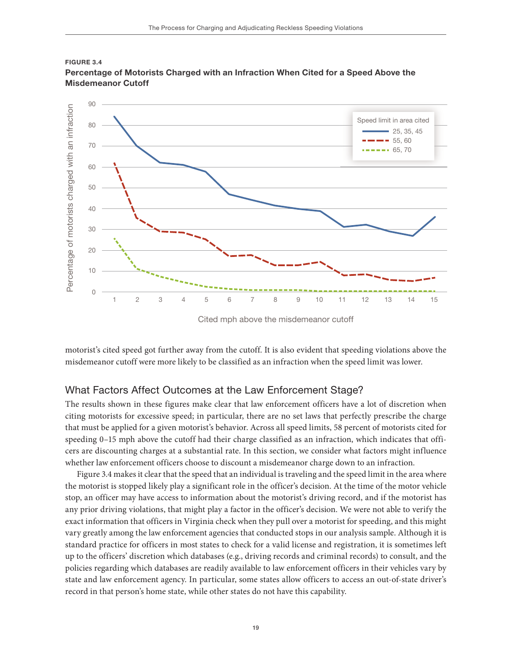



Cited mph above the misdemeanor cutoff

motorist's cited speed got further away from the cutoff. It is also evident that speeding violations above the misdemeanor cutoff were more likely to be classified as an infraction when the speed limit was lower.

#### What Factors Affect Outcomes at the Law Enforcement Stage?

The results shown in these figures make clear that law enforcement officers have a lot of discretion when citing motorists for excessive speed; in particular, there are no set laws that perfectly prescribe the charge that must be applied for a given motorist's behavior. Across all speed limits, 58 percent of motorists cited for speeding 0–15 mph above the cutoff had their charge classified as an infraction, which indicates that officers are discounting charges at a substantial rate. In this section, we consider what factors might influence whether law enforcement officers choose to discount a misdemeanor charge down to an infraction.

Figure 3.4 makes it clear that the speed that an individual is traveling and the speed limit in the area where the motorist is stopped likely play a significant role in the officer's decision. At the time of the motor vehicle stop, an officer may have access to information about the motorist's driving record, and if the motorist has any prior driving violations, that might play a factor in the officer's decision. We were not able to verify the exact information that officers in Virginia check when they pull over a motorist for speeding, and this might vary greatly among the law enforcement agencies that conducted stops in our analysis sample. Although it is standard practice for officers in most states to check for a valid license and registration, it is sometimes left up to the officers' discretion which databases (e.g., driving records and criminal records) to consult, and the policies regarding which databases are readily available to law enforcement officers in their vehicles vary by state and law enforcement agency. In particular, some states allow officers to access an out-of-state driver's record in that person's home state, while other states do not have this capability.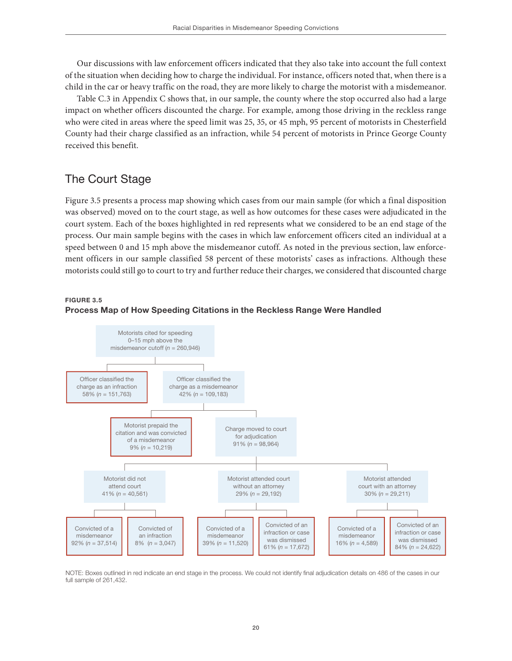Our discussions with law enforcement officers indicated that they also take into account the full context of the situation when deciding how to charge the individual. For instance, officers noted that, when there is a child in the car or heavy traffic on the road, they are more likely to charge the motorist with a misdemeanor.

Table C.3 in Appendix C shows that, in our sample, the county where the stop occurred also had a large impact on whether officers discounted the charge. For example, among those driving in the reckless range who were cited in areas where the speed limit was 25, 35, or 45 mph, 95 percent of motorists in Chesterfield County had their charge classified as an infraction, while 54 percent of motorists in Prince George County received this benefit.

#### The Court Stage

Figure 3.5 presents a process map showing which cases from our main sample (for which a final disposition was observed) moved on to the court stage, as well as how outcomes for these cases were adjudicated in the court system. Each of the boxes highlighted in red represents what we considered to be an end stage of the process. Our main sample begins with the cases in which law enforcement officers cited an individual at a speed between 0 and 15 mph above the misdemeanor cutoff. As noted in the previous section, law enforcement officers in our sample classified 58 percent of these motorists' cases as infractions. Although these motorists could still go to court to try and further reduce their charges, we considered that discounted charge

#### FIGURE 3.5 Process Map of How Speeding Citations in the Reckless Range Were Handled



NOTE: Boxes outlined in red indicate an end stage in the process. We could not identify final adjudication details on 486 of the cases in our full sample of 261,432.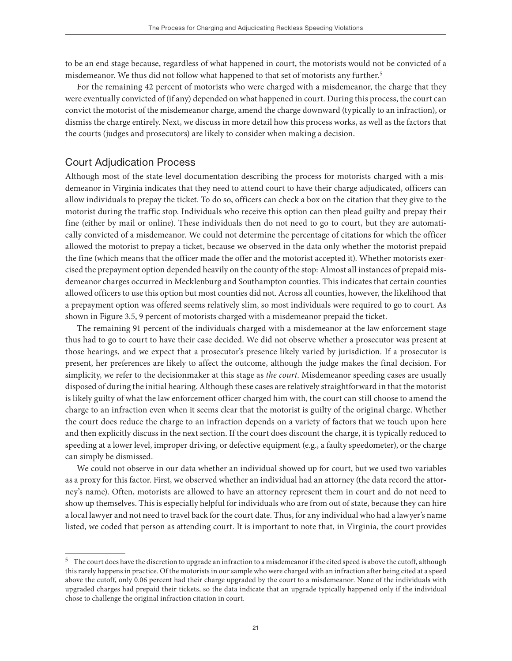to be an end stage because, regardless of what happened in court, the motorists would not be convicted of a misdemeanor. We thus did not follow what happened to that set of motorists any further.<sup>5</sup>

For the remaining 42 percent of motorists who were charged with a misdemeanor, the charge that they were eventually convicted of (if any) depended on what happened in court. During this process, the court can convict the motorist of the misdemeanor charge, amend the charge downward (typically to an infraction), or dismiss the charge entirely. Next, we discuss in more detail how this process works, as well as the factors that the courts (judges and prosecutors) are likely to consider when making a decision.

#### Court Adjudication Process

Although most of the state-level documentation describing the process for motorists charged with a misdemeanor in Virginia indicates that they need to attend court to have their charge adjudicated, officers can allow individuals to prepay the ticket. To do so, officers can check a box on the citation that they give to the motorist during the traffic stop. Individuals who receive this option can then plead guilty and prepay their fine (either by mail or online). These individuals then do not need to go to court, but they are automatically convicted of a misdemeanor. We could not determine the percentage of citations for which the officer allowed the motorist to prepay a ticket, because we observed in the data only whether the motorist prepaid the fine (which means that the officer made the offer and the motorist accepted it). Whether motorists exercised the prepayment option depended heavily on the county of the stop: Almost all instances of prepaid misdemeanor charges occurred in Mecklenburg and Southampton counties. This indicates that certain counties allowed officers to use this option but most counties did not. Across all counties, however, the likelihood that a prepayment option was offered seems relatively slim, so most individuals were required to go to court. As shown in Figure 3.5, 9 percent of motorists charged with a misdemeanor prepaid the ticket.

The remaining 91 percent of the individuals charged with a misdemeanor at the law enforcement stage thus had to go to court to have their case decided. We did not observe whether a prosecutor was present at those hearings, and we expect that a prosecutor's presence likely varied by jurisdiction. If a prosecutor is present, her preferences are likely to affect the outcome, although the judge makes the final decision. For simplicity, we refer to the decisionmaker at this stage as *the court*. Misdemeanor speeding cases are usually disposed of during the initial hearing. Although these cases are relatively straightforward in that the motorist is likely guilty of what the law enforcement officer charged him with, the court can still choose to amend the charge to an infraction even when it seems clear that the motorist is guilty of the original charge. Whether the court does reduce the charge to an infraction depends on a variety of factors that we touch upon here and then explicitly discuss in the next section. If the court does discount the charge, it is typically reduced to speeding at a lower level, improper driving, or defective equipment (e.g., a faulty speedometer), or the charge can simply be dismissed.

We could not observe in our data whether an individual showed up for court, but we used two variables as a proxy for this factor. First, we observed whether an individual had an attorney (the data record the attorney's name). Often, motorists are allowed to have an attorney represent them in court and do not need to show up themselves. This is especially helpful for individuals who are from out of state, because they can hire a local lawyer and not need to travel back for the court date. Thus, for any individual who had a lawyer's name listed, we coded that person as attending court. It is important to note that, in Virginia, the court provides

<sup>&</sup>lt;sup>5</sup> The court does have the discretion to upgrade an infraction to a misdemeanor if the cited speed is above the cutoff, although this rarely happens in practice. Of the motorists in our sample who were charged with an infraction after being cited at a speed above the cutoff, only 0.06 percent had their charge upgraded by the court to a misdemeanor. None of the individuals with upgraded charges had prepaid their tickets, so the data indicate that an upgrade typically happened only if the individual chose to challenge the original infraction citation in court.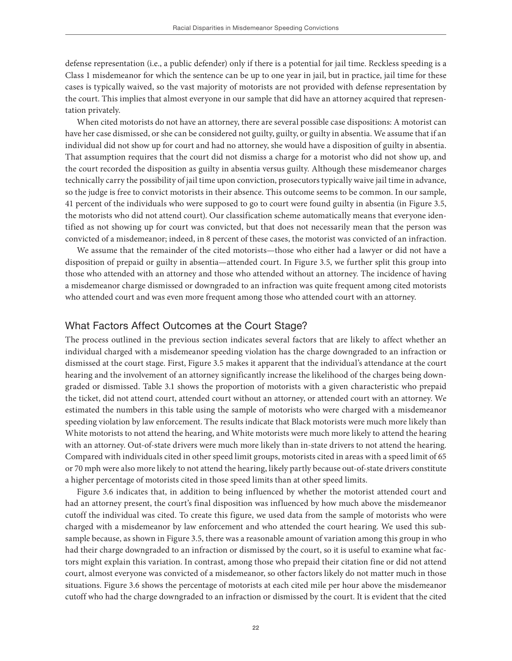defense representation (i.e., a public defender) only if there is a potential for jail time. Reckless speeding is a Class 1 misdemeanor for which the sentence can be up to one year in jail, but in practice, jail time for these cases is typically waived, so the vast majority of motorists are not provided with defense representation by the court. This implies that almost everyone in our sample that did have an attorney acquired that representation privately.

When cited motorists do not have an attorney, there are several possible case dispositions: A motorist can have her case dismissed, or she can be considered not guilty, guilty, or guilty in absentia. We assume that if an individual did not show up for court and had no attorney, she would have a disposition of guilty in absentia. That assumption requires that the court did not dismiss a charge for a motorist who did not show up, and the court recorded the disposition as guilty in absentia versus guilty. Although these misdemeanor charges technically carry the possibility of jail time upon conviction, prosecutors typically waive jail time in advance, so the judge is free to convict motorists in their absence. This outcome seems to be common. In our sample, 41 percent of the individuals who were supposed to go to court were found guilty in absentia (in Figure 3.5, the motorists who did not attend court). Our classification scheme automatically means that everyone identified as not showing up for court was convicted, but that does not necessarily mean that the person was convicted of a misdemeanor; indeed, in 8 percent of these cases, the motorist was convicted of an infraction.

We assume that the remainder of the cited motorists—those who either had a lawyer or did not have a disposition of prepaid or guilty in absentia—attended court. In Figure 3.5, we further split this group into those who attended with an attorney and those who attended without an attorney. The incidence of having a misdemeanor charge dismissed or downgraded to an infraction was quite frequent among cited motorists who attended court and was even more frequent among those who attended court with an attorney.

#### What Factors Affect Outcomes at the Court Stage?

The process outlined in the previous section indicates several factors that are likely to affect whether an individual charged with a misdemeanor speeding violation has the charge downgraded to an infraction or dismissed at the court stage. First, Figure 3.5 makes it apparent that the individual's attendance at the court hearing and the involvement of an attorney significantly increase the likelihood of the charges being downgraded or dismissed. Table 3.1 shows the proportion of motorists with a given characteristic who prepaid the ticket, did not attend court, attended court without an attorney, or attended court with an attorney. We estimated the numbers in this table using the sample of motorists who were charged with a misdemeanor speeding violation by law enforcement. The results indicate that Black motorists were much more likely than White motorists to not attend the hearing, and White motorists were much more likely to attend the hearing with an attorney. Out-of-state drivers were much more likely than in-state drivers to not attend the hearing. Compared with individuals cited in other speed limit groups, motorists cited in areas with a speed limit of 65 or 70 mph were also more likely to not attend the hearing, likely partly because out-of-state drivers constitute a higher percentage of motorists cited in those speed limits than at other speed limits.

Figure 3.6 indicates that, in addition to being influenced by whether the motorist attended court and had an attorney present, the court's final disposition was influenced by how much above the misdemeanor cutoff the individual was cited. To create this figure, we used data from the sample of motorists who were charged with a misdemeanor by law enforcement and who attended the court hearing. We used this subsample because, as shown in Figure 3.5, there was a reasonable amount of variation among this group in who had their charge downgraded to an infraction or dismissed by the court, so it is useful to examine what factors might explain this variation. In contrast, among those who prepaid their citation fine or did not attend court, almost everyone was convicted of a misdemeanor, so other factors likely do not matter much in those situations. Figure 3.6 shows the percentage of motorists at each cited mile per hour above the misdemeanor cutoff who had the charge downgraded to an infraction or dismissed by the court. It is evident that the cited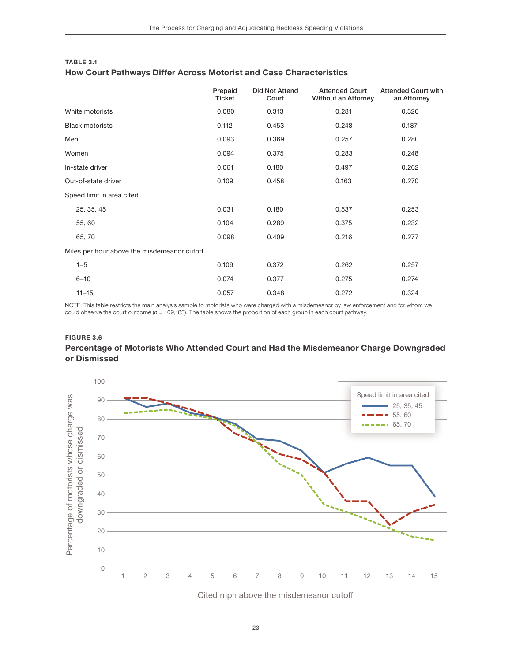|                                             | Prepaid<br><b>Ticket</b> | Did Not Attend<br>Court | <b>Attended Court</b><br>Without an Attorney | <b>Attended Court with</b><br>an Attorney |
|---------------------------------------------|--------------------------|-------------------------|----------------------------------------------|-------------------------------------------|
| White motorists                             | 0.080                    | 0.313                   | 0.281                                        | 0.326                                     |
| <b>Black motorists</b>                      | 0.112                    | 0.453                   | 0.248                                        | 0.187                                     |
| Men                                         | 0.093                    | 0.369                   | 0.257                                        | 0.280                                     |
| Women                                       | 0.094                    | 0.375                   | 0.283                                        | 0.248                                     |
| In-state driver                             | 0.061                    | 0.180                   | 0.497                                        | 0.262                                     |
| Out-of-state driver                         | 0.109                    | 0.458                   | 0.163                                        | 0.270                                     |
| Speed limit in area cited                   |                          |                         |                                              |                                           |
| 25, 35, 45                                  | 0.031                    | 0.180                   | 0.537                                        | 0.253                                     |
| 55,60                                       | 0.104                    | 0.289                   | 0.375                                        | 0.232                                     |
| 65, 70                                      | 0.098                    | 0.409                   | 0.216                                        | 0.277                                     |
| Miles per hour above the misdemeanor cutoff |                          |                         |                                              |                                           |
| $1 - 5$                                     | 0.109                    | 0.372                   | 0.262                                        | 0.257                                     |
| $6 - 10$                                    | 0.074                    | 0.377                   | 0.275                                        | 0.274                                     |
| $11 - 15$                                   | 0.057                    | 0.348                   | 0.272                                        | 0.324                                     |

#### TABLE 3.1 How Court Pathways Differ Across Motorist and Case Characteristics

NOTE: This table restricts the main analysis sample to motorists who were charged with a misdemeanor by law enforcement and for whom we could observe the court outcome (*n* = 109,183). The table shows the proportion of each group in each court pathway.

#### FIGURE 3.6 Percentage of Motorists Who Attended Court and Had the Misdemeanor Charge Downgraded or Dismissed



Cited mph above the misdemeanor cutoff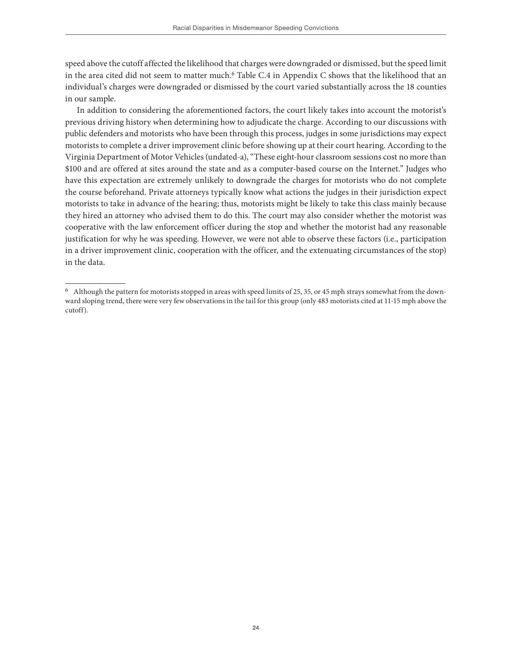speed above the cutoff affected the likelihood that charges were downgraded or dismissed, but the speed limit in the area cited did not seem to matter much.<sup>6</sup> Table C.4 in Appendix C shows that the likelihood that an individual's charges were downgraded or dismissed by the court varied substantially across the 18 counties in our sample.

In addition to considering the aforementioned factors, the court likely takes into account the motorist's previous driving history when determining how to adjudicate the charge. According to our discussions with public defenders and motorists who have been through this process, judges in some jurisdictions may expect motorists to complete a driver improvement clinic before showing up at their court hearing. According to the Virginia Department of Motor Vehicles (undated-a), "These eight-hour classroom sessions cost no more than \$100 and are offered at sites around the state and as a computer-based course on the Internet." Judges who have this expectation are extremely unlikely to downgrade the charges for motorists who do not complete the course beforehand. Private attorneys typically know what actions the judges in their jurisdiction expect motorists to take in advance of the hearing; thus, motorists might be likely to take this class mainly because they hired an attorney who advised them to do this. The court may also consider whether the motorist was cooperative with the law enforcement officer during the stop and whether the motorist had any reasonable justification for why he was speeding. However, we were not able to observe these factors (i.e., participation in a driver improvement clinic, cooperation with the officer, and the extenuating circumstances of the stop) in the data.

 $6$  Although the pattern for motorists stopped in areas with speed limits of 25, 35, or 45 mph strays somewhat from the downward sloping trend, there were very few observations in the tail for this group (only 483 motorists cited at 11-15 mph above the cutoff).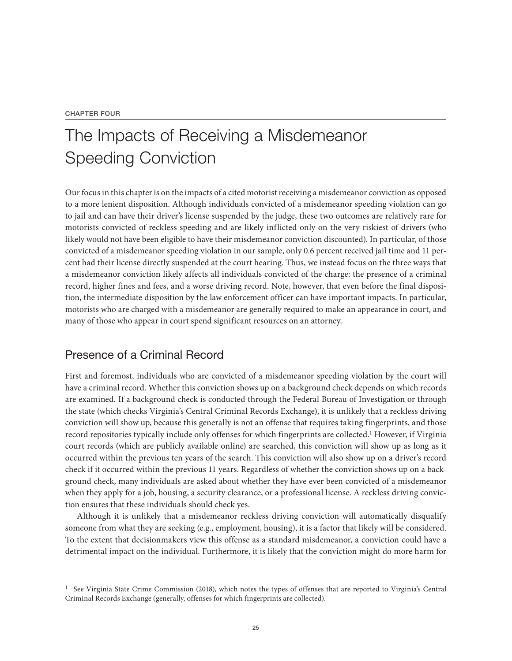# The Impacts of Receiving a Misdemeanor Speeding Conviction

Our focus in this chapter is on the impacts of a cited motorist receiving a misdemeanor conviction as opposed to a more lenient disposition. Although individuals convicted of a misdemeanor speeding violation can go to jail and can have their driver's license suspended by the judge, these two outcomes are relatively rare for motorists convicted of reckless speeding and are likely inflicted only on the very riskiest of drivers (who likely would not have been eligible to have their misdemeanor conviction discounted). In particular, of those convicted of a misdemeanor speeding violation in our sample, only 0.6 percent received jail time and 11 percent had their license directly suspended at the court hearing. Thus, we instead focus on the three ways that a misdemeanor conviction likely affects all individuals convicted of the charge: the presence of a criminal record, higher fines and fees, and a worse driving record. Note, however, that even before the final disposition, the intermediate disposition by the law enforcement officer can have important impacts. In particular, motorists who are charged with a misdemeanor are generally required to make an appearance in court, and many of those who appear in court spend significant resources on an attorney.

#### Presence of a Criminal Record

First and foremost, individuals who are convicted of a misdemeanor speeding violation by the court will have a criminal record. Whether this conviction shows up on a background check depends on which records are examined. If a background check is conducted through the Federal Bureau of Investigation or through the state (which checks Virginia's Central Criminal Records Exchange), it is unlikely that a reckless driving conviction will show up, because this generally is not an offense that requires taking fingerprints, and those record repositories typically include only offenses for which fingerprints are collected.1 However, if Virginia court records (which are publicly available online) are searched, this conviction will show up as long as it occurred within the previous ten years of the search. This conviction will also show up on a driver's record check if it occurred within the previous 11 years. Regardless of whether the conviction shows up on a background check, many individuals are asked about whether they have ever been convicted of a misdemeanor when they apply for a job, housing, a security clearance, or a professional license. A reckless driving conviction ensures that these individuals should check yes.

Although it is unlikely that a misdemeanor reckless driving conviction will automatically disqualify someone from what they are seeking (e.g., employment, housing), it is a factor that likely will be considered. To the extent that decisionmakers view this offense as a standard misdemeanor, a conviction could have a detrimental impact on the individual. Furthermore, it is likely that the conviction might do more harm for

 $<sup>1</sup>$  See Virginia State Crime Commission (2018), which notes the types of offenses that are reported to Virginia's Central</sup> Criminal Records Exchange (generally, offenses for which fingerprints are collected).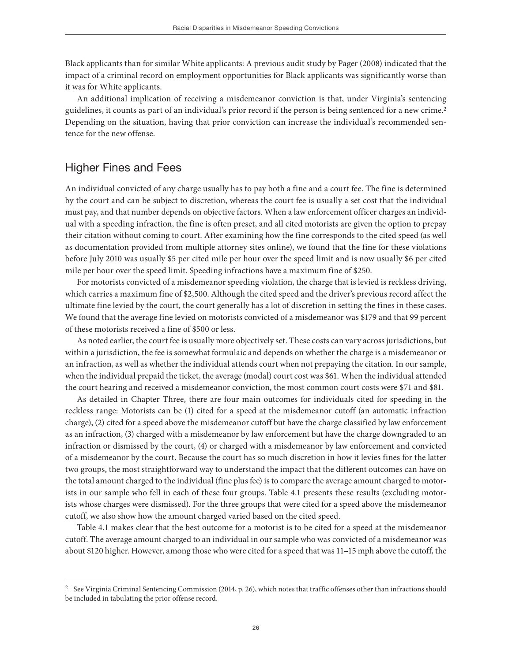Black applicants than for similar White applicants: A previous audit study by Pager (2008) indicated that the impact of a criminal record on employment opportunities for Black applicants was significantly worse than it was for White applicants.

An additional implication of receiving a misdemeanor conviction is that, under Virginia's sentencing guidelines, it counts as part of an individual's prior record if the person is being sentenced for a new crime.2 Depending on the situation, having that prior conviction can increase the individual's recommended sentence for the new offense.

#### Higher Fines and Fees

An individual convicted of any charge usually has to pay both a fine and a court fee. The fine is determined by the court and can be subject to discretion, whereas the court fee is usually a set cost that the individual must pay, and that number depends on objective factors. When a law enforcement officer charges an individual with a speeding infraction, the fine is often preset, and all cited motorists are given the option to prepay their citation without coming to court. After examining how the fine corresponds to the cited speed (as well as documentation provided from multiple attorney sites online), we found that the fine for these violations before July 2010 was usually \$5 per cited mile per hour over the speed limit and is now usually \$6 per cited mile per hour over the speed limit. Speeding infractions have a maximum fine of \$250.

For motorists convicted of a misdemeanor speeding violation, the charge that is levied is reckless driving, which carries a maximum fine of \$2,500. Although the cited speed and the driver's previous record affect the ultimate fine levied by the court, the court generally has a lot of discretion in setting the fines in these cases. We found that the average fine levied on motorists convicted of a misdemeanor was \$179 and that 99 percent of these motorists received a fine of \$500 or less.

As noted earlier, the court fee is usually more objectively set. These costs can vary across jurisdictions, but within a jurisdiction, the fee is somewhat formulaic and depends on whether the charge is a misdemeanor or an infraction, as well as whether the individual attends court when not prepaying the citation. In our sample, when the individual prepaid the ticket, the average (modal) court cost was \$61. When the individual attended the court hearing and received a misdemeanor conviction, the most common court costs were \$71 and \$81.

As detailed in Chapter Three, there are four main outcomes for individuals cited for speeding in the reckless range: Motorists can be (1) cited for a speed at the misdemeanor cutoff (an automatic infraction charge), (2) cited for a speed above the misdemeanor cutoff but have the charge classified by law enforcement as an infraction, (3) charged with a misdemeanor by law enforcement but have the charge downgraded to an infraction or dismissed by the court, (4) or charged with a misdemeanor by law enforcement and convicted of a misdemeanor by the court. Because the court has so much discretion in how it levies fines for the latter two groups, the most straightforward way to understand the impact that the different outcomes can have on the total amount charged to the individual (fine plus fee) is to compare the average amount charged to motorists in our sample who fell in each of these four groups. Table 4.1 presents these results (excluding motorists whose charges were dismissed). For the three groups that were cited for a speed above the misdemeanor cutoff, we also show how the amount charged varied based on the cited speed.

Table 4.1 makes clear that the best outcome for a motorist is to be cited for a speed at the misdemeanor cutoff. The average amount charged to an individual in our sample who was convicted of a misdemeanor was about \$120 higher. However, among those who were cited for a speed that was 11–15 mph above the cutoff, the

<sup>&</sup>lt;sup>2</sup> See Virginia Criminal Sentencing Commission (2014, p. 26), which notes that traffic offenses other than infractions should be included in tabulating the prior offense record.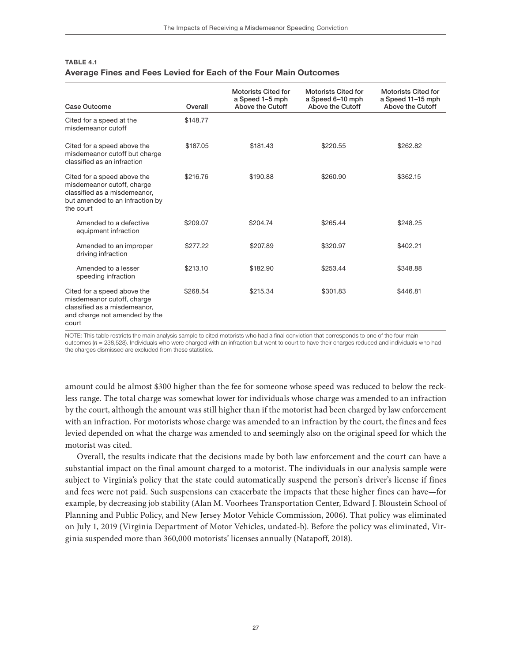| Case Outcome                                                                                                                              | Overall  | <b>Motorists Cited for</b><br>a Speed 1-5 mph<br>Above the Cutoff | <b>Motorists Cited for</b><br>a Speed 6-10 mph<br>Above the Cutoff | <b>Motorists Cited for</b><br>a Speed 11–15 mph<br>Above the Cutoff |
|-------------------------------------------------------------------------------------------------------------------------------------------|----------|-------------------------------------------------------------------|--------------------------------------------------------------------|---------------------------------------------------------------------|
| Cited for a speed at the<br>misdemeanor cutoff                                                                                            | \$148.77 |                                                                   |                                                                    |                                                                     |
| Cited for a speed above the<br>misdemeanor cutoff but charge<br>classified as an infraction                                               | \$187.05 | \$181.43                                                          | \$220.55                                                           | \$262.82                                                            |
| Cited for a speed above the<br>misdemeanor cutoff, charge<br>classified as a misdemeanor,<br>but amended to an infraction by<br>the court | \$216.76 | \$190.88                                                          | \$260.90                                                           | \$362.15                                                            |
| Amended to a defective<br>equipment infraction                                                                                            | \$209.07 | \$204.74                                                          | \$265.44                                                           | \$248.25                                                            |
| Amended to an improper<br>driving infraction                                                                                              | \$277.22 | \$207.89                                                          | \$320.97                                                           | \$402.21                                                            |
| Amended to a lesser<br>speeding infraction                                                                                                | \$213.10 | \$182.90                                                          | \$253.44                                                           | \$348.88                                                            |
| Cited for a speed above the<br>misdemeanor cutoff, charge<br>classified as a misdemeanor,<br>and charge not amended by the<br>court       | \$268.54 | \$215.34                                                          | \$301.83                                                           | \$446.81                                                            |

### TABLE 4.1 Average Fines and Fees Levied for Each of the Four Main Outcomes

NOTE: This table restricts the main analysis sample to cited motorists who had a final conviction that corresponds to one of the four main outcomes (*n* = 238,528). Individuals who were charged with an infraction but went to court to have their charges reduced and individuals who had the charges dismissed are excluded from these statistics.

amount could be almost \$300 higher than the fee for someone whose speed was reduced to below the reckless range. The total charge was somewhat lower for individuals whose charge was amended to an infraction by the court, although the amount was still higher than if the motorist had been charged by law enforcement with an infraction. For motorists whose charge was amended to an infraction by the court, the fines and fees levied depended on what the charge was amended to and seemingly also on the original speed for which the motorist was cited.

Overall, the results indicate that the decisions made by both law enforcement and the court can have a substantial impact on the final amount charged to a motorist. The individuals in our analysis sample were subject to Virginia's policy that the state could automatically suspend the person's driver's license if fines and fees were not paid. Such suspensions can exacerbate the impacts that these higher fines can have—for example, by decreasing job stability (Alan M. Voorhees Transportation Center, Edward J. Bloustein School of Planning and Public Policy, and New Jersey Motor Vehicle Commission, 2006). That policy was eliminated on July 1, 2019 (Virginia Department of Motor Vehicles, undated-b). Before the policy was eliminated, Virginia suspended more than 360,000 motorists' licenses annually (Natapoff, 2018).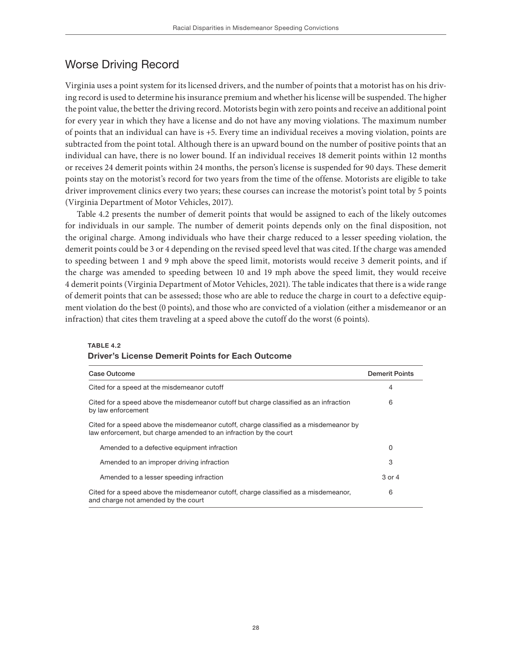# Worse Driving Record

Virginia uses a point system for its licensed drivers, and the number of points that a motorist has on his driving record is used to determine his insurance premium and whether his license will be suspended. The higher the point value, the better the driving record. Motorists begin with zero points and receive an additional point for every year in which they have a license and do not have any moving violations. The maximum number of points that an individual can have is +5. Every time an individual receives a moving violation, points are subtracted from the point total. Although there is an upward bound on the number of positive points that an individual can have, there is no lower bound. If an individual receives 18 demerit points within 12 months or receives 24 demerit points within 24 months, the person's license is suspended for 90 days. These demerit points stay on the motorist's record for two years from the time of the offense. Motorists are eligible to take driver improvement clinics every two years; these courses can increase the motorist's point total by 5 points (Virginia Department of Motor Vehicles, 2017).

Table 4.2 presents the number of demerit points that would be assigned to each of the likely outcomes for individuals in our sample. The number of demerit points depends only on the final disposition, not the original charge. Among individuals who have their charge reduced to a lesser speeding violation, the demerit points could be 3 or 4 depending on the revised speed level that was cited. If the charge was amended to speeding between 1 and 9 mph above the speed limit, motorists would receive 3 demerit points, and if the charge was amended to speeding between 10 and 19 mph above the speed limit, they would receive 4 demerit points (Virginia Department of Motor Vehicles, 2021). The table indicates that there is a wide range of demerit points that can be assessed; those who are able to reduce the charge in court to a defective equipment violation do the best (0 points), and those who are convicted of a violation (either a misdemeanor or an infraction) that cites them traveling at a speed above the cutoff do the worst (6 points).

| Case Outcome                                                                                                                                               | <b>Demerit Points</b> |
|------------------------------------------------------------------------------------------------------------------------------------------------------------|-----------------------|
| Cited for a speed at the misdemeanor cutoff                                                                                                                | 4                     |
| Cited for a speed above the misdemeanor cutoff but charge classified as an infraction<br>by law enforcement                                                | 6                     |
| Cited for a speed above the misdemeanor cutoff, charge classified as a misdemeanor by<br>law enforcement, but charge amended to an infraction by the court |                       |
| Amended to a defective equipment infraction                                                                                                                | 0                     |
| Amended to an improper driving infraction                                                                                                                  | 3                     |
| Amended to a lesser speeding infraction                                                                                                                    | 3 or 4                |
| Cited for a speed above the misdemeanor cutoff, charge classified as a misdemeanor,<br>and charge not amended by the court                                 | 6                     |

#### TABLE 4.2 Driver's License Demerit Points for Each Outcome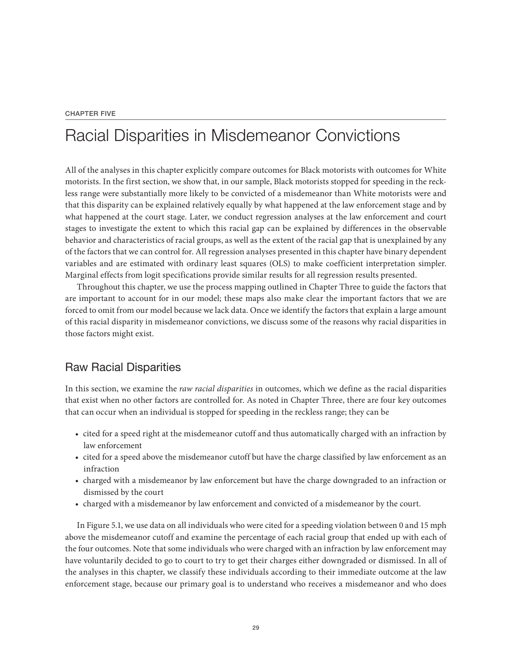# Racial Disparities in Misdemeanor Convictions

All of the analyses in this chapter explicitly compare outcomes for Black motorists with outcomes for White motorists. In the first section, we show that, in our sample, Black motorists stopped for speeding in the reckless range were substantially more likely to be convicted of a misdemeanor than White motorists were and that this disparity can be explained relatively equally by what happened at the law enforcement stage and by what happened at the court stage. Later, we conduct regression analyses at the law enforcement and court stages to investigate the extent to which this racial gap can be explained by differences in the observable behavior and characteristics of racial groups, as well as the extent of the racial gap that is unexplained by any of the factors that we can control for. All regression analyses presented in this chapter have binary dependent variables and are estimated with ordinary least squares (OLS) to make coefficient interpretation simpler. Marginal effects from logit specifications provide similar results for all regression results presented.

Throughout this chapter, we use the process mapping outlined in Chapter Three to guide the factors that are important to account for in our model; these maps also make clear the important factors that we are forced to omit from our model because we lack data. Once we identify the factors that explain a large amount of this racial disparity in misdemeanor convictions, we discuss some of the reasons why racial disparities in those factors might exist.

# Raw Racial Disparities

In this section, we examine the *raw racial disparities* in outcomes, which we define as the racial disparities that exist when no other factors are controlled for. As noted in Chapter Three, there are four key outcomes that can occur when an individual is stopped for speeding in the reckless range; they can be

- cited for a speed right at the misdemeanor cutoff and thus automatically charged with an infraction by law enforcement
- cited for a speed above the misdemeanor cutoff but have the charge classified by law enforcement as an infraction
- charged with a misdemeanor by law enforcement but have the charge downgraded to an infraction or dismissed by the court
- charged with a misdemeanor by law enforcement and convicted of a misdemeanor by the court.

In Figure 5.1, we use data on all individuals who were cited for a speeding violation between 0 and 15 mph above the misdemeanor cutoff and examine the percentage of each racial group that ended up with each of the four outcomes. Note that some individuals who were charged with an infraction by law enforcement may have voluntarily decided to go to court to try to get their charges either downgraded or dismissed. In all of the analyses in this chapter, we classify these individuals according to their immediate outcome at the law enforcement stage, because our primary goal is to understand who receives a misdemeanor and who does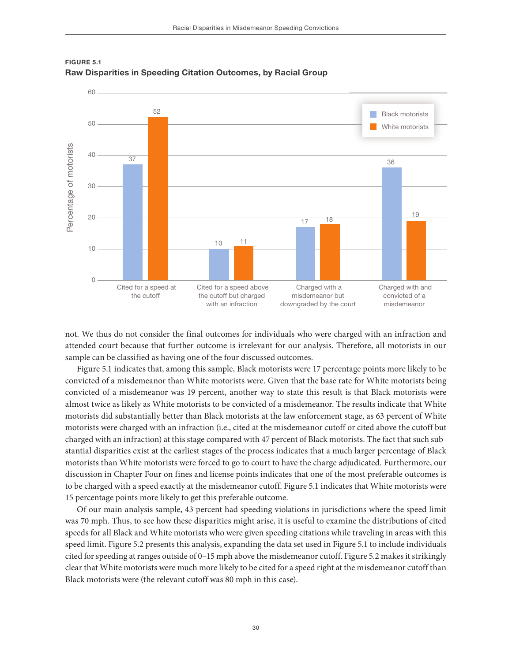

FIGURE 5.1 Raw Disparities in Speeding Citation Outcomes, by Racial Group

not. We thus do not consider the final outcomes for individuals who were charged with an infraction and attended court because that further outcome is irrelevant for our analysis. Therefore, all motorists in our sample can be classified as having one of the four discussed outcomes.

Figure 5.1 indicates that, among this sample, Black motorists were 17 percentage points more likely to be convicted of a misdemeanor than White motorists were. Given that the base rate for White motorists being convicted of a misdemeanor was 19 percent, another way to state this result is that Black motorists were almost twice as likely as White motorists to be convicted of a misdemeanor. The results indicate that White motorists did substantially better than Black motorists at the law enforcement stage, as 63 percent of White motorists were charged with an infraction (i.e., cited at the misdemeanor cutoff or cited above the cutoff but charged with an infraction) at this stage compared with 47 percent of Black motorists. The fact that such substantial disparities exist at the earliest stages of the process indicates that a much larger percentage of Black motorists than White motorists were forced to go to court to have the charge adjudicated. Furthermore, our discussion in Chapter Four on fines and license points indicates that one of the most preferable outcomes is to be charged with a speed exactly at the misdemeanor cutoff. Figure 5.1 indicates that White motorists were 15 percentage points more likely to get this preferable outcome.

Of our main analysis sample, 43 percent had speeding violations in jurisdictions where the speed limit was 70 mph. Thus, to see how these disparities might arise, it is useful to examine the distributions of cited speeds for all Black and White motorists who were given speeding citations while traveling in areas with this speed limit. Figure 5.2 presents this analysis, expanding the data set used in Figure 5.1 to include individuals cited for speeding at ranges outside of 0–15 mph above the misdemeanor cutoff. Figure 5.2 makes it strikingly clear that White motorists were much more likely to be cited for a speed right at the misdemeanor cutoff than Black motorists were (the relevant cutoff was 80 mph in this case).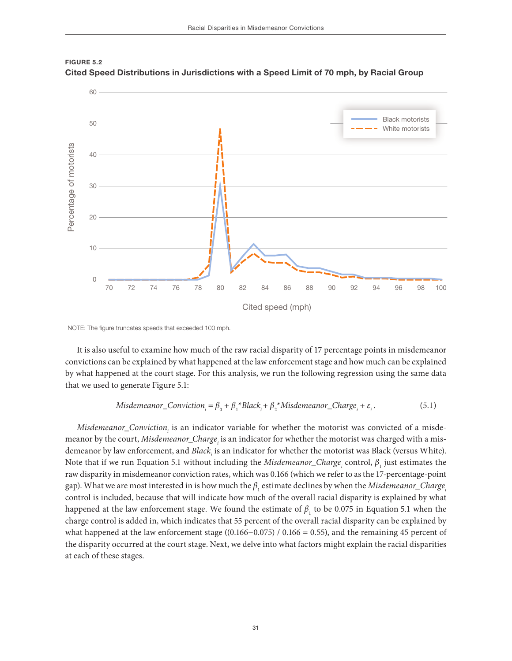



It is also useful to examine how much of the raw racial disparity of 17 percentage points in misdemeanor convictions can be explained by what happened at the law enforcement stage and how much can be explained by what happened at the court stage. For this analysis, we run the following regression using the same data that we used to generate Figure 5.1:

$$
Misdemeanor\_Conviction_i = \beta_0 + \beta_1 * Black_i + \beta_2 * Misdemeanor\_charge_i + \varepsilon_i.
$$
 (5.1)

*Misdemeanor\_Conviction<sub>i</sub>* is an indicator variable for whether the motorist was convicted of a misdemeanor by the court, *Misdemeanor\_Charge<sub>i</sub>* is an indicator for whether the motorist was charged with a misdemeanor by law enforcement, and *Black<sub>i</sub>* is an indicator for whether the motorist was Black (versus White). Note that if we run Equation 5.1 without including the *Misdemeanor\_Charge<sub>i</sub>* control,  $\beta_1$  just estimates the raw disparity in misdemeanor conviction rates, which was 0.166 (which we refer to as the 17-percentage-point gap). What we are most interested in is how much the  $\beta_{_1}$  estimate declines by when the *Misdemeanor\_Charge*  $_i$ control is included, because that will indicate how much of the overall racial disparity is explained by what happened at the law enforcement stage. We found the estimate of  $\beta_1$  to be 0.075 in Equation 5.1 when the charge control is added in, which indicates that 55 percent of the overall racial disparity can be explained by what happened at the law enforcement stage ((0.166−0.075) / 0.166 = 0.55), and the remaining 45 percent of the disparity occurred at the court stage. Next, we delve into what factors might explain the racial disparities at each of these stages.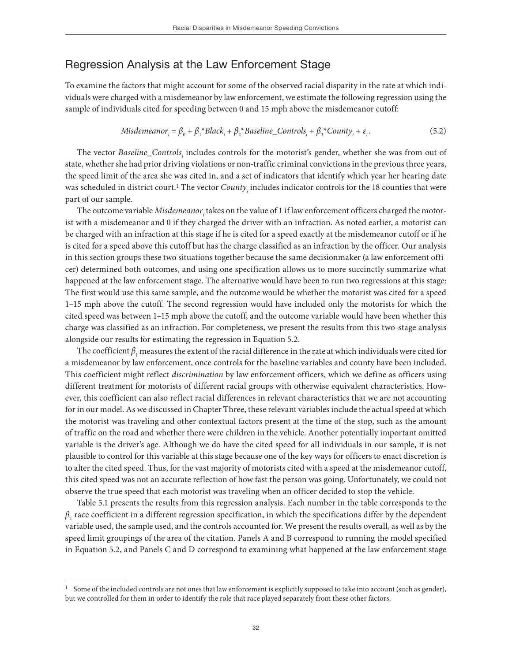## Regression Analysis at the Law Enforcement Stage

To examine the factors that might account for some of the observed racial disparity in the rate at which individuals were charged with a misdemeanor by law enforcement, we estimate the following regression using the sample of individuals cited for speeding between 0 and 15 mph above the misdemeanor cutoff:

$$
Misdemeanor_i = \beta_0 + \beta_1^* Black_i + \beta_2^* Baseline\_Controls_i + \beta_3^*County_i + \varepsilon_i. \tag{5.2}
$$

The vector *Baseline\_Controls<sub>i</sub>* includes controls for the motorist's gender, whether she was from out of state, whether she had prior driving violations or non-traffic criminal convictions in the previous three years, the speed limit of the area she was cited in, and a set of indicators that identify which year her hearing date was scheduled in district court.<sup>1</sup> The vector *County*<sub>i</sub> includes indicator controls for the 18 counties that were part of our sample.

The outcome variable *Misdemeanor* <sub>i</sub> takes on the value of 1 if law enforcement officers charged the motorist with a misdemeanor and 0 if they charged the driver with an infraction. As noted earlier, a motorist can be charged with an infraction at this stage if he is cited for a speed exactly at the misdemeanor cutoff or if he is cited for a speed above this cutoff but has the charge classified as an infraction by the officer. Our analysis in this section groups these two situations together because the same decisionmaker (a law enforcement officer) determined both outcomes, and using one specification allows us to more succinctly summarize what happened at the law enforcement stage. The alternative would have been to run two regressions at this stage: The first would use this same sample, and the outcome would be whether the motorist was cited for a speed 1–15 mph above the cutoff. The second regression would have included only the motorists for which the cited speed was between 1–15 mph above the cutoff, and the outcome variable would have been whether this charge was classified as an infraction. For completeness, we present the results from this two-stage analysis alongside our results for estimating the regression in Equation 5.2.

The coefficient  $\beta_1$  measures the extent of the racial difference in the rate at which individuals were cited for a misdemeanor by law enforcement, once controls for the baseline variables and county have been included. This coefficient might reflect *discrimination* by law enforcement officers, which we define as officers using different treatment for motorists of different racial groups with otherwise equivalent characteristics. However, this coefficient can also reflect racial differences in relevant characteristics that we are not accounting for in our model. As we discussed in Chapter Three, these relevant variables include the actual speed at which the motorist was traveling and other contextual factors present at the time of the stop, such as the amount of traffic on the road and whether there were children in the vehicle. Another potentially important omitted variable is the driver's age. Although we do have the cited speed for all individuals in our sample, it is not plausible to control for this variable at this stage because one of the key ways for officers to enact discretion is to alter the cited speed. Thus, for the vast majority of motorists cited with a speed at the misdemeanor cutoff, this cited speed was not an accurate reflection of how fast the person was going. Unfortunately, we could not observe the true speed that each motorist was traveling when an officer decided to stop the vehicle.

Table 5.1 presents the results from this regression analysis. Each number in the table corresponds to the  $\beta_1$  race coefficient in a different regression specification, in which the specifications differ by the dependent variable used, the sample used, and the controls accounted for. We present the results overall, as well as by the speed limit groupings of the area of the citation. Panels A and B correspond to running the model specified in Equation 5.2, and Panels C and D correspond to examining what happened at the law enforcement stage

<sup>&</sup>lt;sup>1</sup> Some of the included controls are not ones that law enforcement is explicitly supposed to take into account (such as gender), but we controlled for them in order to identify the role that race played separately from these other factors.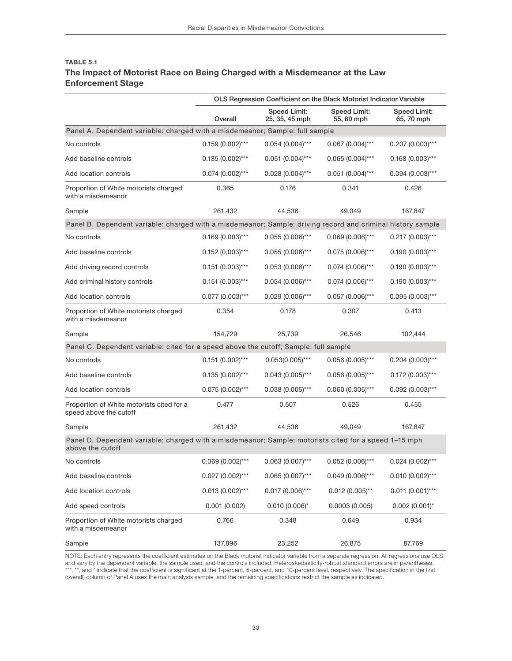## TABLE 5.1 The Impact of Motorist Race on Being Charged with a Misdemeanor at the Law Enforcement Stage

|                                                                                                                           |                    |                                | OLS Regression Coefficient on the Black Motorist Indicator Variable |                                   |
|---------------------------------------------------------------------------------------------------------------------------|--------------------|--------------------------------|---------------------------------------------------------------------|-----------------------------------|
|                                                                                                                           | Overall            | Speed Limit:<br>25, 35, 45 mph | <b>Speed Limit:</b><br>55, 60 mph                                   | <b>Speed Limit:</b><br>65, 70 mph |
| Panel A. Dependent variable: charged with a misdemeanor; Sample: full sample                                              |                    |                                |                                                                     |                                   |
| No controls                                                                                                               | $0.159(0.002)***$  | $0.054(0.004)***$              | $0.067$ (0.004)***                                                  | $0.207$ (0.003)***                |
| Add baseline controls                                                                                                     | $0.135(0.002)***$  | $0.051$ (0.004)***             | $0.065(0.004)***$                                                   | $0.168(0.003)$ ***                |
| Add location controls                                                                                                     | $0.074$ (0.002)*** | $0.028(0.004)***$              | $0.051$ (0.004)***                                                  | $0.094(0.003)***$                 |
| Proportion of White motorists charged<br>with a misdemeanor                                                               | 0.365              | 0.176                          | 0.341                                                               | 0.426                             |
| Sample                                                                                                                    | 261,432            | 44,536                         | 49,049                                                              | 167,847                           |
| Panel B. Dependent variable: charged with a misdemeanor; Sample: driving record and criminal history sample               |                    |                                |                                                                     |                                   |
| No controls                                                                                                               | $0.169(0.003)***$  | $0.055(0.006)***$              | $0.069(0.006)***$                                                   | $0.217(0.003)***$                 |
| Add baseline controls                                                                                                     | $0.152(0.003)***$  | $0.055(0.006)***$              | $0.075(0.006)***$                                                   | $0.190(0.003)***$                 |
| Add driving record controls                                                                                               | $0.151 (0.003)***$ | $0.053(0.006)***$              | $0.074(0.006)***$                                                   | $0.190(0.003)***$                 |
| Add criminal history controls                                                                                             | $0.151 (0.003)***$ | $0.054$ (0.006)***             | $0.074(0.006)***$                                                   | $0.190(0.003)***$                 |
| Add location controls                                                                                                     | $0.077$ (0.003)*** | $0.029(0.006)***$              | $0.057$ (0.006)***                                                  | $0.095(0.003)***$                 |
| Proportion of White motorists charged<br>with a misdemeanor                                                               | 0.354              | 0.178                          | 0.307                                                               | 0.413                             |
| Sample                                                                                                                    | 154,729            | 25,739                         | 26,546                                                              | 102,444                           |
| Panel C. Dependent variable: cited for a speed above the cutoff; Sample: full sample                                      |                    |                                |                                                                     |                                   |
| No controls                                                                                                               | $0.151 (0.002)***$ | $0.053(0.005)***$              | $0.056(0.005)***$                                                   | $0.204$ (0.003)***                |
| Add baseline controls                                                                                                     | $0.135(0.002)***$  | $0.043(0.005)***$              | $0.056(0.005)***$                                                   | $0.172(0.003)***$                 |
| Add location controls                                                                                                     | $0.075(0.002)***$  | $0.038(0.005)***$              | $0.060(0.005)***$                                                   | $0.092$ (0.003)***                |
| Proportion of White motorists cited for a<br>speed above the cutoff                                                       | 0.477              | 0.507                          | 0.526                                                               | 0.455                             |
| Sample                                                                                                                    | 261,432            | 44,536                         | 49,049                                                              | 167.847                           |
| Panel D. Dependent variable: charged with a misdemeanor; Sample: motorists cited for a speed 1-15 mph<br>above the cutoff |                    |                                |                                                                     |                                   |
| No controls                                                                                                               | $0.069(0.002)***$  | $0.063$ (0.007)***             | $0.052$ (0.006)***                                                  | $0.024$ (0.002)***                |
| Add baseline controls                                                                                                     | $0.027(0.002)***$  | $0.065(0.007)***$              | $0.049(0.006)***$                                                   | $0.010(0.002)***$                 |
| Add location controls                                                                                                     | $0.013(0.002)***$  | $0.017(0.006)***$              | $0.012$ (0.005)**                                                   | $0.011$ $(0.001)***$              |
| Add speed controls                                                                                                        | 0.001(0.002)       | $0.010(0.006)^{*}$             | 0.0003(0.005)                                                       | $0.002(0.001)^{*}$                |
| Proportion of White motorists charged<br>with a misdemeanor                                                               | 0.766              | 0.348                          | 0.649                                                               | 0.934                             |
| Sample                                                                                                                    | 137,896            | 23,252                         | 26,875                                                              | 87,769                            |

NOTE: Each entry represents the coefficient estimates on the Black motorist indicator variable from a separate regression. All regressions use OLS and vary by the dependent variable, the sample used, and the controls included. Heteroskedasticity-robust standard errors are in parentheses. \*\*\*, \*\*, and \* indicate that the coefficient is significant at the 1-percent, 5-percent, and 10-percent level, respectively. The specification in the first (overall) column of Panel A uses the main analysis sample, and the remaining specifications restrict the sample as indicated.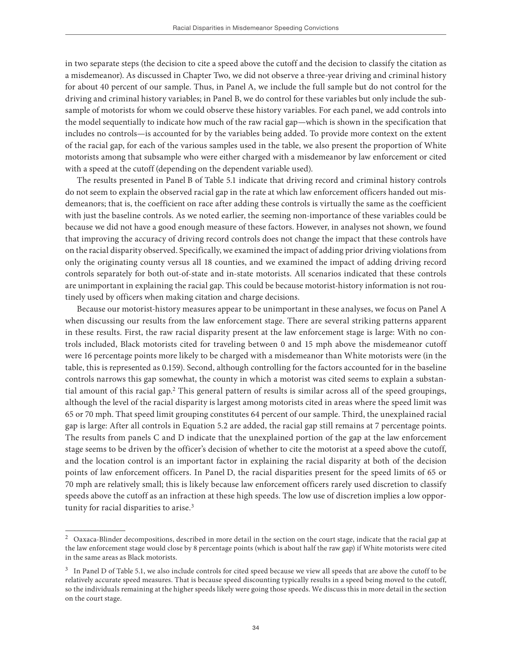in two separate steps (the decision to cite a speed above the cutoff and the decision to classify the citation as a misdemeanor). As discussed in Chapter Two, we did not observe a three-year driving and criminal history for about 40 percent of our sample. Thus, in Panel A, we include the full sample but do not control for the driving and criminal history variables; in Panel B, we do control for these variables but only include the subsample of motorists for whom we could observe these history variables. For each panel, we add controls into the model sequentially to indicate how much of the raw racial gap—which is shown in the specification that includes no controls—is accounted for by the variables being added. To provide more context on the extent of the racial gap, for each of the various samples used in the table, we also present the proportion of White motorists among that subsample who were either charged with a misdemeanor by law enforcement or cited with a speed at the cutoff (depending on the dependent variable used).

The results presented in Panel B of Table 5.1 indicate that driving record and criminal history controls do not seem to explain the observed racial gap in the rate at which law enforcement officers handed out misdemeanors; that is, the coefficient on race after adding these controls is virtually the same as the coefficient with just the baseline controls. As we noted earlier, the seeming non-importance of these variables could be because we did not have a good enough measure of these factors. However, in analyses not shown, we found that improving the accuracy of driving record controls does not change the impact that these controls have on the racial disparity observed. Specifically, we examined the impact of adding prior driving violations from only the originating county versus all 18 counties, and we examined the impact of adding driving record controls separately for both out-of-state and in-state motorists. All scenarios indicated that these controls are unimportant in explaining the racial gap. This could be because motorist-history information is not routinely used by officers when making citation and charge decisions.

Because our motorist-history measures appear to be unimportant in these analyses, we focus on Panel A when discussing our results from the law enforcement stage. There are several striking patterns apparent in these results. First, the raw racial disparity present at the law enforcement stage is large: With no controls included, Black motorists cited for traveling between 0 and 15 mph above the misdemeanor cutoff were 16 percentage points more likely to be charged with a misdemeanor than White motorists were (in the table, this is represented as 0.159). Second, although controlling for the factors accounted for in the baseline controls narrows this gap somewhat, the county in which a motorist was cited seems to explain a substantial amount of this racial gap.2 This general pattern of results is similar across all of the speed groupings, although the level of the racial disparity is largest among motorists cited in areas where the speed limit was 65 or 70 mph. That speed limit grouping constitutes 64 percent of our sample. Third, the unexplained racial gap is large: After all controls in Equation 5.2 are added, the racial gap still remains at 7 percentage points. The results from panels C and D indicate that the unexplained portion of the gap at the law enforcement stage seems to be driven by the officer's decision of whether to cite the motorist at a speed above the cutoff, and the location control is an important factor in explaining the racial disparity at both of the decision points of law enforcement officers. In Panel D, the racial disparities present for the speed limits of 65 or 70 mph are relatively small; this is likely because law enforcement officers rarely used discretion to classify speeds above the cutoff as an infraction at these high speeds. The low use of discretion implies a low opportunity for racial disparities to arise.<sup>3</sup>

<sup>&</sup>lt;sup>2</sup> Oaxaca-Blinder decompositions, described in more detail in the section on the court stage, indicate that the racial gap at the law enforcement stage would close by 8 percentage points (which is about half the raw gap) if White motorists were cited in the same areas as Black motorists.

<sup>&</sup>lt;sup>3</sup> In Panel D of Table 5.1, we also include controls for cited speed because we view all speeds that are above the cutoff to be relatively accurate speed measures. That is because speed discounting typically results in a speed being moved to the cutoff, so the individuals remaining at the higher speeds likely were going those speeds. We discuss this in more detail in the section on the court stage.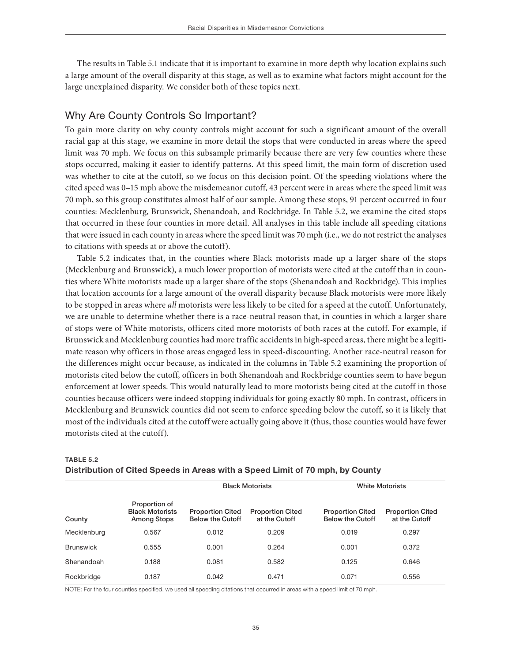The results in Table 5.1 indicate that it is important to examine in more depth why location explains such a large amount of the overall disparity at this stage, as well as to examine what factors might account for the large unexplained disparity. We consider both of these topics next.

## Why Are County Controls So Important?

To gain more clarity on why county controls might account for such a significant amount of the overall racial gap at this stage, we examine in more detail the stops that were conducted in areas where the speed limit was 70 mph. We focus on this subsample primarily because there are very few counties where these stops occurred, making it easier to identify patterns. At this speed limit, the main form of discretion used was whether to cite at the cutoff, so we focus on this decision point. Of the speeding violations where the cited speed was 0–15 mph above the misdemeanor cutoff, 43 percent were in areas where the speed limit was 70 mph, so this group constitutes almost half of our sample. Among these stops, 91 percent occurred in four counties: Mecklenburg, Brunswick, Shenandoah, and Rockbridge. In Table 5.2, we examine the cited stops that occurred in these four counties in more detail. All analyses in this table include all speeding citations that were issued in each county in areas where the speed limit was 70 mph (i.e., we do not restrict the analyses to citations with speeds at or above the cutoff).

Table 5.2 indicates that, in the counties where Black motorists made up a larger share of the stops (Mecklenburg and Brunswick), a much lower proportion of motorists were cited at the cutoff than in counties where White motorists made up a larger share of the stops (Shenandoah and Rockbridge). This implies that location accounts for a large amount of the overall disparity because Black motorists were more likely to be stopped in areas where *all* motorists were less likely to be cited for a speed at the cutoff. Unfortunately, we are unable to determine whether there is a race-neutral reason that, in counties in which a larger share of stops were of White motorists, officers cited more motorists of both races at the cutoff. For example, if Brunswick and Mecklenburg counties had more traffic accidents in high-speed areas, there might be a legitimate reason why officers in those areas engaged less in speed-discounting. Another race-neutral reason for the differences might occur because, as indicated in the columns in Table 5.2 examining the proportion of motorists cited below the cutoff, officers in both Shenandoah and Rockbridge counties seem to have begun enforcement at lower speeds. This would naturally lead to more motorists being cited at the cutoff in those counties because officers were indeed stopping individuals for going exactly 80 mph. In contrast, officers in Mecklenburg and Brunswick counties did not seem to enforce speeding below the cutoff, so it is likely that most of the individuals cited at the cutoff were actually going above it (thus, those counties would have fewer motorists cited at the cutoff).

|                  |                                                               |                                                    | <b>Black Motorists</b>                   | <b>White Motorists</b>                             |                                          |  |
|------------------|---------------------------------------------------------------|----------------------------------------------------|------------------------------------------|----------------------------------------------------|------------------------------------------|--|
| County           | Proportion of<br><b>Black Motorists</b><br><b>Among Stops</b> | <b>Proportion Cited</b><br><b>Below the Cutoff</b> | <b>Proportion Cited</b><br>at the Cutoff | <b>Proportion Cited</b><br><b>Below the Cutoff</b> | <b>Proportion Cited</b><br>at the Cutoff |  |
| Mecklenburg      | 0.567                                                         | 0.012                                              | 0.209                                    | 0.019                                              | 0.297                                    |  |
| <b>Brunswick</b> | 0.555                                                         | 0.001                                              | 0.264                                    | 0.001                                              | 0.372                                    |  |
| Shenandoah       | 0.188                                                         | 0.081                                              | 0.582                                    | 0.125                                              | 0.646                                    |  |
| Rockbridge       | 0.187                                                         | 0.042                                              | 0.471                                    | 0.071                                              | 0.556                                    |  |

### TABLE 5.2 Distribution of Cited Speeds in Areas with a Speed Limit of 70 mph, by County

NOTE: For the four counties specified, we used all speeding citations that occurred in areas with a speed limit of 70 mph.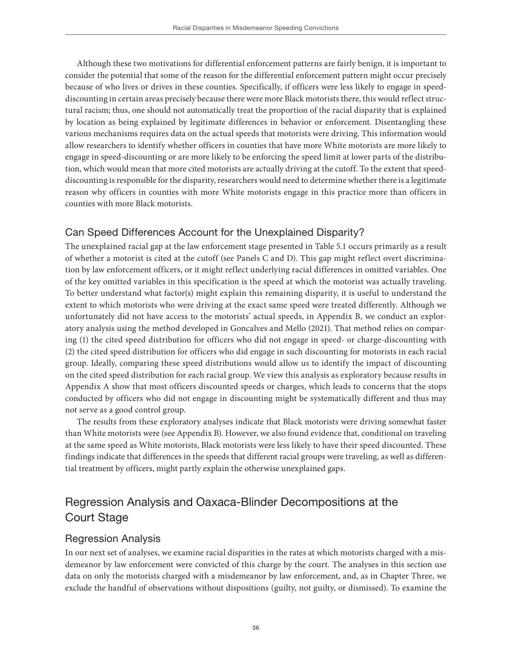Although these two motivations for differential enforcement patterns are fairly benign, it is important to consider the potential that some of the reason for the differential enforcement pattern might occur precisely because of who lives or drives in these counties. Specifically, if officers were less likely to engage in speeddiscounting in certain areas precisely because there were more Black motorists there, this would reflect structural racism; thus, one should not automatically treat the proportion of the racial disparity that is explained by location as being explained by legitimate differences in behavior or enforcement. Disentangling these various mechanisms requires data on the actual speeds that motorists were driving. This information would allow researchers to identify whether officers in counties that have more White motorists are more likely to engage in speed-discounting or are more likely to be enforcing the speed limit at lower parts of the distribution, which would mean that more cited motorists are actually driving at the cutoff. To the extent that speeddiscounting is responsible for the disparity, researchers would need to determine whether there is a legitimate reason why officers in counties with more White motorists engage in this practice more than officers in counties with more Black motorists.

## Can Speed Differences Account for the Unexplained Disparity?

The unexplained racial gap at the law enforcement stage presented in Table 5.1 occurs primarily as a result of whether a motorist is cited at the cutoff (see Panels C and D). This gap might reflect overt discrimination by law enforcement officers, or it might reflect underlying racial differences in omitted variables. One of the key omitted variables in this specification is the speed at which the motorist was actually traveling. To better understand what factor(s) might explain this remaining disparity, it is useful to understand the extent to which motorists who were driving at the exact same speed were treated differently. Although we unfortunately did not have access to the motorists' actual speeds, in Appendix B, we conduct an exploratory analysis using the method developed in Goncalves and Mello (2021). That method relies on comparing (1) the cited speed distribution for officers who did not engage in speed- or charge-discounting with (2) the cited speed distribution for officers who did engage in such discounting for motorists in each racial group. Ideally, comparing these speed distributions would allow us to identify the impact of discounting on the cited speed distribution for each racial group. We view this analysis as exploratory because results in Appendix A show that most officers discounted speeds or charges, which leads to concerns that the stops conducted by officers who did not engage in discounting might be systematically different and thus may not serve as a good control group.

The results from these exploratory analyses indicate that Black motorists were driving somewhat faster than White motorists were (see Appendix B). However, we also found evidence that, conditional on traveling at the same speed as White motorists, Black motorists were less likely to have their speed discounted. These findings indicate that differences in the speeds that different racial groups were traveling, as well as differential treatment by officers, might partly explain the otherwise unexplained gaps.

# Regression Analysis and Oaxaca-Blinder Decompositions at the Court Stage

## Regression Analysis

In our next set of analyses, we examine racial disparities in the rates at which motorists charged with a misdemeanor by law enforcement were convicted of this charge by the court. The analyses in this section use data on only the motorists charged with a misdemeanor by law enforcement, and, as in Chapter Three, we exclude the handful of observations without dispositions (guilty, not guilty, or dismissed). To examine the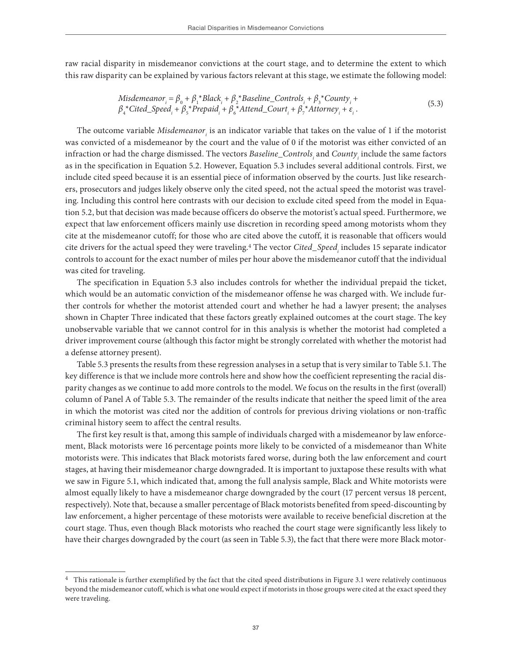raw racial disparity in misdemeanor convictions at the court stage, and to determine the extent to which this raw disparity can be explained by various factors relevant at this stage, we estimate the following model:

$$
Misdemoanor_i = \beta_0 + \beta_1 * Black_i + \beta_2 * Baseline\_Controls_i + \beta_3 * County_i + \n\beta_4 * Cited\_Speed_i + \beta_5 * Prepaid_i + \beta_6 * Attend\_Count_i + \beta_7 * Attorney_i + \varepsilon_i.
$$
\n(5.3)

The outcome variable *Misdemeanor*<sub>i</sub> is an indicator variable that takes on the value of 1 if the motorist was convicted of a misdemeanor by the court and the value of 0 if the motorist was either convicted of an infraction or had the charge dismissed. The vectors *Baseline\_Controls<sub>i</sub>* and *County<sub>i</sub>* include the same factors as in the specification in Equation 5.2. However, Equation 5.3 includes several additional controls. First, we include cited speed because it is an essential piece of information observed by the courts. Just like researchers, prosecutors and judges likely observe only the cited speed, not the actual speed the motorist was traveling. Including this control here contrasts with our decision to exclude cited speed from the model in Equation 5.2, but that decision was made because officers do observe the motorist's actual speed. Furthermore, we expect that law enforcement officers mainly use discretion in recording speed among motorists whom they cite at the misdemeanor cutoff; for those who are cited above the cutoff, it is reasonable that officers would cite drivers for the actual speed they were traveling.<sup>4</sup> The vector *Cited\_Speed<sub>i</sub>* includes 15 separate indicator controls to account for the exact number of miles per hour above the misdemeanor cutoff that the individual was cited for traveling.

The specification in Equation 5.3 also includes controls for whether the individual prepaid the ticket, which would be an automatic conviction of the misdemeanor offense he was charged with. We include further controls for whether the motorist attended court and whether he had a lawyer present; the analyses shown in Chapter Three indicated that these factors greatly explained outcomes at the court stage. The key unobservable variable that we cannot control for in this analysis is whether the motorist had completed a driver improvement course (although this factor might be strongly correlated with whether the motorist had a defense attorney present).

Table 5.3 presents the results from these regression analyses in a setup that is very similar to Table 5.1. The key difference is that we include more controls here and show how the coefficient representing the racial disparity changes as we continue to add more controls to the model. We focus on the results in the first (overall) column of Panel A of Table 5.3. The remainder of the results indicate that neither the speed limit of the area in which the motorist was cited nor the addition of controls for previous driving violations or non-traffic criminal history seem to affect the central results.

The first key result is that, among this sample of individuals charged with a misdemeanor by law enforcement, Black motorists were 16 percentage points more likely to be convicted of a misdemeanor than White motorists were. This indicates that Black motorists fared worse, during both the law enforcement and court stages, at having their misdemeanor charge downgraded. It is important to juxtapose these results with what we saw in Figure 5.1, which indicated that, among the full analysis sample, Black and White motorists were almost equally likely to have a misdemeanor charge downgraded by the court (17 percent versus 18 percent, respectively). Note that, because a smaller percentage of Black motorists benefited from speed-discounting by law enforcement, a higher percentage of these motorists were available to receive beneficial discretion at the court stage. Thus, even though Black motorists who reached the court stage were significantly less likely to have their charges downgraded by the court (as seen in Table 5.3), the fact that there were more Black motor-

<sup>4</sup> This rationale is further exemplified by the fact that the cited speed distributions in Figure 3.1 were relatively continuous beyond the misdemeanor cutoff, which is what one would expect if motorists in those groups were cited at the exact speed they were traveling.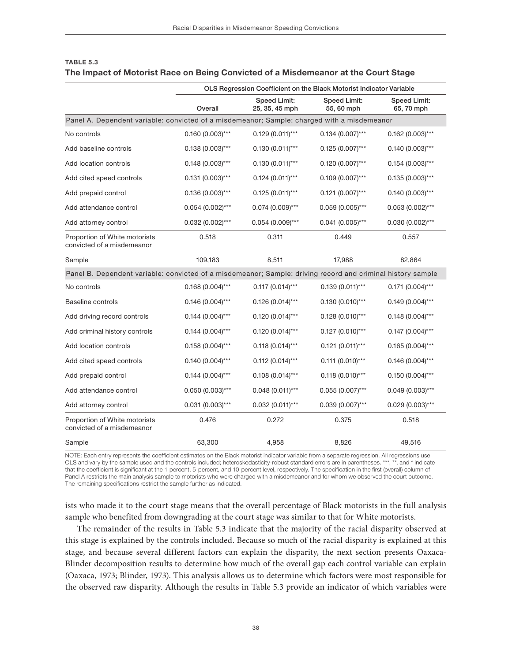|                                                                                                             |                     |                                       | OLS Regression Coefficient on the Black Motorist Indicator Variable |                                   |
|-------------------------------------------------------------------------------------------------------------|---------------------|---------------------------------------|---------------------------------------------------------------------|-----------------------------------|
|                                                                                                             | Overall             | <b>Speed Limit:</b><br>25, 35, 45 mph | <b>Speed Limit:</b><br>55, 60 mph                                   | <b>Speed Limit:</b><br>65, 70 mph |
| Panel A. Dependent variable: convicted of a misdemeanor; Sample: charged with a misdemeanor                 |                     |                                       |                                                                     |                                   |
| No controls                                                                                                 | $0.160(0.003)***$   | $0.129(0.011***$                      | $0.134(0.007)***$                                                   | $0.162(0.003)***$                 |
| Add baseline controls                                                                                       | $0.138(0.003)***$   | $0.130(0.011)***$                     | $0.125(0.007)$ ***                                                  | $0.140(0.003)***$                 |
| Add location controls                                                                                       | $0.148(0.003)***$   | $0.130(0.011)***$                     | $0.120(0.007)$ ***                                                  | $0.154(0.003)***$                 |
| Add cited speed controls                                                                                    | $0.131 (0.003)***$  | $0.124(0.011)***$                     | $0.109(0.007)***$                                                   | $0.135(0.003)***$                 |
| Add prepaid control                                                                                         | $0.136(0.003)***$   | $0.125(0.011***$                      | $0.121 (0.007)$ ***                                                 | $0.140(0.003)***$                 |
| Add attendance control                                                                                      | $0.054(0.002)***$   | $0.074$ (0.009)***                    | $0.059(0.005)***$                                                   | $0.053(0.002)***$                 |
| Add attorney control                                                                                        | $0.032(0.002)***$   | $0.054$ (0.009)***                    | $0.041$ (0.005)***                                                  | $0.030(0.002)***$                 |
| Proportion of White motorists<br>convicted of a misdemeanor                                                 | 0.518               | 0.311                                 | 0.449                                                               | 0.557                             |
| Sample                                                                                                      | 109,183             | 8,511                                 | 17,988                                                              | 82,864                            |
| Panel B. Dependent variable: convicted of a misdemeanor; Sample: driving record and criminal history sample |                     |                                       |                                                                     |                                   |
| No controls                                                                                                 | $0.168(0.004)***$   | $0.117(0.014)***$                     | $0.139(0.011)***$                                                   | $0.171 (0.004)***$                |
| <b>Baseline controls</b>                                                                                    | $0.146(0.004)***$   | $0.126(0.014)***$                     | $0.130(0.010)***$                                                   | $0.149(0.004)***$                 |
| Add driving record controls                                                                                 | $0.144 (0.004)$ *** | $0.120(0.014)***$                     | $0.128(0.010)***$                                                   | $0.148(0.004)***$                 |
| Add criminal history controls                                                                               | $0.144(0.004)***$   | $0.120(0.014)***$                     | $0.127(0.010)***$                                                   | $0.147(0.004)***$                 |
| Add location controls                                                                                       | $0.158(0.004)***$   | $0.118(0.014)***$                     | $0.121 (0.011)***$                                                  | $0.165(0.004)***$                 |
| Add cited speed controls                                                                                    | $0.140(0.004)***$   | $0.112(0.014)***$                     | $0.111 (0.010)***$                                                  | $0.146(0.004)***$                 |
| Add prepaid control                                                                                         | $0.144 (0.004)$ *** | $0.108(0.014)$ ***                    | $0.118(0.010)***$                                                   | $0.150(0.004)***$                 |
| Add attendance control                                                                                      | $0.050(0.003)***$   | $0.048(0.011)***$                     | $0.055(0.007)$ ***                                                  | $0.049(0.003)***$                 |
| Add attorney control                                                                                        | $0.031$ (0.003)***  | $0.032(0.011)***$                     | $0.039(0.007)***$                                                   | $0.029(0.003)***$                 |
| Proportion of White motorists<br>convicted of a misdemeanor                                                 | 0.476               | 0.272                                 | 0.375                                                               | 0.518                             |
| Sample                                                                                                      | 63,300              | 4,958                                 | 8,826                                                               | 49,516                            |

### TABLE 5.3 The Impact of Motorist Race on Being Convicted of a Misdemeanor at the Court Stage

NOTE: Each entry represents the coefficient estimates on the Black motorist indicator variable from a separate regression. All regressions use OLS and vary by the sample used and the controls included; heteroskedasticity-robust standard errors are in parentheses. \*\*\*, \*\*, and \* indicate that the coefficient is significant at the 1-percent, 5-percent, and 10-percent level, respectively. The specification in the first (overall) column of Panel A restricts the main analysis sample to motorists who were charged with a misdemeanor and for whom we observed the court outcome. The remaining specifications restrict the sample further as indicated.

ists who made it to the court stage means that the overall percentage of Black motorists in the full analysis sample who benefited from downgrading at the court stage was similar to that for White motorists.

The remainder of the results in Table 5.3 indicate that the majority of the racial disparity observed at this stage is explained by the controls included. Because so much of the racial disparity is explained at this stage, and because several different factors can explain the disparity, the next section presents Oaxaca-Blinder decomposition results to determine how much of the overall gap each control variable can explain (Oaxaca, 1973; Blinder, 1973). This analysis allows us to determine which factors were most responsible for the observed raw disparity. Although the results in Table 5.3 provide an indicator of which variables were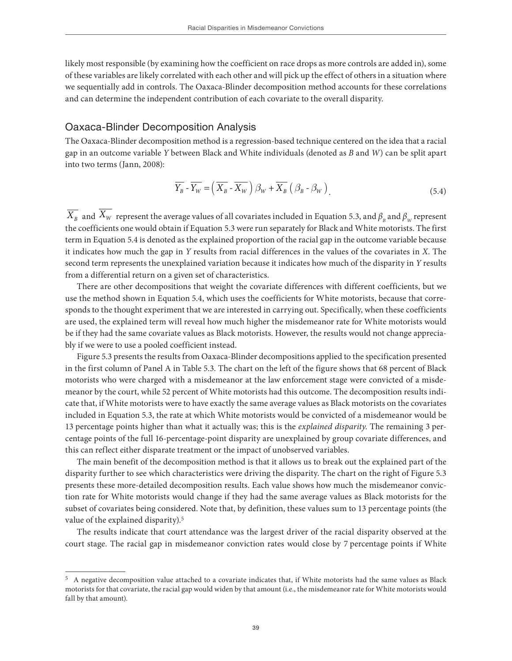likely most responsible (by examining how the coefficient on race drops as more controls are added in), some of these variables are likely correlated with each other and will pick up the effect of others in a situation where we sequentially add in controls. The Oaxaca-Blinder decomposition method accounts for these correlations and can determine the independent contribution of each covariate to the overall disparity.

## Oaxaca-Blinder Decomposition Analysis

The Oaxaca-Blinder decomposition method is a regression-based technique centered on the idea that a racial gap in an outcome variable *Y* between Black and White individuals (denoted as *B* and *W*) can be split apart into two terms (Jann, 2008):

$$
\overline{Y_B} - \overline{Y_W} = \left(\overline{X_B} - \overline{X_W}\right)\beta_W + \overline{X_B}\left(\beta_B - \beta_W\right). \tag{5.4}
$$

 $\overline{X_B}$  and  $\overline{X_W}$  represent the average values of all covariates included in Equation 5.3, and  $\beta_R$  and  $\beta_W$  represent the coefficients one would obtain if Equation 5.3 were run separately for Black and White motorists. The first term in Equation 5.4 is denoted as the explained proportion of the racial gap in the outcome variable because it indicates how much the gap in *Y* results from racial differences in the values of the covariates in *X*. The second term represents the unexplained variation because it indicates how much of the disparity in *Y* results from a differential return on a given set of characteristics.

There are other decompositions that weight the covariate differences with different coefficients, but we use the method shown in Equation 5.4, which uses the coefficients for White motorists, because that corresponds to the thought experiment that we are interested in carrying out. Specifically, when these coefficients are used, the explained term will reveal how much higher the misdemeanor rate for White motorists would be if they had the same covariate values as Black motorists. However, the results would not change appreciably if we were to use a pooled coefficient instead.

Figure 5.3 presents the results from Oaxaca-Blinder decompositions applied to the specification presented in the first column of Panel A in Table 5.3. The chart on the left of the figure shows that 68 percent of Black motorists who were charged with a misdemeanor at the law enforcement stage were convicted of a misdemeanor by the court, while 52 percent of White motorists had this outcome. The decomposition results indicate that, if White motorists were to have exactly the same average values as Black motorists on the covariates included in Equation 5.3, the rate at which White motorists would be convicted of a misdemeanor would be 13 percentage points higher than what it actually was; this is the *explained disparity*. The remaining 3 percentage points of the full 16-percentage-point disparity are unexplained by group covariate differences, and this can reflect either disparate treatment or the impact of unobserved variables.

The main benefit of the decomposition method is that it allows us to break out the explained part of the disparity further to see which characteristics were driving the disparity. The chart on the right of Figure 5.3 presents these more-detailed decomposition results. Each value shows how much the misdemeanor conviction rate for White motorists would change if they had the same average values as Black motorists for the subset of covariates being considered. Note that, by definition, these values sum to 13 percentage points (the value of the explained disparity).<sup>5</sup>

The results indicate that court attendance was the largest driver of the racial disparity observed at the court stage. The racial gap in misdemeanor conviction rates would close by 7 percentage points if White

<sup>5</sup> A negative decomposition value attached to a covariate indicates that, if White motorists had the same values as Black motorists for that covariate, the racial gap would widen by that amount (i.e., the misdemeanor rate for White motorists would fall by that amount).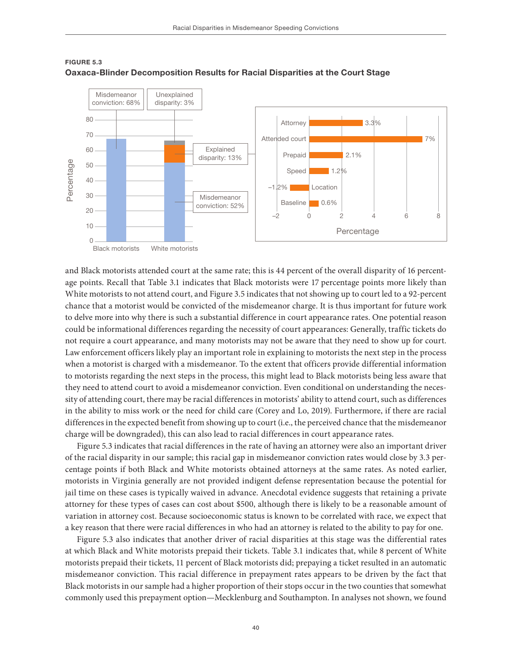

#### FIGURE 5.3 Oaxaca-Blinder Decomposition Results for Racial Disparities at the Court Stage

and Black motorists attended court at the same rate; this is 44 percent of the overall disparity of 16 percentage points. Recall that Table 3.1 indicates that Black motorists were 17 percentage points more likely than White motorists to not attend court, and Figure 3.5 indicates that not showing up to court led to a 92-percent chance that a motorist would be convicted of the misdemeanor charge. It is thus important for future work to delve more into why there is such a substantial difference in court appearance rates. One potential reason could be informational differences regarding the necessity of court appearances: Generally, traffic tickets do not require a court appearance, and many motorists may not be aware that they need to show up for court. Law enforcement officers likely play an important role in explaining to motorists the next step in the process when a motorist is charged with a misdemeanor. To the extent that officers provide differential information to motorists regarding the next steps in the process, this might lead to Black motorists being less aware that they need to attend court to avoid a misdemeanor conviction. Even conditional on understanding the necessity of attending court, there may be racial differences in motorists' ability to attend court, such as differences in the ability to miss work or the need for child care (Corey and Lo, 2019). Furthermore, if there are racial differences in the expected benefit from showing up to court (i.e., the perceived chance that the misdemeanor charge will be downgraded), this can also lead to racial differences in court appearance rates.

Figure 5.3 indicates that racial differences in the rate of having an attorney were also an important driver of the racial disparity in our sample; this racial gap in misdemeanor conviction rates would close by 3.3 percentage points if both Black and White motorists obtained attorneys at the same rates. As noted earlier, motorists in Virginia generally are not provided indigent defense representation because the potential for jail time on these cases is typically waived in advance. Anecdotal evidence suggests that retaining a private attorney for these types of cases can cost about \$500, although there is likely to be a reasonable amount of variation in attorney cost. Because socioeconomic status is known to be correlated with race, we expect that a key reason that there were racial differences in who had an attorney is related to the ability to pay for one.

Figure 5.3 also indicates that another driver of racial disparities at this stage was the differential rates at which Black and White motorists prepaid their tickets. Table 3.1 indicates that, while 8 percent of White motorists prepaid their tickets, 11 percent of Black motorists did; prepaying a ticket resulted in an automatic misdemeanor conviction. This racial difference in prepayment rates appears to be driven by the fact that Black motorists in our sample had a higher proportion of their stops occur in the two counties that somewhat commonly used this prepayment option—Mecklenburg and Southampton. In analyses not shown, we found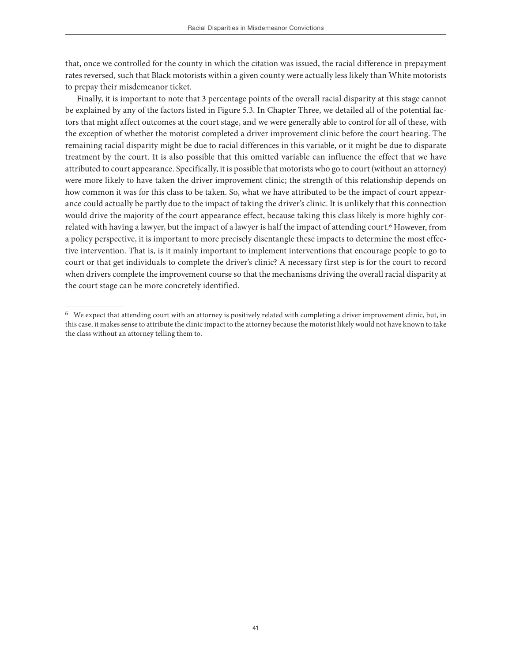that, once we controlled for the county in which the citation was issued, the racial difference in prepayment rates reversed, such that Black motorists within a given county were actually less likely than White motorists to prepay their misdemeanor ticket.

Finally, it is important to note that 3 percentage points of the overall racial disparity at this stage cannot be explained by any of the factors listed in Figure 5.3. In Chapter Three, we detailed all of the potential factors that might affect outcomes at the court stage, and we were generally able to control for all of these, with the exception of whether the motorist completed a driver improvement clinic before the court hearing. The remaining racial disparity might be due to racial differences in this variable, or it might be due to disparate treatment by the court. It is also possible that this omitted variable can influence the effect that we have attributed to court appearance. Specifically, it is possible that motorists who go to court (without an attorney) were more likely to have taken the driver improvement clinic; the strength of this relationship depends on how common it was for this class to be taken. So, what we have attributed to be the impact of court appearance could actually be partly due to the impact of taking the driver's clinic. It is unlikely that this connection would drive the majority of the court appearance effect, because taking this class likely is more highly correlated with having a lawyer, but the impact of a lawyer is half the impact of attending court.6 However, from a policy perspective, it is important to more precisely disentangle these impacts to determine the most effective intervention. That is, is it mainly important to implement interventions that encourage people to go to court or that get individuals to complete the driver's clinic? A necessary first step is for the court to record when drivers complete the improvement course so that the mechanisms driving the overall racial disparity at the court stage can be more concretely identified.

<sup>6</sup> We expect that attending court with an attorney is positively related with completing a driver improvement clinic, but, in this case, it makes sense to attribute the clinic impact to the attorney because the motorist likely would not have known to take the class without an attorney telling them to.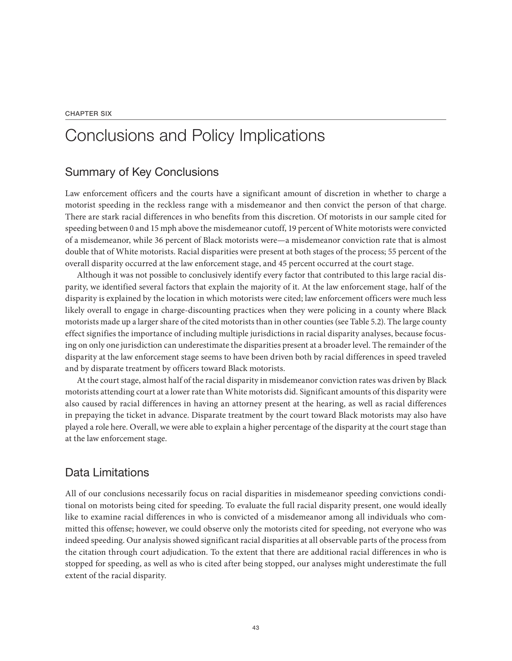# Conclusions and Policy Implications

# Summary of Key Conclusions

Law enforcement officers and the courts have a significant amount of discretion in whether to charge a motorist speeding in the reckless range with a misdemeanor and then convict the person of that charge. There are stark racial differences in who benefits from this discretion. Of motorists in our sample cited for speeding between 0 and 15 mph above the misdemeanor cutoff, 19 percent of White motorists were convicted of a misdemeanor, while 36 percent of Black motorists were—a misdemeanor conviction rate that is almost double that of White motorists. Racial disparities were present at both stages of the process; 55 percent of the overall disparity occurred at the law enforcement stage, and 45 percent occurred at the court stage.

Although it was not possible to conclusively identify every factor that contributed to this large racial disparity, we identified several factors that explain the majority of it. At the law enforcement stage, half of the disparity is explained by the location in which motorists were cited; law enforcement officers were much less likely overall to engage in charge-discounting practices when they were policing in a county where Black motorists made up a larger share of the cited motorists than in other counties (see Table 5.2). The large county effect signifies the importance of including multiple jurisdictions in racial disparity analyses, because focusing on only one jurisdiction can underestimate the disparities present at a broader level. The remainder of the disparity at the law enforcement stage seems to have been driven both by racial differences in speed traveled and by disparate treatment by officers toward Black motorists.

At the court stage, almost half of the racial disparity in misdemeanor conviction rates was driven by Black motorists attending court at a lower rate than White motorists did. Significant amounts of this disparity were also caused by racial differences in having an attorney present at the hearing, as well as racial differences in prepaying the ticket in advance. Disparate treatment by the court toward Black motorists may also have played a role here. Overall, we were able to explain a higher percentage of the disparity at the court stage than at the law enforcement stage.

# Data Limitations

All of our conclusions necessarily focus on racial disparities in misdemeanor speeding convictions conditional on motorists being cited for speeding. To evaluate the full racial disparity present, one would ideally like to examine racial differences in who is convicted of a misdemeanor among all individuals who committed this offense; however, we could observe only the motorists cited for speeding, not everyone who was indeed speeding. Our analysis showed significant racial disparities at all observable parts of the process from the citation through court adjudication. To the extent that there are additional racial differences in who is stopped for speeding, as well as who is cited after being stopped, our analyses might underestimate the full extent of the racial disparity.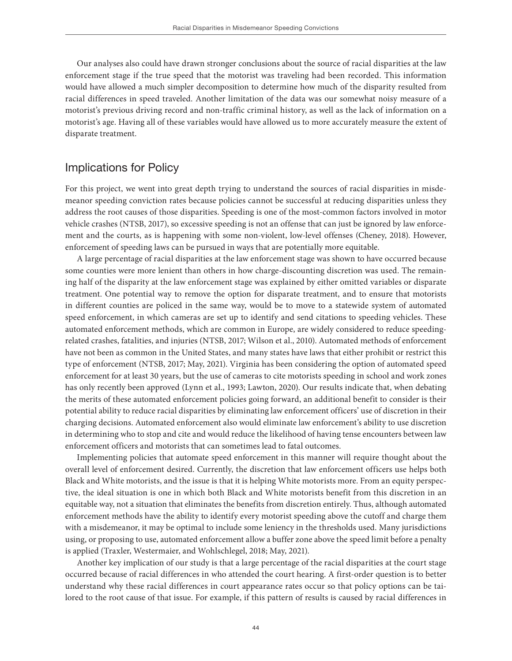Our analyses also could have drawn stronger conclusions about the source of racial disparities at the law enforcement stage if the true speed that the motorist was traveling had been recorded. This information would have allowed a much simpler decomposition to determine how much of the disparity resulted from racial differences in speed traveled. Another limitation of the data was our somewhat noisy measure of a motorist's previous driving record and non-traffic criminal history, as well as the lack of information on a motorist's age. Having all of these variables would have allowed us to more accurately measure the extent of disparate treatment.

## Implications for Policy

For this project, we went into great depth trying to understand the sources of racial disparities in misdemeanor speeding conviction rates because policies cannot be successful at reducing disparities unless they address the root causes of those disparities. Speeding is one of the most-common factors involved in motor vehicle crashes (NTSB, 2017), so excessive speeding is not an offense that can just be ignored by law enforcement and the courts, as is happening with some non-violent, low-level offenses (Cheney, 2018). However, enforcement of speeding laws can be pursued in ways that are potentially more equitable.

A large percentage of racial disparities at the law enforcement stage was shown to have occurred because some counties were more lenient than others in how charge-discounting discretion was used. The remaining half of the disparity at the law enforcement stage was explained by either omitted variables or disparate treatment. One potential way to remove the option for disparate treatment, and to ensure that motorists in different counties are policed in the same way, would be to move to a statewide system of automated speed enforcement, in which cameras are set up to identify and send citations to speeding vehicles. These automated enforcement methods, which are common in Europe, are widely considered to reduce speedingrelated crashes, fatalities, and injuries (NTSB, 2017; Wilson et al., 2010). Automated methods of enforcement have not been as common in the United States, and many states have laws that either prohibit or restrict this type of enforcement (NTSB, 2017; May, 2021). Virginia has been considering the option of automated speed enforcement for at least 30 years, but the use of cameras to cite motorists speeding in school and work zones has only recently been approved (Lynn et al., 1993; Lawton, 2020). Our results indicate that, when debating the merits of these automated enforcement policies going forward, an additional benefit to consider is their potential ability to reduce racial disparities by eliminating law enforcement officers' use of discretion in their charging decisions. Automated enforcement also would eliminate law enforcement's ability to use discretion in determining who to stop and cite and would reduce the likelihood of having tense encounters between law enforcement officers and motorists that can sometimes lead to fatal outcomes.

Implementing policies that automate speed enforcement in this manner will require thought about the overall level of enforcement desired. Currently, the discretion that law enforcement officers use helps both Black and White motorists, and the issue is that it is helping White motorists more. From an equity perspective, the ideal situation is one in which both Black and White motorists benefit from this discretion in an equitable way, not a situation that eliminates the benefits from discretion entirely. Thus, although automated enforcement methods have the ability to identify every motorist speeding above the cutoff and charge them with a misdemeanor, it may be optimal to include some leniency in the thresholds used. Many jurisdictions using, or proposing to use, automated enforcement allow a buffer zone above the speed limit before a penalty is applied (Traxler, Westermaier, and Wohlschlegel, 2018; May, 2021).

Another key implication of our study is that a large percentage of the racial disparities at the court stage occurred because of racial differences in who attended the court hearing. A first-order question is to better understand why these racial differences in court appearance rates occur so that policy options can be tailored to the root cause of that issue. For example, if this pattern of results is caused by racial differences in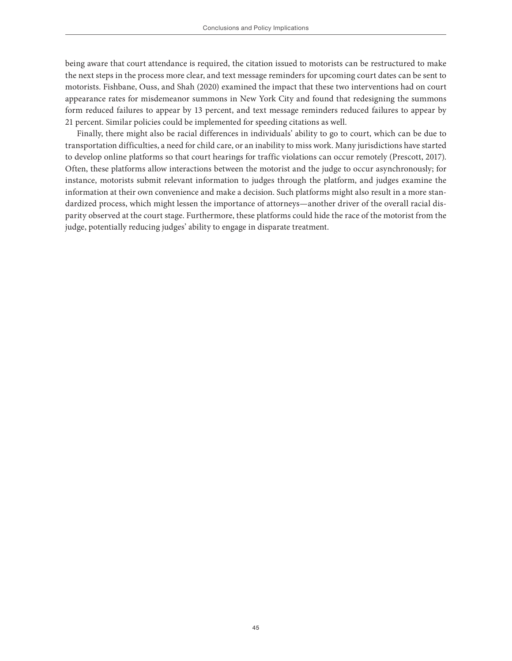being aware that court attendance is required, the citation issued to motorists can be restructured to make the next steps in the process more clear, and text message reminders for upcoming court dates can be sent to motorists. Fishbane, Ouss, and Shah (2020) examined the impact that these two interventions had on court appearance rates for misdemeanor summons in New York City and found that redesigning the summons form reduced failures to appear by 13 percent, and text message reminders reduced failures to appear by 21 percent. Similar policies could be implemented for speeding citations as well.

Finally, there might also be racial differences in individuals' ability to go to court, which can be due to transportation difficulties, a need for child care, or an inability to miss work. Many jurisdictions have started to develop online platforms so that court hearings for traffic violations can occur remotely (Prescott, 2017). Often, these platforms allow interactions between the motorist and the judge to occur asynchronously; for instance, motorists submit relevant information to judges through the platform, and judges examine the information at their own convenience and make a decision. Such platforms might also result in a more standardized process, which might lessen the importance of attorneys—another driver of the overall racial disparity observed at the court stage. Furthermore, these platforms could hide the race of the motorist from the judge, potentially reducing judges' ability to engage in disparate treatment.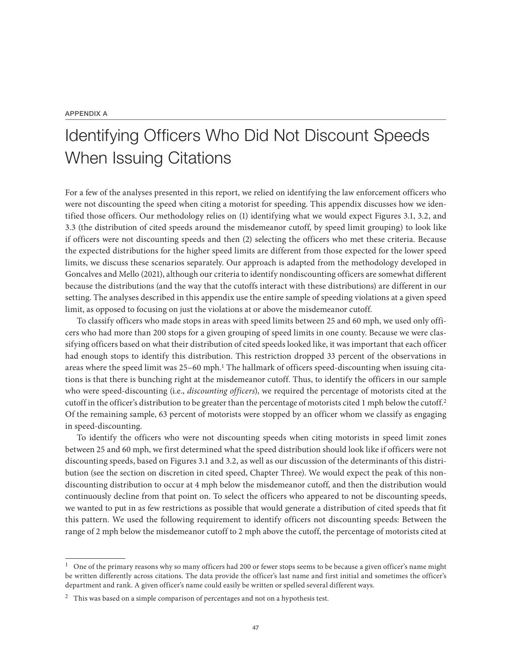# Identifying Officers Who Did Not Discount Speeds When Issuing Citations

For a few of the analyses presented in this report, we relied on identifying the law enforcement officers who were not discounting the speed when citing a motorist for speeding. This appendix discusses how we identified those officers. Our methodology relies on (1) identifying what we would expect Figures 3.1, 3.2, and 3.3 (the distribution of cited speeds around the misdemeanor cutoff, by speed limit grouping) to look like if officers were not discounting speeds and then (2) selecting the officers who met these criteria. Because the expected distributions for the higher speed limits are different from those expected for the lower speed limits, we discuss these scenarios separately. Our approach is adapted from the methodology developed in Goncalves and Mello (2021), although our criteria to identify nondiscounting officers are somewhat different because the distributions (and the way that the cutoffs interact with these distributions) are different in our setting. The analyses described in this appendix use the entire sample of speeding violations at a given speed limit, as opposed to focusing on just the violations at or above the misdemeanor cutoff.

To classify officers who made stops in areas with speed limits between 25 and 60 mph, we used only officers who had more than 200 stops for a given grouping of speed limits in one county. Because we were classifying officers based on what their distribution of cited speeds looked like, it was important that each officer had enough stops to identify this distribution. This restriction dropped 33 percent of the observations in areas where the speed limit was 25–60 mph.<sup>1</sup> The hallmark of officers speed-discounting when issuing citations is that there is bunching right at the misdemeanor cutoff. Thus, to identify the officers in our sample who were speed-discounting (i.e., *discounting officers*), we required the percentage of motorists cited at the cutoff in the officer's distribution to be greater than the percentage of motorists cited 1 mph below the cutoff.2 Of the remaining sample, 63 percent of motorists were stopped by an officer whom we classify as engaging in speed-discounting.

To identify the officers who were not discounting speeds when citing motorists in speed limit zones between 25 and 60 mph, we first determined what the speed distribution should look like if officers were not discounting speeds, based on Figures 3.1 and 3.2, as well as our discussion of the determinants of this distribution (see the section on discretion in cited speed, Chapter Three). We would expect the peak of this nondiscounting distribution to occur at 4 mph below the misdemeanor cutoff, and then the distribution would continuously decline from that point on. To select the officers who appeared to not be discounting speeds, we wanted to put in as few restrictions as possible that would generate a distribution of cited speeds that fit this pattern. We used the following requirement to identify officers not discounting speeds: Between the range of 2 mph below the misdemeanor cutoff to 2 mph above the cutoff, the percentage of motorists cited at

 $<sup>1</sup>$  One of the primary reasons why so many officers had 200 or fewer stops seems to be because a given officer's name might</sup> be written differently across citations. The data provide the officer's last name and first initial and sometimes the officer's department and rank. A given officer's name could easily be written or spelled several different ways.

<sup>&</sup>lt;sup>2</sup> This was based on a simple comparison of percentages and not on a hypothesis test.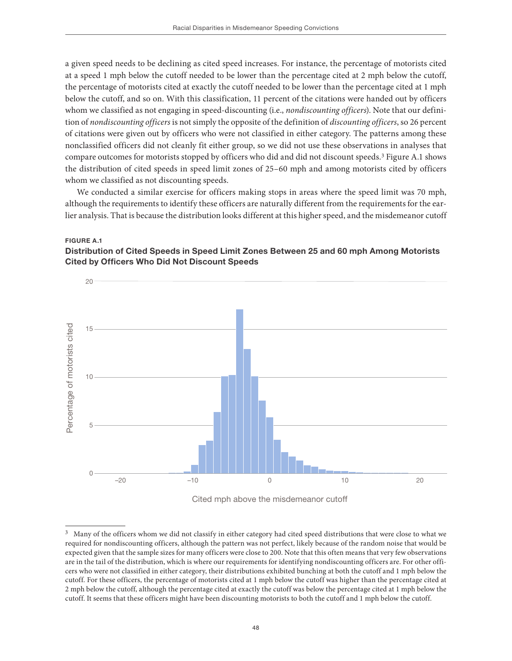a given speed needs to be declining as cited speed increases. For instance, the percentage of motorists cited at a speed 1 mph below the cutoff needed to be lower than the percentage cited at 2 mph below the cutoff, the percentage of motorists cited at exactly the cutoff needed to be lower than the percentage cited at 1 mph below the cutoff, and so on. With this classification, 11 percent of the citations were handed out by officers whom we classified as not engaging in speed-discounting (i.e., *nondiscounting officers*). Note that our definition of *nondiscounting officers* is not simply the opposite of the definition of *discounting officers*, so 26 percent of citations were given out by officers who were not classified in either category. The patterns among these nonclassified officers did not cleanly fit either group, so we did not use these observations in analyses that compare outcomes for motorists stopped by officers who did and did not discount speeds.3 Figure A.1 shows the distribution of cited speeds in speed limit zones of 25–60 mph and among motorists cited by officers whom we classified as not discounting speeds.

We conducted a similar exercise for officers making stops in areas where the speed limit was 70 mph, although the requirements to identify these officers are naturally different from the requirements for the earlier analysis. That is because the distribution looks different at this higher speed, and the misdemeanor cutoff

#### FIGURE A.1





#### Cited mph above the misdemeanor cutoff

<sup>&</sup>lt;sup>3</sup> Many of the officers whom we did not classify in either category had cited speed distributions that were close to what we required for nondiscounting officers, although the pattern was not perfect, likely because of the random noise that would be expected given that the sample sizes for many officers were close to 200. Note that this often means that very few observations are in the tail of the distribution, which is where our requirements for identifying nondiscounting officers are. For other officers who were not classified in either category, their distributions exhibited bunching at both the cutoff and 1 mph below the cutoff. For these officers, the percentage of motorists cited at 1 mph below the cutoff was higher than the percentage cited at 2 mph below the cutoff, although the percentage cited at exactly the cutoff was below the percentage cited at 1 mph below the cutoff. It seems that these officers might have been discounting motorists to both the cutoff and 1 mph below the cutoff.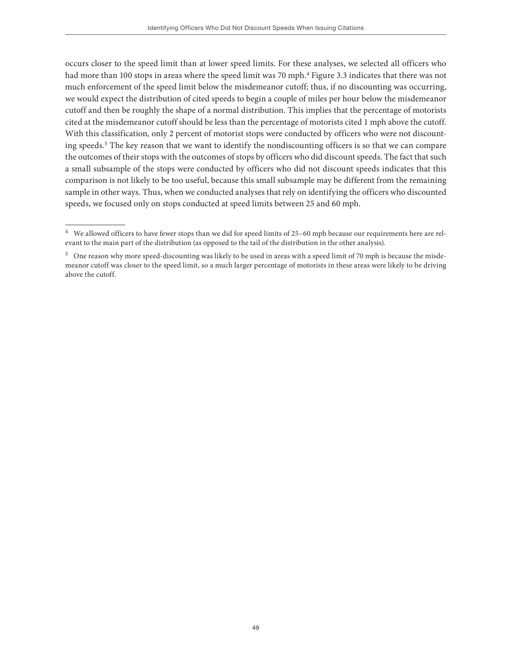occurs closer to the speed limit than at lower speed limits. For these analyses, we selected all officers who had more than 100 stops in areas where the speed limit was 70 mph.<sup>4</sup> Figure 3.3 indicates that there was not much enforcement of the speed limit below the misdemeanor cutoff; thus, if no discounting was occurring, we would expect the distribution of cited speeds to begin a couple of miles per hour below the misdemeanor cutoff and then be roughly the shape of a normal distribution. This implies that the percentage of motorists cited at the misdemeanor cutoff should be less than the percentage of motorists cited 1 mph above the cutoff. With this classification, only 2 percent of motorist stops were conducted by officers who were not discounting speeds.5 The key reason that we want to identify the nondiscounting officers is so that we can compare the outcomes of their stops with the outcomes of stops by officers who did discount speeds. The fact that such a small subsample of the stops were conducted by officers who did not discount speeds indicates that this comparison is not likely to be too useful, because this small subsample may be different from the remaining sample in other ways. Thus, when we conducted analyses that rely on identifying the officers who discounted speeds, we focused only on stops conducted at speed limits between 25 and 60 mph.

<sup>4</sup> We allowed officers to have fewer stops than we did for speed limits of 25–60 mph because our requirements here are relevant to the main part of the distribution (as opposed to the tail of the distribution in the other analysis).

<sup>5</sup> One reason why more speed-discounting was likely to be used in areas with a speed limit of 70 mph is because the misdemeanor cutoff was closer to the speed limit, so a much larger percentage of motorists in these areas were likely to be driving above the cutoff.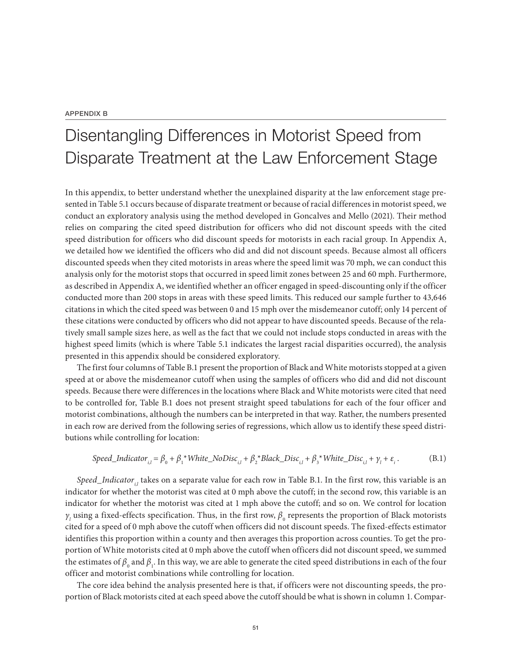# Disentangling Differences in Motorist Speed from Disparate Treatment at the Law Enforcement Stage

In this appendix, to better understand whether the unexplained disparity at the law enforcement stage presented in Table 5.1 occurs because of disparate treatment or because of racial differences in motorist speed, we conduct an exploratory analysis using the method developed in Goncalves and Mello (2021). Their method relies on comparing the cited speed distribution for officers who did not discount speeds with the cited speed distribution for officers who did discount speeds for motorists in each racial group. In Appendix A, we detailed how we identified the officers who did and did not discount speeds. Because almost all officers discounted speeds when they cited motorists in areas where the speed limit was 70 mph, we can conduct this analysis only for the motorist stops that occurred in speed limit zones between 25 and 60 mph. Furthermore, as described in Appendix A, we identified whether an officer engaged in speed-discounting only if the officer conducted more than 200 stops in areas with these speed limits. This reduced our sample further to 43,646 citations in which the cited speed was between 0 and 15 mph over the misdemeanor cutoff; only 14 percent of these citations were conducted by officers who did not appear to have discounted speeds. Because of the relatively small sample sizes here, as well as the fact that we could not include stops conducted in areas with the highest speed limits (which is where Table 5.1 indicates the largest racial disparities occurred), the analysis presented in this appendix should be considered exploratory.

The first four columns of Table B.1 present the proportion of Black and White motorists stopped at a given speed at or above the misdemeanor cutoff when using the samples of officers who did and did not discount speeds. Because there were differences in the locations where Black and White motorists were cited that need to be controlled for, Table B.1 does not present straight speed tabulations for each of the four officer and motorist combinations, although the numbers can be interpreted in that way. Rather, the numbers presented in each row are derived from the following series of regressions, which allow us to identify these speed distributions while controlling for location:

$$
Speed\_Indicator_{i,l} = \beta_0 + \beta_1^* White\_NoDisc_{i,l} + \beta_2^* Black\_Disc_{i,l} + \beta_3^* White\_Disc_{i,l} + \gamma_l + \varepsilon_i.
$$
 (B.1)

*Speed\_Indicator<sub>i1</sub>* takes on a separate value for each row in Table B.1. In the first row, this variable is an indicator for whether the motorist was cited at 0 mph above the cutoff; in the second row, this variable is an indicator for whether the motorist was cited at 1 mph above the cutoff; and so on. We control for location  $\gamma_l$  using a fixed-effects specification. Thus, in the first row,  $\beta_0$  represents the proportion of Black motorists cited for a speed of 0 mph above the cutoff when officers did not discount speeds. The fixed-effects estimator identifies this proportion within a county and then averages this proportion across counties. To get the proportion of White motorists cited at 0 mph above the cutoff when officers did not discount speed, we summed the estimates of  $\beta_0$  and  $\beta_1$ . In this way, we are able to generate the cited speed distributions in each of the four officer and motorist combinations while controlling for location.

The core idea behind the analysis presented here is that, if officers were not discounting speeds, the proportion of Black motorists cited at each speed above the cutoff should be what is shown in column 1. Compar-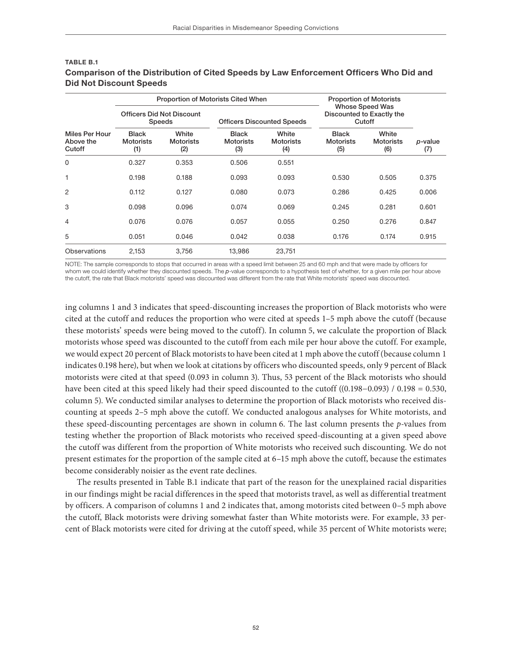|                                              |                                            |                                  | Proportion of Motorists Cited When      |                                   | <b>Proportion of Motorists</b>                                |                                  |                |  |
|----------------------------------------------|--------------------------------------------|----------------------------------|-----------------------------------------|-----------------------------------|---------------------------------------------------------------|----------------------------------|----------------|--|
|                                              | Officers Did Not Discount<br><b>Speeds</b> |                                  |                                         | <b>Officers Discounted Speeds</b> | <b>Whose Speed Was</b><br>Discounted to Exactly the<br>Cutoff |                                  |                |  |
| <b>Miles Per Hour</b><br>Above the<br>Cutoff | <b>Black</b><br><b>Motorists</b><br>(1)    | White<br><b>Motorists</b><br>(2) | <b>Black</b><br><b>Motorists</b><br>(3) | White<br><b>Motorists</b><br>(4)  | <b>Black</b><br>Motorists<br>(5)                              | White<br><b>Motorists</b><br>(6) | p-value<br>(7) |  |
| 0                                            | 0.327                                      | 0.353                            | 0.506                                   | 0.551                             |                                                               |                                  |                |  |
| 1                                            | 0.198                                      | 0.188                            | 0.093                                   | 0.093                             | 0.530                                                         | 0.505                            | 0.375          |  |
| 2                                            | 0.112                                      | 0.127                            | 0.080                                   | 0.073                             | 0.286                                                         | 0.425                            | 0.006          |  |
| 3                                            | 0.098                                      | 0.096                            | 0.074                                   | 0.069                             | 0.245                                                         | 0.281                            | 0.601          |  |
| 4                                            | 0.076                                      | 0.076                            | 0.057                                   | 0.055                             | 0.250                                                         | 0.276                            | 0.847          |  |
| 5                                            | 0.051                                      | 0.046                            | 0.042                                   | 0.038                             | 0.176                                                         | 0.174                            | 0.915          |  |
| Observations                                 | 2,153                                      | 3,756                            | 13,986                                  | 23,751                            |                                                               |                                  |                |  |

### TABLE B.1 Comparison of the Distribution of Cited Speeds by Law Enforcement Officers Who Did and Did Not Discount Speeds

NOTE: The sample corresponds to stops that occurred in areas with a speed limit between 25 and 60 mph and that were made by officers for whom we could identify whether they discounted speeds. The *p*-value corresponds to a hypothesis test of whether, for a given mile per hour above the cutoff, the rate that Black motorists' speed was discounted was different from the rate that White motorists' speed was discounted.

ing columns 1 and 3 indicates that speed-discounting increases the proportion of Black motorists who were cited at the cutoff and reduces the proportion who were cited at speeds 1–5 mph above the cutoff (because these motorists' speeds were being moved to the cutoff). In column 5, we calculate the proportion of Black motorists whose speed was discounted to the cutoff from each mile per hour above the cutoff. For example, we would expect 20 percent of Black motorists to have been cited at 1 mph above the cutoff (because column 1 indicates 0.198 here), but when we look at citations by officers who discounted speeds, only 9 percent of Black motorists were cited at that speed (0.093 in column 3). Thus, 53 percent of the Black motorists who should have been cited at this speed likely had their speed discounted to the cutoff ((0.198−0.093) / 0.198 = 0.530, column 5). We conducted similar analyses to determine the proportion of Black motorists who received discounting at speeds 2–5 mph above the cutoff. We conducted analogous analyses for White motorists, and these speed-discounting percentages are shown in column 6. The last column presents the *p*-values from testing whether the proportion of Black motorists who received speed-discounting at a given speed above the cutoff was different from the proportion of White motorists who received such discounting. We do not present estimates for the proportion of the sample cited at 6–15 mph above the cutoff, because the estimates become considerably noisier as the event rate declines.

The results presented in Table B.1 indicate that part of the reason for the unexplained racial disparities in our findings might be racial differences in the speed that motorists travel, as well as differential treatment by officers. A comparison of columns 1 and 2 indicates that, among motorists cited between 0–5 mph above the cutoff, Black motorists were driving somewhat faster than White motorists were. For example, 33 percent of Black motorists were cited for driving at the cutoff speed, while 35 percent of White motorists were;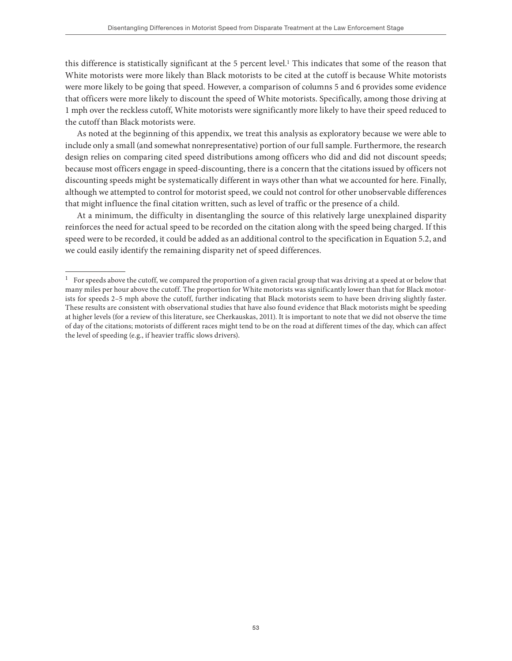this difference is statistically significant at the 5 percent level.<sup>1</sup> This indicates that some of the reason that White motorists were more likely than Black motorists to be cited at the cutoff is because White motorists were more likely to be going that speed. However, a comparison of columns 5 and 6 provides some evidence that officers were more likely to discount the speed of White motorists. Specifically, among those driving at 1 mph over the reckless cutoff, White motorists were significantly more likely to have their speed reduced to the cutoff than Black motorists were.

As noted at the beginning of this appendix, we treat this analysis as exploratory because we were able to include only a small (and somewhat nonrepresentative) portion of our full sample. Furthermore, the research design relies on comparing cited speed distributions among officers who did and did not discount speeds; because most officers engage in speed-discounting, there is a concern that the citations issued by officers not discounting speeds might be systematically different in ways other than what we accounted for here. Finally, although we attempted to control for motorist speed, we could not control for other unobservable differences that might influence the final citation written, such as level of traffic or the presence of a child.

At a minimum, the difficulty in disentangling the source of this relatively large unexplained disparity reinforces the need for actual speed to be recorded on the citation along with the speed being charged. If this speed were to be recorded, it could be added as an additional control to the specification in Equation 5.2, and we could easily identify the remaining disparity net of speed differences.

 $^{\rm 1}~$  For speeds above the cutoff, we compared the proportion of a given racial group that was driving at a speed at or below that many miles per hour above the cutoff. The proportion for White motorists was significantly lower than that for Black motorists for speeds 2–5 mph above the cutoff, further indicating that Black motorists seem to have been driving slightly faster. These results are consistent with observational studies that have also found evidence that Black motorists might be speeding at higher levels (for a review of this literature, see Cherkauskas, 2011). It is important to note that we did not observe the time of day of the citations; motorists of different races might tend to be on the road at different times of the day, which can affect the level of speeding (e.g., if heavier traffic slows drivers).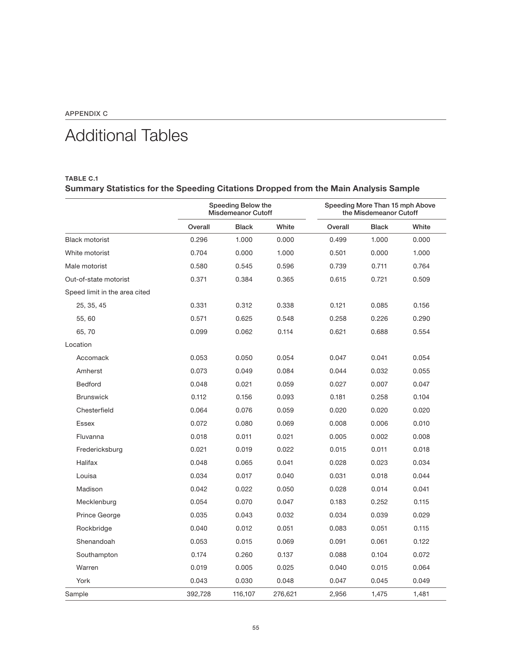APPENDIX C

# Additional Tables

#### TABLE C.1

## Summary Statistics for the Speeding Citations Dropped from the Main Analysis Sample

|                               |         | Speeding Below the<br><b>Misdemeanor Cutoff</b> |         |         | Speeding More Than 15 mph Above<br>the Misdemeanor Cutoff |       |
|-------------------------------|---------|-------------------------------------------------|---------|---------|-----------------------------------------------------------|-------|
|                               | Overall | <b>Black</b>                                    | White   | Overall | <b>Black</b>                                              | White |
| <b>Black motorist</b>         | 0.296   | 1.000                                           | 0.000   | 0.499   | 1.000                                                     | 0.000 |
| White motorist                | 0.704   | 0.000                                           | 1.000   | 0.501   | 0.000                                                     | 1.000 |
| Male motorist                 | 0.580   | 0.545                                           | 0.596   | 0.739   | 0.711                                                     | 0.764 |
| Out-of-state motorist         | 0.371   | 0.384                                           | 0.365   | 0.615   | 0.721                                                     | 0.509 |
| Speed limit in the area cited |         |                                                 |         |         |                                                           |       |
| 25, 35, 45                    | 0.331   | 0.312                                           | 0.338   | 0.121   | 0.085                                                     | 0.156 |
| 55,60                         | 0.571   | 0.625                                           | 0.548   | 0.258   | 0.226                                                     | 0.290 |
| 65,70                         | 0.099   | 0.062                                           | 0.114   | 0.621   | 0.688                                                     | 0.554 |
| Location                      |         |                                                 |         |         |                                                           |       |
| Accomack                      | 0.053   | 0.050                                           | 0.054   | 0.047   | 0.041                                                     | 0.054 |
| Amherst                       | 0.073   | 0.049                                           | 0.084   | 0.044   | 0.032                                                     | 0.055 |
| <b>Bedford</b>                | 0.048   | 0.021                                           | 0.059   | 0.027   | 0.007                                                     | 0.047 |
| <b>Brunswick</b>              | 0.112   | 0.156                                           | 0.093   | 0.181   | 0.258                                                     | 0.104 |
| Chesterfield                  | 0.064   | 0.076                                           | 0.059   | 0.020   | 0.020                                                     | 0.020 |
| <b>Essex</b>                  | 0.072   | 0.080                                           | 0.069   | 0.008   | 0.006                                                     | 0.010 |
| Fluvanna                      | 0.018   | 0.011                                           | 0.021   | 0.005   | 0.002                                                     | 0.008 |
| Fredericksburg                | 0.021   | 0.019                                           | 0.022   | 0.015   | 0.011                                                     | 0.018 |
| Halifax                       | 0.048   | 0.065                                           | 0.041   | 0.028   | 0.023                                                     | 0.034 |
| Louisa                        | 0.034   | 0.017                                           | 0.040   | 0.031   | 0.018                                                     | 0.044 |
| Madison                       | 0.042   | 0.022                                           | 0.050   | 0.028   | 0.014                                                     | 0.041 |
| Mecklenburg                   | 0.054   | 0.070                                           | 0.047   | 0.183   | 0.252                                                     | 0.115 |
| Prince George                 | 0.035   | 0.043                                           | 0.032   | 0.034   | 0.039                                                     | 0.029 |
| Rockbridge                    | 0.040   | 0.012                                           | 0.051   | 0.083   | 0.051                                                     | 0.115 |
| Shenandoah                    | 0.053   | 0.015                                           | 0.069   | 0.091   | 0.061                                                     | 0.122 |
| Southampton                   | 0.174   | 0.260                                           | 0.137   | 0.088   | 0.104                                                     | 0.072 |
| Warren                        | 0.019   | 0.005                                           | 0.025   | 0.040   | 0.015                                                     | 0.064 |
| York                          | 0.043   | 0.030                                           | 0.048   | 0.047   | 0.045                                                     | 0.049 |
| Sample                        | 392,728 | 116,107                                         | 276,621 | 2,956   | 1,475                                                     | 1,481 |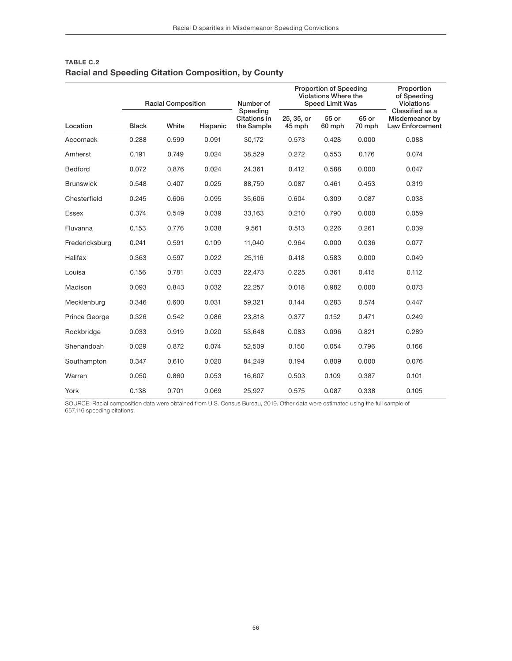|                  |              | <b>Racial Composition</b> |          |                                        | <b>Proportion of Speeding</b><br>Violations Where the<br><b>Speed Limit Was</b> |                 |                 | Proportion<br>of Speeding<br><b>Violations</b>              |
|------------------|--------------|---------------------------|----------|----------------------------------------|---------------------------------------------------------------------------------|-----------------|-----------------|-------------------------------------------------------------|
| Location         | <b>Black</b> | White                     | Hispanic | Speeding<br>Citations in<br>the Sample | 25, 35, or<br>45 mph                                                            | 55 or<br>60 mph | 65 or<br>70 mph | Classified as a<br>Misdemeanor by<br><b>Law Enforcement</b> |
| Accomack         | 0.288        | 0.599                     | 0.091    | 30,172                                 | 0.573                                                                           | 0.428           | 0.000           | 0.088                                                       |
| Amherst          | 0.191        | 0.749                     | 0.024    | 38,529                                 | 0.272                                                                           | 0.553           | 0.176           | 0.074                                                       |
| Bedford          | 0.072        | 0.876                     | 0.024    | 24,361                                 | 0.412                                                                           | 0.588           | 0.000           | 0.047                                                       |
| <b>Brunswick</b> | 0.548        | 0.407                     | 0.025    | 88,759                                 | 0.087                                                                           | 0.461           | 0.453           | 0.319                                                       |
| Chesterfield     | 0.245        | 0.606                     | 0.095    | 35,606                                 | 0.604                                                                           | 0.309           | 0.087           | 0.038                                                       |
| <b>Essex</b>     | 0.374        | 0.549                     | 0.039    | 33,163                                 | 0.210                                                                           | 0.790           | 0.000           | 0.059                                                       |
| Fluvanna         | 0.153        | 0.776                     | 0.038    | 9,561                                  | 0.513                                                                           | 0.226           | 0.261           | 0.039                                                       |
| Fredericksburg   | 0.241        | 0.591                     | 0.109    | 11,040                                 | 0.964                                                                           | 0.000           | 0.036           | 0.077                                                       |
| Halifax          | 0.363        | 0.597                     | 0.022    | 25,116                                 | 0.418                                                                           | 0.583           | 0.000           | 0.049                                                       |
| Louisa           | 0.156        | 0.781                     | 0.033    | 22,473                                 | 0.225                                                                           | 0.361           | 0.415           | 0.112                                                       |
| Madison          | 0.093        | 0.843                     | 0.032    | 22,257                                 | 0.018                                                                           | 0.982           | 0.000           | 0.073                                                       |
| Mecklenburg      | 0.346        | 0.600                     | 0.031    | 59,321                                 | 0.144                                                                           | 0.283           | 0.574           | 0.447                                                       |
| Prince George    | 0.326        | 0.542                     | 0.086    | 23,818                                 | 0.377                                                                           | 0.152           | 0.471           | 0.249                                                       |
| Rockbridge       | 0.033        | 0.919                     | 0.020    | 53,648                                 | 0.083                                                                           | 0.096           | 0.821           | 0.289                                                       |
| Shenandoah       | 0.029        | 0.872                     | 0.074    | 52,509                                 | 0.150                                                                           | 0.054           | 0.796           | 0.166                                                       |
| Southampton      | 0.347        | 0.610                     | 0.020    | 84,249                                 | 0.194                                                                           | 0.809           | 0.000           | 0.076                                                       |
| Warren           | 0.050        | 0.860                     | 0.053    | 16,607                                 | 0.503                                                                           | 0.109           | 0.387           | 0.101                                                       |
| York             | 0.138        | 0.701                     | 0.069    | 25,927                                 | 0.575                                                                           | 0.087           | 0.338           | 0.105                                                       |

### TABLE C.2 Racial and Speeding Citation Composition, by County

SOURCE: Racial composition data were obtained from U.S. Census Bureau, 2019. Other data were estimated using the full sample of 657,116 speeding citations.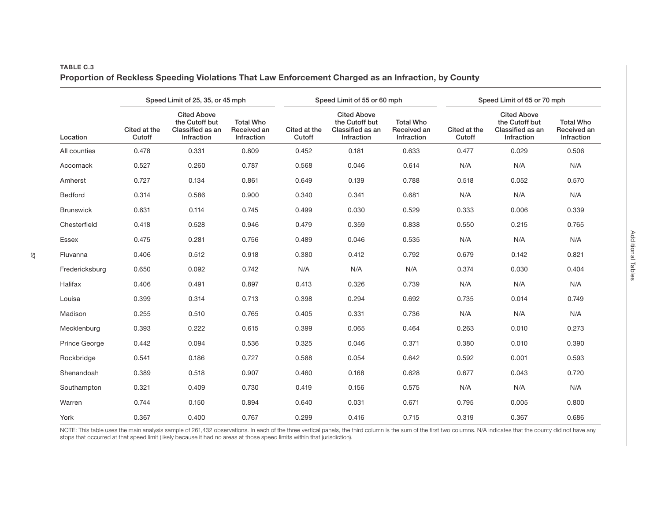## TABLE C.3Proportion of Reckless Speeding Violations That Law Enforcement Charged as an Infraction, by County

| Speed Limit of 25, 35, or 45 mph |                        |                                                                        |                                               |                        | Speed Limit of 55 or 60 mph                                            |                                               | Speed Limit of 65 or 70 mph |                                                                        |                                               |
|----------------------------------|------------------------|------------------------------------------------------------------------|-----------------------------------------------|------------------------|------------------------------------------------------------------------|-----------------------------------------------|-----------------------------|------------------------------------------------------------------------|-----------------------------------------------|
| Location                         | Cited at the<br>Cutoff | <b>Cited Above</b><br>the Cutoff but<br>Classified as an<br>Infraction | <b>Total Who</b><br>Received an<br>Infraction | Cited at the<br>Cutoff | <b>Cited Above</b><br>the Cutoff but<br>Classified as an<br>Infraction | <b>Total Who</b><br>Received an<br>Infraction | Cited at the<br>Cutoff      | <b>Cited Above</b><br>the Cutoff but<br>Classified as an<br>Infraction | <b>Total Who</b><br>Received an<br>Infraction |
| All counties                     | 0.478                  | 0.331                                                                  | 0.809                                         | 0.452                  | 0.181                                                                  | 0.633                                         | 0.477                       | 0.029                                                                  | 0.506                                         |
| Accomack                         | 0.527                  | 0.260                                                                  | 0.787                                         | 0.568                  | 0.046                                                                  | 0.614                                         | N/A                         | N/A                                                                    | N/A                                           |
| Amherst                          | 0.727                  | 0.134                                                                  | 0.861                                         | 0.649                  | 0.139                                                                  | 0.788                                         | 0.518                       | 0.052                                                                  | 0.570                                         |
| Bedford                          | 0.314                  | 0.586                                                                  | 0.900                                         | 0.340                  | 0.341                                                                  | 0.681                                         | N/A                         | N/A                                                                    | N/A                                           |
| <b>Brunswick</b>                 | 0.631                  | 0.114                                                                  | 0.745                                         | 0.499                  | 0.030                                                                  | 0.529                                         | 0.333                       | 0.006                                                                  | 0.339                                         |
| Chesterfield                     | 0.418                  | 0.528                                                                  | 0.946                                         | 0.479                  | 0.359                                                                  | 0.838                                         | 0.550                       | 0.215                                                                  | 0.765                                         |
| <b>Essex</b>                     | 0.475                  | 0.281                                                                  | 0.756                                         | 0.489                  | 0.046                                                                  | 0.535                                         | N/A                         | N/A                                                                    | N/A                                           |
| Fluvanna                         | 0.406                  | 0.512                                                                  | 0.918                                         | 0.380                  | 0.412                                                                  | 0.792                                         | 0.679                       | 0.142                                                                  | 0.821                                         |
| Fredericksburg                   | 0.650                  | 0.092                                                                  | 0.742                                         | N/A                    | N/A                                                                    | N/A                                           | 0.374                       | 0.030                                                                  | 0.404                                         |
| Halifax                          | 0.406                  | 0.491                                                                  | 0.897                                         | 0.413                  | 0.326                                                                  | 0.739                                         | N/A                         | N/A                                                                    | N/A                                           |
| Louisa                           | 0.399                  | 0.314                                                                  | 0.713                                         | 0.398                  | 0.294                                                                  | 0.692                                         | 0.735                       | 0.014                                                                  | 0.749                                         |
| Madison                          | 0.255                  | 0.510                                                                  | 0.765                                         | 0.405                  | 0.331                                                                  | 0.736                                         | N/A                         | N/A                                                                    | N/A                                           |
| Mecklenburg                      | 0.393                  | 0.222                                                                  | 0.615                                         | 0.399                  | 0.065                                                                  | 0.464                                         | 0.263                       | 0.010                                                                  | 0.273                                         |
| <b>Prince George</b>             | 0.442                  | 0.094                                                                  | 0.536                                         | 0.325                  | 0.046                                                                  | 0.371                                         | 0.380                       | 0.010                                                                  | 0.390                                         |
| Rockbridge                       | 0.541                  | 0.186                                                                  | 0.727                                         | 0.588                  | 0.054                                                                  | 0.642                                         | 0.592                       | 0.001                                                                  | 0.593                                         |
| Shenandoah                       | 0.389                  | 0.518                                                                  | 0.907                                         | 0.460                  | 0.168                                                                  | 0.628                                         | 0.677                       | 0.043                                                                  | 0.720                                         |
| Southampton                      | 0.321                  | 0.409                                                                  | 0.730                                         | 0.419                  | 0.156                                                                  | 0.575                                         | N/A                         | N/A                                                                    | N/A                                           |
| Warren                           | 0.744                  | 0.150                                                                  | 0.894                                         | 0.640                  | 0.031                                                                  | 0.671                                         | 0.795                       | 0.005                                                                  | 0.800                                         |
| York                             | 0.367                  | 0.400                                                                  | 0.767                                         | 0.299                  | 0.416                                                                  | 0.715                                         | 0.319                       | 0.367                                                                  | 0.686                                         |

NOTE: This table uses the main analysis sample of 261,432 observations. In each of the three vertical panels, the third column is the sum of the first two columns. N/A indicates that the county did not have any stops that occurred at that speed limit (likely because it had no areas at those speed limits within that jurisdiction).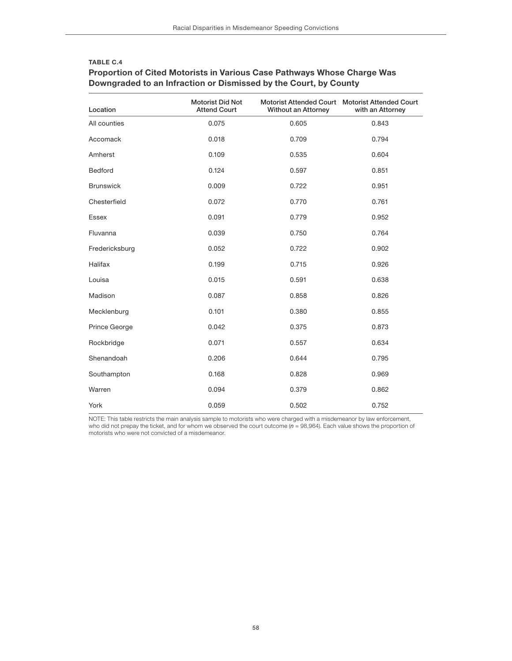| Location         | Motorist Did Not<br><b>Attend Court</b> | Without an Attorney | Motorist Attended Court Motorist Attended Court<br>with an Attorney |
|------------------|-----------------------------------------|---------------------|---------------------------------------------------------------------|
| All counties     | 0.075                                   | 0.605               | 0.843                                                               |
| Accomack         | 0.018                                   | 0.709               | 0.794                                                               |
| Amherst          | 0.109                                   | 0.535               | 0.604                                                               |
| Bedford          | 0.124                                   | 0.597               | 0.851                                                               |
| <b>Brunswick</b> | 0.009                                   | 0.722               | 0.951                                                               |
| Chesterfield     | 0.072                                   | 0.770               | 0.761                                                               |
| <b>Essex</b>     | 0.091                                   | 0.779               | 0.952                                                               |
| Fluvanna         | 0.039                                   | 0.750               | 0.764                                                               |
| Fredericksburg   | 0.052                                   | 0.722               | 0.902                                                               |
| Halifax          | 0.199                                   | 0.715               | 0.926                                                               |
| Louisa           | 0.015                                   | 0.591               | 0.638                                                               |
| Madison          | 0.087                                   | 0.858               | 0.826                                                               |
| Mecklenburg      | 0.101                                   | 0.380               | 0.855                                                               |
| Prince George    | 0.042                                   | 0.375               | 0.873                                                               |
| Rockbridge       | 0.071                                   | 0.557               | 0.634                                                               |
| Shenandoah       | 0.206                                   | 0.644               | 0.795                                                               |
| Southampton      | 0.168                                   | 0.828               | 0.969                                                               |
| Warren           | 0.094                                   | 0.379               | 0.862                                                               |
| York             | 0.059                                   | 0.502               | 0.752                                                               |

#### TABLE C.4

## Proportion of Cited Motorists in Various Case Pathways Whose Charge Was Downgraded to an Infraction or Dismissed by the Court, by County

NOTE: This table restricts the main analysis sample to motorists who were charged with a misdemeanor by law enforcement, who did not prepay the ticket, and for whom we observed the court outcome (*n* = 98,964). Each value shows the proportion of motorists who were not convicted of a misdemeanor.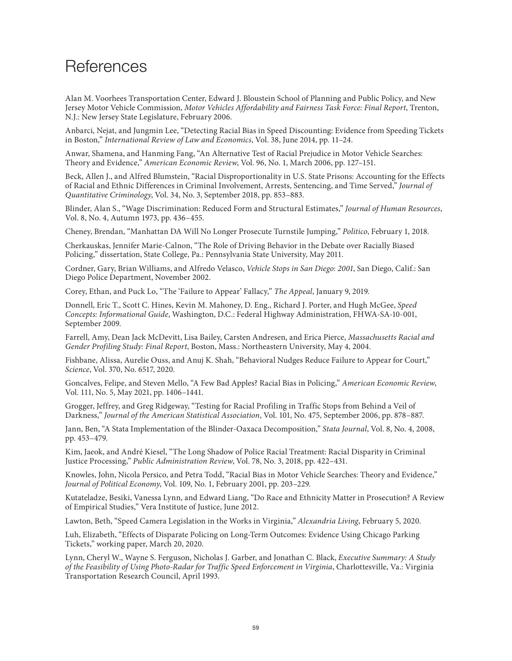# **References**

Alan M. Voorhees Transportation Center, Edward J. Bloustein School of Planning and Public Policy, and New Jersey Motor Vehicle Commission, *Motor Vehicles Affordability and Fairness Task Force: Final Report*, Trenton, N.J.: New Jersey State Legislature, February 2006.

Anbarci, Nejat, and Jungmin Lee, "Detecting Racial Bias in Speed Discounting: Evidence from Speeding Tickets in Boston," *International Review of Law and Economics*, Vol. 38, June 2014, pp. 11–24.

Anwar, Shamena, and Hanming Fang, "An Alternative Test of Racial Prejudice in Motor Vehicle Searches: Theory and Evidence," *American Economic Review*, Vol. 96, No. 1, March 2006, pp. 127–151.

Beck, Allen J., and Alfred Blumstein, "Racial Disproportionality in U.S. State Prisons: Accounting for the Effects of Racial and Ethnic Differences in Criminal Involvement, Arrests, Sentencing, and Time Served," *Journal of Quantitative Criminology*, Vol. 34, No. 3, September 2018, pp. 853–883.

Blinder, Alan S., "Wage Discrimination: Reduced Form and Structural Estimates," *Journal of Human Resources*, Vol. 8, No. 4, Autumn 1973, pp. 436–455.

Cheney, Brendan, "Manhattan DA Will No Longer Prosecute Turnstile Jumping," *Politico*, February 1, 2018.

Cherkauskas, Jennifer Marie-Calnon, "The Role of Driving Behavior in the Debate over Racially Biased Policing," dissertation, State College, Pa.: Pennsylvania State University, May 2011.

Cordner, Gary, Brian Williams, and Alfredo Velasco, *Vehicle Stops in San Diego: 2001*, San Diego, Calif.: San Diego Police Department, November 2002.

Corey, Ethan, and Puck Lo, "The 'Failure to Appear' Fallacy," *The Appeal*, January 9, 2019.

Donnell, Eric T., Scott C. Hines, Kevin M. Mahoney, D. Eng., Richard J. Porter, and Hugh McGee, *Speed Concepts: Informational Guide*, Washington, D.C.: Federal Highway Administration, FHWA-SA-10-001, September 2009.

Farrell, Amy, Dean Jack McDevitt, Lisa Bailey, Carsten Andresen, and Erica Pierce, *Massachusetts Racial and Gender Profiling Study: Final Report*, Boston, Mass.: Northeastern University, May 4, 2004.

Fishbane, Alissa, Aurelie Ouss, and Anuj K. Shah, "Behavioral Nudges Reduce Failure to Appear for Court," *Science*, Vol. 370, No. 6517, 2020.

Goncalves, Felipe, and Steven Mello, "A Few Bad Apples? Racial Bias in Policing," *American Economic Review*, Vol. 111, No. 5, May 2021, pp. 1406–1441.

Grogger, Jeffrey, and Greg Ridgeway, "Testing for Racial Profiling in Traffic Stops from Behind a Veil of Darkness," *Journal of the American Statistical Association*, Vol. 101, No. 475, September 2006, pp. 878–887.

Jann, Ben, "A Stata Implementation of the Blinder-Oaxaca Decomposition," *Stata Journal*, Vol. 8, No. 4, 2008, pp. 453–479.

Kim, Jaeok, and André Kiesel, "The Long Shadow of Police Racial Treatment: Racial Disparity in Criminal Justice Processing," *Public Administration Review*, Vol. 78, No. 3, 2018, pp. 422–431.

Knowles, John, Nicola Persico, and Petra Todd, "Racial Bias in Motor Vehicle Searches: Theory and Evidence," *Journal of Political Economy*, Vol. 109, No. 1, February 2001, pp. 203–229.

Kutateladze, Besiki, Vanessa Lynn, and Edward Liang, "Do Race and Ethnicity Matter in Prosecution? A Review of Empirical Studies," Vera Institute of Justice, June 2012.

Lawton, Beth, "Speed Camera Legislation in the Works in Virginia," *Alexandria Living*, February 5, 2020.

Luh, Elizabeth, "Effects of Disparate Policing on Long-Term Outcomes: Evidence Using Chicago Parking Tickets," working paper, March 20, 2020.

Lynn, Cheryl W., Wayne S. Ferguson, Nicholas J. Garber, and Jonathan C. Black, *Executive Summary: A Study of the Feasibility of Using Photo-Radar for Traffic Speed Enforcement in Virginia*, Charlottesville, Va.: Virginia Transportation Research Council, April 1993.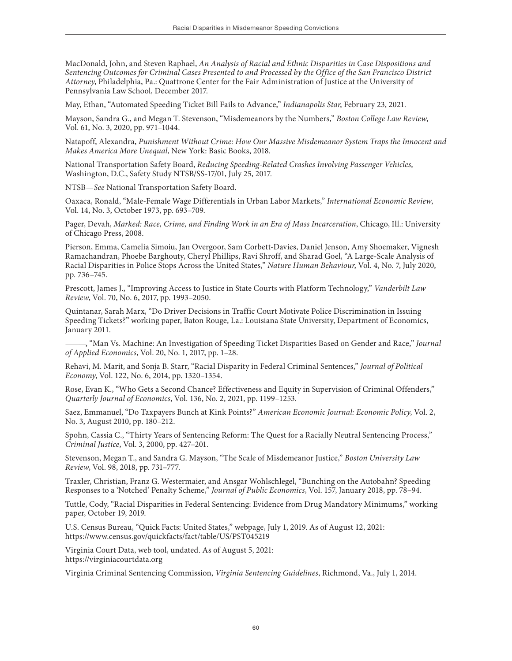MacDonald, John, and Steven Raphael, *An Analysis of Racial and Ethnic Disparities in Case Dispositions and Sentencing Outcomes for Criminal Cases Presented to and Processed by the Office of the San Francisco District Attorney*, Philadelphia, Pa.: Quattrone Center for the Fair Administration of Justice at the University of Pennsylvania Law School, December 2017.

May, Ethan, "Automated Speeding Ticket Bill Fails to Advance," *Indianapolis Star*, February 23, 2021.

Mayson, Sandra G., and Megan T. Stevenson, "Misdemeanors by the Numbers," *Boston College Law Review*, Vol. 61, No. 3, 2020, pp. 971–1044.

Natapoff, Alexandra, *Punishment Without Crime: How Our Massive Misdemeanor System Traps the Innocent and Makes America More Unequal*, New York: Basic Books, 2018.

National Transportation Safety Board, *Reducing Speeding-Related Crashes Involving Passenger Vehicles*, Washington, D.C., Safety Study NTSB/SS-17/01, July 25, 2017.

NTSB—*See* National Transportation Safety Board.

Oaxaca, Ronald, "Male-Female Wage Differentials in Urban Labor Markets," *International Economic Review*, Vol. 14, No. 3, October 1973, pp. 693–709.

Pager, Devah, *Marked: Race, Crime, and Finding Work in an Era of Mass Incarceration*, Chicago, Ill.: University of Chicago Press, 2008.

Pierson, Emma, Camelia Simoiu, Jan Overgoor, Sam Corbett-Davies, Daniel Jenson, Amy Shoemaker, Vignesh Ramachandran, Phoebe Barghouty, Cheryl Phillips, Ravi Shroff, and Sharad Goel, "A Large-Scale Analysis of Racial Disparities in Police Stops Across the United States," *Nature Human Behaviour*, Vol. 4, No. 7, July 2020, pp. 736–745.

Prescott, James J., "Improving Access to Justice in State Courts with Platform Technology," *Vanderbilt Law Review*, Vol. 70, No. 6, 2017, pp. 1993–2050.

Quintanar, Sarah Marx, "Do Driver Decisions in Traffic Court Motivate Police Discrimination in Issuing Speeding Tickets?" working paper, Baton Rouge, La.: Louisiana State University, Department of Economics, January 2011.

———, "Man Vs. Machine: An Investigation of Speeding Ticket Disparities Based on Gender and Race," *Journal of Applied Economics*, Vol. 20, No. 1, 2017, pp. 1–28.

Rehavi, M. Marit, and Sonja B. Starr, "Racial Disparity in Federal Criminal Sentences," *Journal of Political Economy*, Vol. 122, No. 6, 2014, pp. 1320–1354.

Rose, Evan K., "Who Gets a Second Chance? Effectiveness and Equity in Supervision of Criminal Offenders," *Quarterly Journal of Economics*, Vol. 136, No. 2, 2021, pp. 1199–1253.

Saez, Emmanuel, "Do Taxpayers Bunch at Kink Points?" *American Economic Journal: Economic Policy*, Vol. 2, No. 3, August 2010, pp. 180–212.

Spohn, Cassia C., "Thirty Years of Sentencing Reform: The Quest for a Racially Neutral Sentencing Process," *Criminal Justice*, Vol. 3, 2000, pp. 427–201.

Stevenson, Megan T., and Sandra G. Mayson, "The Scale of Misdemeanor Justice," *Boston University Law Review*, Vol. 98, 2018, pp. 731–777.

Traxler, Christian, Franz G. Westermaier, and Ansgar Wohlschlegel, "Bunching on the Autobahn? Speeding Responses to a 'Notched' Penalty Scheme," *Journal of Public Economics*, Vol. 157, January 2018, pp. 78–94.

Tuttle, Cody, "Racial Disparities in Federal Sentencing: Evidence from Drug Mandatory Minimums," working paper, October 19, 2019.

U.S. Census Bureau, "Quick Facts: United States," webpage, July 1, 2019. As of August 12, 2021: <https://www.census.gov/quickfacts/fact/table/US/PST045219>

Virginia Court Data, web tool, undated. As of August 5, 2021: <https://virginiacourtdata.org>

Virginia Criminal Sentencing Commission, *Virginia Sentencing Guidelines*, Richmond, Va., July 1, 2014.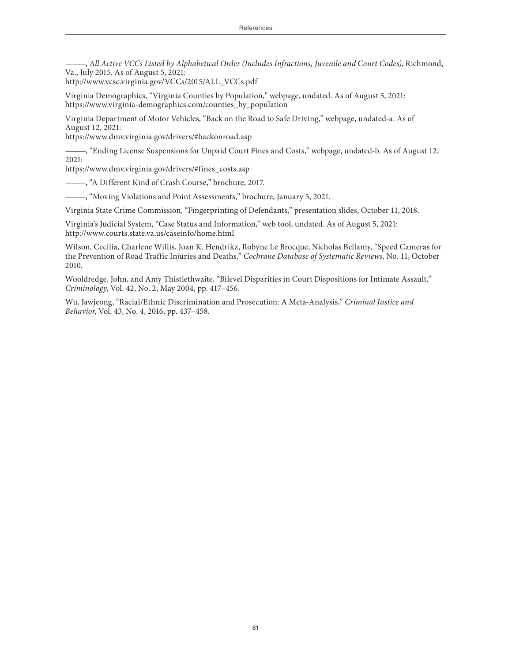———, *All Active VCCs Listed by Alphabetical Order (Includes Infractions, Juvenile and Court Codes)*, Richmond, Va., July 2015. As of August 5, 2021:

[http://www.vcsc.virginia.gov/VCCs/2015/ALL\\_VCCs.pdf](http://www.vcsc.virginia.gov/VCCs/2015/ALL_VCCs.pdf)

Virginia Demographics, "Virginia Counties by Population," webpage, undated. As of August 5, 2021: [https://www.virginia-demographics.com/counties\\_by\\_population](https://www.virginia-demographics.com/counties_by_population)

Virginia Department of Motor Vehicles, "Back on the Road to Safe Driving," webpage, undated-a. As of August 12, 2021:

<https://www.dmv.virginia.gov/drivers/#backonroad.asp>

———, "Ending License Suspensions for Unpaid Court Fines and Costs," webpage, undated-b. As of August 12, 2021:

[https://www.dmv.virginia.gov/drivers/#fines\\_costs.asp](https://www.dmv.virginia.gov/drivers/#fines_costs.asp)

———, "A Different Kind of Crash Course," brochure, 2017.

———, "Moving Violations and Point Assessments," brochure, January 5, 2021.

Virginia State Crime Commission, "Fingerprinting of Defendants," presentation slides, October 11, 2018.

Virginia's Judicial System, "Case Status and Information," web tool, undated. As of August 5, 2021: <http://www.courts.state.va.us/caseinfo/home.html>

Wilson, Cecilia, Charlene Willis, Joan K. Hendrikz, Robyne Le Brocque, Nicholas Bellamy, "Speed Cameras for the Prevention of Road Traffic Injuries and Deaths," *Cochrane Database of Systematic Reviews*, No. 11, October 2010.

Wooldredge, John, and Amy Thistlethwaite, "Bilevel Disparities in Court Dispositions for Intimate Assault," *Criminology*, Vol. 42, No. 2, May 2004, pp. 417–456.

Wu, Jawjeong, "Racial/Ethnic Discrimination and Prosecution: A Meta-Analysis," *Criminal Justice and Behavior*, Vol. 43, No. 4, 2016, pp. 437–458.